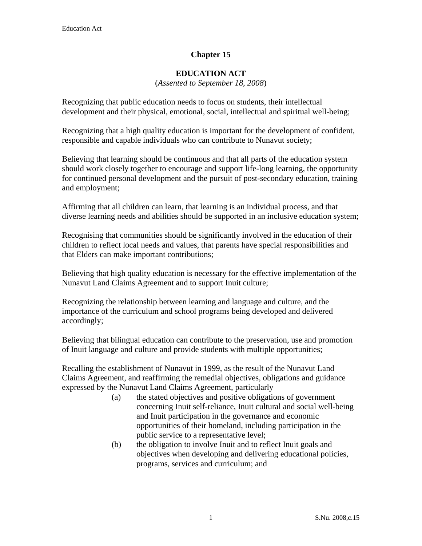# **Chapter 15**

#### **EDUCATION ACT**

(*Assented to September 18, 2008*)

Recognizing that public education needs to focus on students, their intellectual development and their physical, emotional, social, intellectual and spiritual well-being;

Recognizing that a high quality education is important for the development of confident, responsible and capable individuals who can contribute to Nunavut society;

Believing that learning should be continuous and that all parts of the education system should work closely together to encourage and support life-long learning, the opportunity for continued personal development and the pursuit of post-secondary education, training and employment;

Affirming that all children can learn, that learning is an individual process, and that diverse learning needs and abilities should be supported in an inclusive education system;

Recognising that communities should be significantly involved in the education of their children to reflect local needs and values, that parents have special responsibilities and that Elders can make important contributions;

Believing that high quality education is necessary for the effective implementation of the Nunavut Land Claims Agreement and to support Inuit culture;

Recognizing the relationship between learning and language and culture, and the importance of the curriculum and school programs being developed and delivered accordingly;

Believing that bilingual education can contribute to the preservation, use and promotion of Inuit language and culture and provide students with multiple opportunities;

Recalling the establishment of Nunavut in 1999, as the result of the Nunavut Land Claims Agreement, and reaffirming the remedial objectives, obligations and guidance expressed by the Nunavut Land Claims Agreement, particularly

- (a) the stated objectives and positive obligations of government concerning Inuit self-reliance, Inuit cultural and social well-being and Inuit participation in the governance and economic opportunities of their homeland, including participation in the public service to a representative level;
- (b) the obligation to involve Inuit and to reflect Inuit goals and objectives when developing and delivering educational policies, programs, services and curriculum; and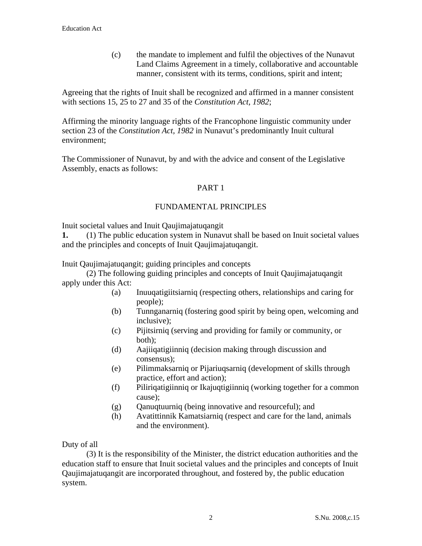(c) the mandate to implement and fulfil the objectives of the Nunavut Land Claims Agreement in a timely, collaborative and accountable manner, consistent with its terms, conditions, spirit and intent;

Agreeing that the rights of Inuit shall be recognized and affirmed in a manner consistent with sections 15, 25 to 27 and 35 of the *Constitution Act, 1982*;

Affirming the minority language rights of the Francophone linguistic community under section 23 of the *Constitution Act, 1982* in Nunavut's predominantly Inuit cultural environment;

The Commissioner of Nunavut, by and with the advice and consent of the Legislative Assembly, enacts as follows:

## PART 1

## FUNDAMENTAL PRINCIPLES

Inuit societal values and Inuit Qaujimajatuqangit

**1.** (1) The public education system in Nunavut shall be based on Inuit societal values and the principles and concepts of Inuit Qaujimajatuqangit.

Inuit Qaujimajatuqangit; guiding principles and concepts

 (2) The following guiding principles and concepts of Inuit Qaujimajatuqangit apply under this Act:

- (a) Inuuqatigiitsiarniq (respecting others, relationships and caring for people);
- (b) Tunnganarniq (fostering good spirit by being open, welcoming and inclusive);
- (c) Pijitsirniq (serving and providing for family or community, or both);
- (d) Aajiiqatigiinniq (decision making through discussion and consensus);
- (e) Pilimmaksarniq or Pijariuqsarniq (development of skills through practice, effort and action);
- (f) Piliriqatigiinniq or Ikajuqtigiinniq (working together for a common cause);
- (g) Qanuqtuurniq (being innovative and resourceful); and
- (h) Avatittinnik Kamatsiarniq (respect and care for the land, animals and the environment).

Duty of all

 (3) It is the responsibility of the Minister, the district education authorities and the education staff to ensure that Inuit societal values and the principles and concepts of Inuit Qaujimajatuqangit are incorporated throughout, and fostered by, the public education system.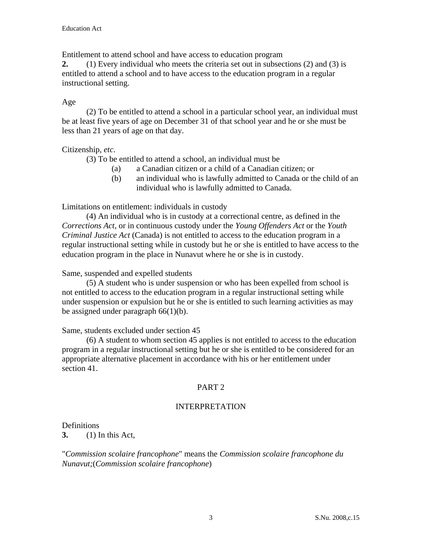Entitlement to attend school and have access to education program

**2.** (1) Every individual who meets the criteria set out in subsections (2) and (3) is entitled to attend a school and to have access to the education program in a regular instructional setting.

# Age

 (2) To be entitled to attend a school in a particular school year, an individual must be at least five years of age on December 31 of that school year and he or she must be less than 21 years of age on that day.

# Citizenship, *etc*.

(3) To be entitled to attend a school, an individual must be

- (a) a Canadian citizen or a child of a Canadian citizen; or
- (b) an individual who is lawfully admitted to Canada or the child of an individual who is lawfully admitted to Canada.

Limitations on entitlement: individuals in custody

 (4) An individual who is in custody at a correctional centre, as defined in the *Corrections Act*, or in continuous custody under the *Young Offenders Act* or the *Youth Criminal Justice Act* (Canada) is not entitled to access to the education program in a regular instructional setting while in custody but he or she is entitled to have access to the education program in the place in Nunavut where he or she is in custody.

# Same, suspended and expelled students

 (5) A student who is under suspension or who has been expelled from school is not entitled to access to the education program in a regular instructional setting while under suspension or expulsion but he or she is entitled to such learning activities as may be assigned under paragraph  $66(1)(b)$ .

## Same, students excluded under section 45

 (6) A student to whom section 45 applies is not entitled to access to the education program in a regular instructional setting but he or she is entitled to be considered for an appropriate alternative placement in accordance with his or her entitlement under section 41.

# PART 2

# INTERPRETATION

Definitions

**3.** (1) In this Act,

"*Commission scolaire francophone*" means the *Commission scolaire francophone du Nunavut;*(*Commission scolaire francophone*)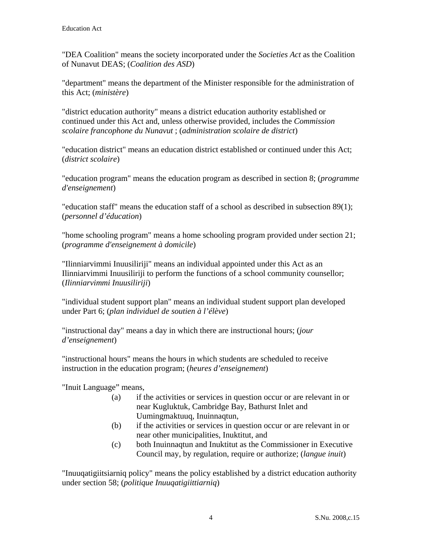"DEA Coalition" means the society incorporated under the *Societies Act* as the Coalition of Nunavut DEAS; (*Coalition des ASD*)

"department" means the department of the Minister responsible for the administration of this Act; (*ministère*)

"district education authority" means a district education authority established or continued under this Act and, unless otherwise provided, includes the *Commission scolaire francophone du Nunavut* ; (*administration scolaire de district*)

"education district" means an education district established or continued under this Act; (*district scolaire*)

"education program" means the education program as described in section 8; (*programme d'enseignement*)

"education staff" means the education staff of a school as described in subsection 89(1); (*personnel d'éducation*)

"home schooling program" means a home schooling program provided under section 21; (*programme d'enseignement à domicile*)

"Ilinniarvimmi Inuusiliriji" means an individual appointed under this Act as an Ilinniarvimmi Inuusiliriji to perform the functions of a school community counsellor; (*Ilinniarvimmi Inuusiliriji*)

"individual student support plan" means an individual student support plan developed under Part 6; (*plan individuel de soutien à l'élève*)

"instructional day" means a day in which there are instructional hours; (*jour d'enseignement*)

"instructional hours" means the hours in which students are scheduled to receive instruction in the education program; (*heures d'enseignement*)

"Inuit Language" means,

- (a) if the activities or services in question occur or are relevant in or near Kugluktuk, Cambridge Bay, Bathurst Inlet and Uumingmaktuuq, Inuinnaqtun,
- (b) if the activities or services in question occur or are relevant in or near other municipalities, Inuktitut, and
- (c) both Inuinnaqtun and Inuktitut as the Commissioner in Executive Council may, by regulation, require or authorize; (*langue inuit*)

"Inuuqatigiitsiarniq policy" means the policy established by a district education authority under section 58; (*politique Inuuqatigiittiarniq*)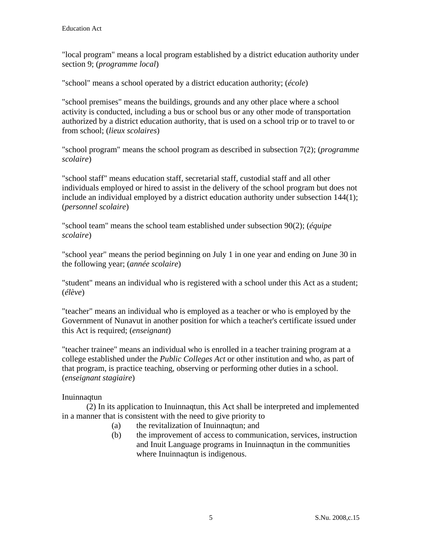"local program" means a local program established by a district education authority under section 9; (*programme local*)

"school" means a school operated by a district education authority; (*école*)

"school premises" means the buildings, grounds and any other place where a school activity is conducted, including a bus or school bus or any other mode of transportation authorized by a district education authority, that is used on a school trip or to travel to or from school; (*lieux scolaires*)

"school program" means the school program as described in subsection 7(2); (*programme scolaire*)

"school staff" means education staff, secretarial staff, custodial staff and all other individuals employed or hired to assist in the delivery of the school program but does not include an individual employed by a district education authority under subsection 144(1); (*personnel scolaire*)

"school team" means the school team established under subsection 90(2); (*équipe scolaire*)

"school year" means the period beginning on July 1 in one year and ending on June 30 in the following year; (*année scolaire*)

"student" means an individual who is registered with a school under this Act as a student; (*élève*)

"teacher" means an individual who is employed as a teacher or who is employed by the Government of Nunavut in another position for which a teacher's certificate issued under this Act is required; (*enseignant*)

"teacher trainee" means an individual who is enrolled in a teacher training program at a college established under the *Public Colleges Act* or other institution and who, as part of that program, is practice teaching, observing or performing other duties in a school. (*enseignant stagiaire*)

Inuinnaqtun

 (2) In its application to Inuinnaqtun, this Act shall be interpreted and implemented in a manner that is consistent with the need to give priority to

- (a) the revitalization of Inuinnaqtun; and
- (b) the improvement of access to communication, services, instruction and Inuit Language programs in Inuinnaqtun in the communities where Inuinnaqtun is indigenous.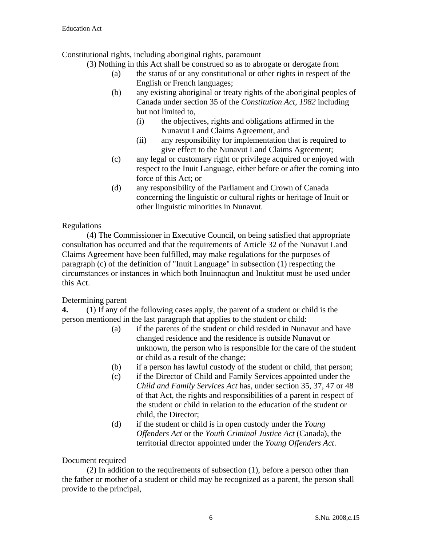Constitutional rights, including aboriginal rights, paramount

- (3) Nothing in this Act shall be construed so as to abrogate or derogate from
	- (a) the status of or any constitutional or other rights in respect of the English or French languages;
	- (b) any existing aboriginal or treaty rights of the aboriginal peoples of Canada under section 35 of the *Constitution Act, 1982* including but not limited to,
		- (i) the objectives, rights and obligations affirmed in the Nunavut Land Claims Agreement, and
		- (ii) any responsibility for implementation that is required to give effect to the Nunavut Land Claims Agreement;
	- (c) any legal or customary right or privilege acquired or enjoyed with respect to the Inuit Language, either before or after the coming into force of this Act; or
	- (d) any responsibility of the Parliament and Crown of Canada concerning the linguistic or cultural rights or heritage of Inuit or other linguistic minorities in Nunavut.

# Regulations

(4) The Commissioner in Executive Council, on being satisfied that appropriate consultation has occurred and that the requirements of Article 32 of the Nunavut Land Claims Agreement have been fulfilled, may make regulations for the purposes of paragraph (c) of the definition of "Inuit Language" in subsection (1) respecting the circumstances or instances in which both Inuinnaqtun and Inuktitut must be used under this Act.

# Determining parent

**4.** (1) If any of the following cases apply, the parent of a student or child is the person mentioned in the last paragraph that applies to the student or child:

- (a) if the parents of the student or child resided in Nunavut and have changed residence and the residence is outside Nunavut or unknown, the person who is responsible for the care of the student or child as a result of the change;
- (b) if a person has lawful custody of the student or child, that person;
- (c) if the Director of Child and Family Services appointed under the *Child and Family Services Act* has, under section 35, 37, 47 or 48 of that Act, the rights and responsibilities of a parent in respect of the student or child in relation to the education of the student or child, the Director;
- (d) if the student or child is in open custody under the *Young Offenders Act* or the *Youth Criminal Justice Act* (Canada), the territorial director appointed under the *Young Offenders Act*.

# Document required

(2) In addition to the requirements of subsection (1), before a person other than the father or mother of a student or child may be recognized as a parent, the person shall provide to the principal,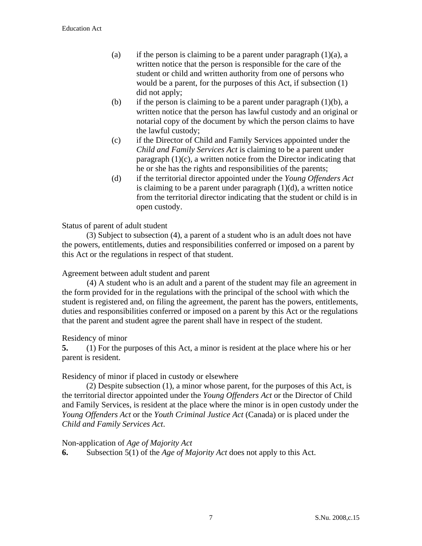- (a) if the person is claiming to be a parent under paragraph  $(1)(a)$ , a written notice that the person is responsible for the care of the student or child and written authority from one of persons who would be a parent, for the purposes of this Act, if subsection (1) did not apply;
- (b) if the person is claiming to be a parent under paragraph  $(1)(b)$ , a written notice that the person has lawful custody and an original or notarial copy of the document by which the person claims to have the lawful custody;
- (c) if the Director of Child and Family Services appointed under the *Child and Family Services Act* is claiming to be a parent under paragraph (1)(c), a written notice from the Director indicating that he or she has the rights and responsibilities of the parents;
- (d) if the territorial director appointed under the *Young Offenders Act* is claiming to be a parent under paragraph  $(1)(d)$ , a written notice from the territorial director indicating that the student or child is in open custody.

Status of parent of adult student

 (3) Subject to subsection (4), a parent of a student who is an adult does not have the powers, entitlements, duties and responsibilities conferred or imposed on a parent by this Act or the regulations in respect of that student.

#### Agreement between adult student and parent

(4) A student who is an adult and a parent of the student may file an agreement in the form provided for in the regulations with the principal of the school with which the student is registered and, on filing the agreement, the parent has the powers, entitlements, duties and responsibilities conferred or imposed on a parent by this Act or the regulations that the parent and student agree the parent shall have in respect of the student.

#### Residency of minor

**5.** (1) For the purposes of this Act, a minor is resident at the place where his or her parent is resident.

Residency of minor if placed in custody or elsewhere

 (2) Despite subsection (1), a minor whose parent, for the purposes of this Act, is the territorial director appointed under the *Young Offenders Act* or the Director of Child and Family Services, is resident at the place where the minor is in open custody under the *Young Offenders Act* or the *Youth Criminal Justice Act* (Canada) or is placed under the *Child and Family Services Act*.

#### Non-application of *Age of Majority Act*

**6.** Subsection 5(1) of the *Age of Majority Act* does not apply to this Act.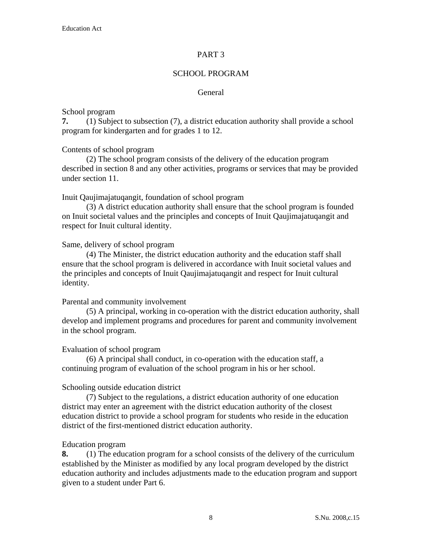#### PART 3

## SCHOOL PROGRAM

#### General

#### School program

**7.** (1) Subject to subsection (7), a district education authority shall provide a school program for kindergarten and for grades 1 to 12.

#### Contents of school program

 (2) The school program consists of the delivery of the education program described in section 8 and any other activities, programs or services that may be provided under section 11.

#### Inuit Qaujimajatuqangit, foundation of school program

 (3) A district education authority shall ensure that the school program is founded on Inuit societal values and the principles and concepts of Inuit Qaujimajatuqangit and respect for Inuit cultural identity.

#### Same, delivery of school program

 (4) The Minister, the district education authority and the education staff shall ensure that the school program is delivered in accordance with Inuit societal values and the principles and concepts of Inuit Qaujimajatuqangit and respect for Inuit cultural identity.

#### Parental and community involvement

 (5) A principal, working in co-operation with the district education authority, shall develop and implement programs and procedures for parent and community involvement in the school program.

#### Evaluation of school program

 (6) A principal shall conduct, in co-operation with the education staff, a continuing program of evaluation of the school program in his or her school.

#### Schooling outside education district

 (7) Subject to the regulations, a district education authority of one education district may enter an agreement with the district education authority of the closest education district to provide a school program for students who reside in the education district of the first-mentioned district education authority.

#### Education program

**8.** (1) The education program for a school consists of the delivery of the curriculum established by the Minister as modified by any local program developed by the district education authority and includes adjustments made to the education program and support given to a student under Part 6.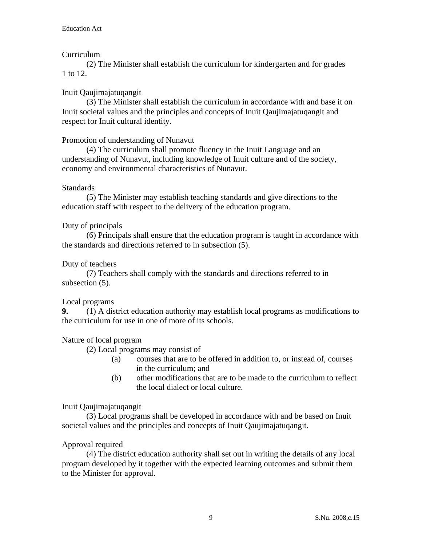# Curriculum

 (2) The Minister shall establish the curriculum for kindergarten and for grades 1 to 12.

# Inuit Qaujimajatuqangit

 (3) The Minister shall establish the curriculum in accordance with and base it on Inuit societal values and the principles and concepts of Inuit Qaujimajatuqangit and respect for Inuit cultural identity.

# Promotion of understanding of Nunavut

(4) The curriculum shall promote fluency in the Inuit Language and an understanding of Nunavut, including knowledge of Inuit culture and of the society, economy and environmental characteristics of Nunavut.

## Standards

 (5) The Minister may establish teaching standards and give directions to the education staff with respect to the delivery of the education program.

## Duty of principals

 (6) Principals shall ensure that the education program is taught in accordance with the standards and directions referred to in subsection (5).

## Duty of teachers

 (7) Teachers shall comply with the standards and directions referred to in subsection (5).

# Local programs

**9.** (1) A district education authority may establish local programs as modifications to the curriculum for use in one of more of its schools.

# Nature of local program

(2) Local programs may consist of

- (a) courses that are to be offered in addition to, or instead of, courses in the curriculum; and
- (b) other modifications that are to be made to the curriculum to reflect the local dialect or local culture.

## Inuit Qaujimajatuqangit

 (3) Local programs shall be developed in accordance with and be based on Inuit societal values and the principles and concepts of Inuit Qaujimajatuqangit.

# Approval required

 (4) The district education authority shall set out in writing the details of any local program developed by it together with the expected learning outcomes and submit them to the Minister for approval.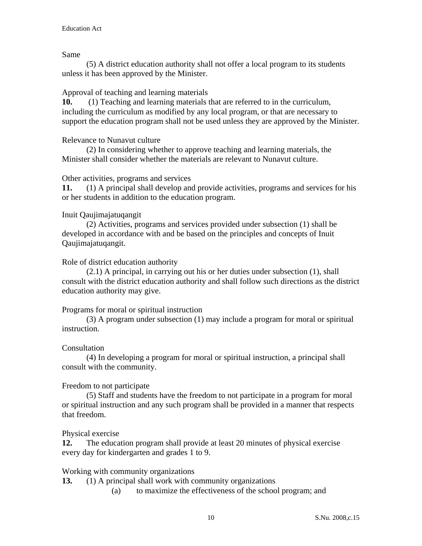Same

 (5) A district education authority shall not offer a local program to its students unless it has been approved by the Minister.

## Approval of teaching and learning materials

**10.** (1) Teaching and learning materials that are referred to in the curriculum, including the curriculum as modified by any local program, or that are necessary to support the education program shall not be used unless they are approved by the Minister.

## Relevance to Nunavut culture

 (2) In considering whether to approve teaching and learning materials, the Minister shall consider whether the materials are relevant to Nunavut culture.

## Other activities, programs and services

**11.** (1) A principal shall develop and provide activities, programs and services for his or her students in addition to the education program.

# Inuit Qaujimajatuqangit

 (2) Activities, programs and services provided under subsection (1) shall be developed in accordance with and be based on the principles and concepts of Inuit Qaujimajatuqangit.

## Role of district education authority

 (2.1) A principal, in carrying out his or her duties under subsection (1), shall consult with the district education authority and shall follow such directions as the district education authority may give.

## Programs for moral or spiritual instruction

 (3) A program under subsection (1) may include a program for moral or spiritual instruction.

## **Consultation**

 (4) In developing a program for moral or spiritual instruction, a principal shall consult with the community.

# Freedom to not participate

 (5) Staff and students have the freedom to not participate in a program for moral or spiritual instruction and any such program shall be provided in a manner that respects that freedom.

## Physical exercise

**12.** The education program shall provide at least 20 minutes of physical exercise every day for kindergarten and grades 1 to 9.

## Working with community organizations

- **13.** (1) A principal shall work with community organizations
	- (a) to maximize the effectiveness of the school program; and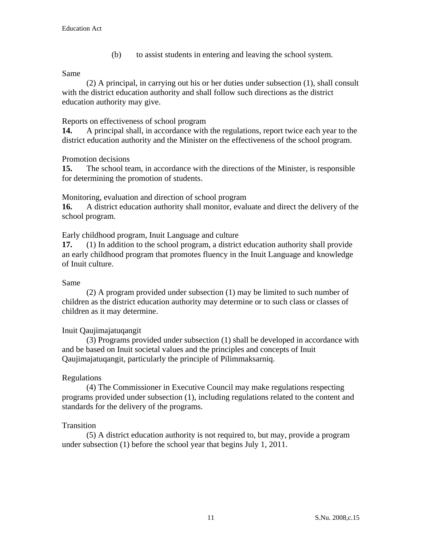(b) to assist students in entering and leaving the school system.

#### Same

 (2) A principal, in carrying out his or her duties under subsection (1), shall consult with the district education authority and shall follow such directions as the district education authority may give.

#### Reports on effectiveness of school program

**14.** A principal shall, in accordance with the regulations, report twice each year to the district education authority and the Minister on the effectiveness of the school program.

## Promotion decisions

**15.** The school team, in accordance with the directions of the Minister, is responsible for determining the promotion of students.

Monitoring, evaluation and direction of school program

**16.** A district education authority shall monitor, evaluate and direct the delivery of the school program.

Early childhood program, Inuit Language and culture

**17.** (1) In addition to the school program, a district education authority shall provide an early childhood program that promotes fluency in the Inuit Language and knowledge of Inuit culture.

## Same

 (2) A program provided under subsection (1) may be limited to such number of children as the district education authority may determine or to such class or classes of children as it may determine.

## Inuit Qaujimajatuqangit

 (3) Programs provided under subsection (1) shall be developed in accordance with and be based on Inuit societal values and the principles and concepts of Inuit Qaujimajatuqangit, particularly the principle of Pilimmaksarniq.

## Regulations

 (4) The Commissioner in Executive Council may make regulations respecting programs provided under subsection (1), including regulations related to the content and standards for the delivery of the programs.

## **Transition**

 (5) A district education authority is not required to, but may, provide a program under subsection (1) before the school year that begins July 1, 2011.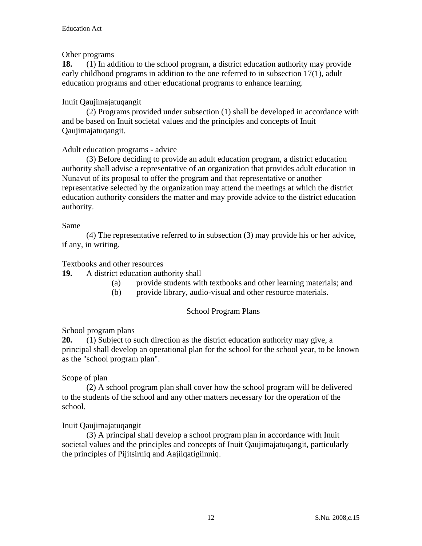## Other programs

**18.** (1) In addition to the school program, a district education authority may provide early childhood programs in addition to the one referred to in subsection 17(1), adult education programs and other educational programs to enhance learning.

## Inuit Qaujimajatuqangit

 (2) Programs provided under subsection (1) shall be developed in accordance with and be based on Inuit societal values and the principles and concepts of Inuit Qaujimajatuqangit.

## Adult education programs - advice

 (3) Before deciding to provide an adult education program, a district education authority shall advise a representative of an organization that provides adult education in Nunavut of its proposal to offer the program and that representative or another representative selected by the organization may attend the meetings at which the district education authority considers the matter and may provide advice to the district education authority.

#### Same

 (4) The representative referred to in subsection (3) may provide his or her advice, if any, in writing.

#### Textbooks and other resources

**19.** A district education authority shall

- (a) provide students with textbooks and other learning materials; and
- (b) provide library, audio-visual and other resource materials.

## School Program Plans

## School program plans

**20.** (1) Subject to such direction as the district education authority may give, a principal shall develop an operational plan for the school for the school year, to be known as the "school program plan".

#### Scope of plan

 (2) A school program plan shall cover how the school program will be delivered to the students of the school and any other matters necessary for the operation of the school.

## Inuit Qaujimajatuqangit

(3) A principal shall develop a school program plan in accordance with Inuit societal values and the principles and concepts of Inuit Qaujimajatuqangit, particularly the principles of Pijitsirniq and Aajiiqatigiinniq.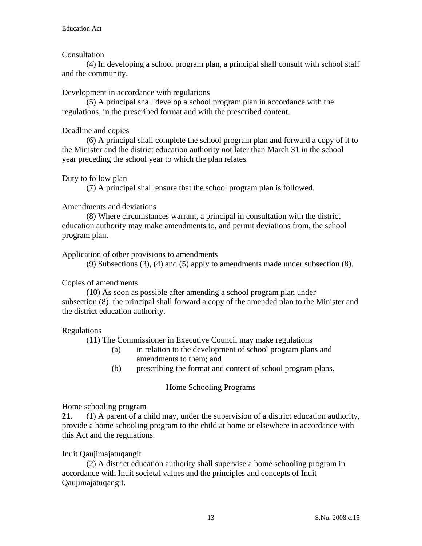## **Consultation**

 (4) In developing a school program plan, a principal shall consult with school staff and the community.

#### Development in accordance with regulations

 (5) A principal shall develop a school program plan in accordance with the regulations, in the prescribed format and with the prescribed content.

#### Deadline and copies

 (6) A principal shall complete the school program plan and forward a copy of it to the Minister and the district education authority not later than March 31 in the school year preceding the school year to which the plan relates.

#### Duty to follow plan

(7) A principal shall ensure that the school program plan is followed.

#### Amendments and deviations

 (8) Where circumstances warrant, a principal in consultation with the district education authority may make amendments to, and permit deviations from, the school program plan.

Application of other provisions to amendments

(9) Subsections (3), (4) and (5) apply to amendments made under subsection (8).

#### Copies of amendments

 (10) As soon as possible after amending a school program plan under subsection (8), the principal shall forward a copy of the amended plan to the Minister and the district education authority.

#### Regulations

(11) The Commissioner in Executive Council may make regulations

- (a) in relation to the development of school program plans and amendments to them; and
- (b) prescribing the format and content of school program plans.

#### Home Schooling Programs

#### Home schooling program

**21.** (1) A parent of a child may, under the supervision of a district education authority, provide a home schooling program to the child at home or elsewhere in accordance with this Act and the regulations.

#### Inuit Qaujimajatuqangit

 (2) A district education authority shall supervise a home schooling program in accordance with Inuit societal values and the principles and concepts of Inuit Qaujimajatuqangit.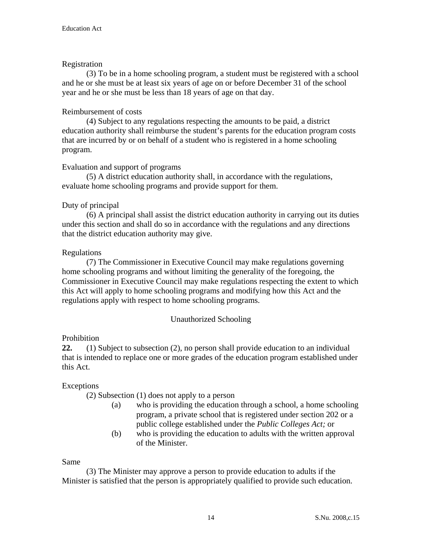## Registration

 (3) To be in a home schooling program, a student must be registered with a school and he or she must be at least six years of age on or before December 31 of the school year and he or she must be less than 18 years of age on that day.

# Reimbursement of costs

(4) Subject to any regulations respecting the amounts to be paid, a district education authority shall reimburse the student's parents for the education program costs that are incurred by or on behalf of a student who is registered in a home schooling program.

## Evaluation and support of programs

 (5) A district education authority shall, in accordance with the regulations, evaluate home schooling programs and provide support for them.

## Duty of principal

 (6) A principal shall assist the district education authority in carrying out its duties under this section and shall do so in accordance with the regulations and any directions that the district education authority may give.

## Regulations

 (7) The Commissioner in Executive Council may make regulations governing home schooling programs and without limiting the generality of the foregoing, the Commissioner in Executive Council may make regulations respecting the extent to which this Act will apply to home schooling programs and modifying how this Act and the regulations apply with respect to home schooling programs.

# Unauthorized Schooling

# Prohibition

**22.** (1) Subject to subsection (2), no person shall provide education to an individual that is intended to replace one or more grades of the education program established under this Act.

# Exceptions

(2) Subsection (1) does not apply to a person

- (a) who is providing the education through a school, a home schooling program, a private school that is registered under section 202 or a public college established under the *Public Colleges Act;* or
- (b) who is providing the education to adults with the written approval of the Minister.

## Same

 (3) The Minister may approve a person to provide education to adults if the Minister is satisfied that the person is appropriately qualified to provide such education.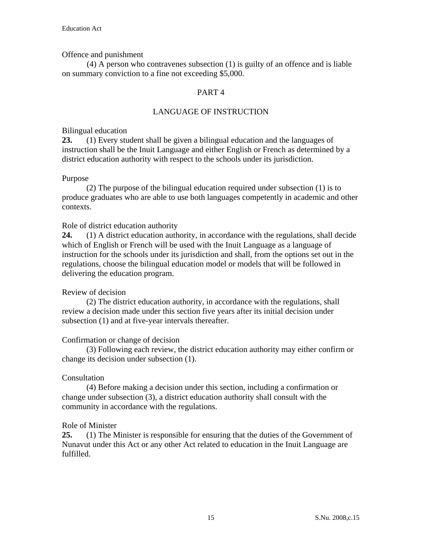#### Offence and punishment

(4) A person who contravenes subsection (1) is guilty of an offence and is liable on summary conviction to a fine not exceeding \$5,000.

## PART 4

## LANGUAGE OF INSTRUCTION

#### Bilingual education

**23.** (1) Every student shall be given a bilingual education and the languages of instruction shall be the Inuit Language and either English or French as determined by a district education authority with respect to the schools under its jurisdiction.

#### Purpose

 (2) The purpose of the bilingual education required under subsection (1) is to produce graduates who are able to use both languages competently in academic and other contexts.

#### Role of district education authority

**24.** (1) A district education authority, in accordance with the regulations, shall decide which of English or French will be used with the Inuit Language as a language of instruction for the schools under its jurisdiction and shall, from the options set out in the regulations, choose the bilingual education model or models that will be followed in delivering the education program.

#### Review of decision

 (2) The district education authority, in accordance with the regulations, shall review a decision made under this section five years after its initial decision under subsection (1) and at five-year intervals thereafter.

#### Confirmation or change of decision

 (3) Following each review, the district education authority may either confirm or change its decision under subsection (1).

#### Consultation

 (4) Before making a decision under this section, including a confirmation or change under subsection (3), a district education authority shall consult with the community in accordance with the regulations.

#### Role of Minister

**25.** (1) The Minister is responsible for ensuring that the duties of the Government of Nunavut under this Act or any other Act related to education in the Inuit Language are fulfilled.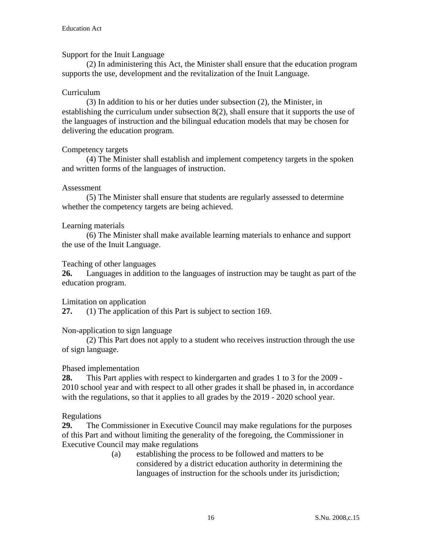#### Support for the Inuit Language

 (2) In administering this Act, the Minister shall ensure that the education program supports the use, development and the revitalization of the Inuit Language.

#### Curriculum

 (3) In addition to his or her duties under subsection (2), the Minister, in establishing the curriculum under subsection 8(2), shall ensure that it supports the use of the languages of instruction and the bilingual education models that may be chosen for delivering the education program.

#### Competency targets

(4) The Minister shall establish and implement competency targets in the spoken and written forms of the languages of instruction.

#### Assessment

 (5) The Minister shall ensure that students are regularly assessed to determine whether the competency targets are being achieved.

#### Learning materials

 (6) The Minister shall make available learning materials to enhance and support the use of the Inuit Language.

#### Teaching of other languages

**26.** Languages in addition to the languages of instruction may be taught as part of the education program.

#### Limitation on application

**27.** (1) The application of this Part is subject to section 169.

#### Non-application to sign language

(2) This Part does not apply to a student who receives instruction through the use of sign language.

#### Phased implementation

**28.** This Part applies with respect to kindergarten and grades 1 to 3 for the 2009 - 2010 school year and with respect to all other grades it shall be phased in, in accordance with the regulations, so that it applies to all grades by the 2019 - 2020 school year.

#### Regulations

**29.** The Commissioner in Executive Council may make regulations for the purposes of this Part and without limiting the generality of the foregoing, the Commissioner in Executive Council may make regulations

(a) establishing the process to be followed and matters to be considered by a district education authority in determining the languages of instruction for the schools under its jurisdiction;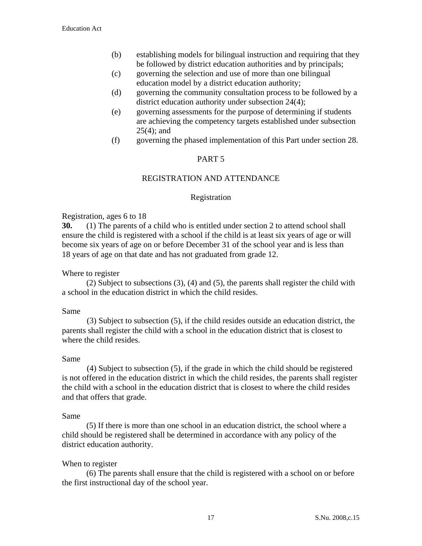- (b) establishing models for bilingual instruction and requiring that they be followed by district education authorities and by principals;
- (c) governing the selection and use of more than one bilingual education model by a district education authority;
- (d) governing the community consultation process to be followed by a district education authority under subsection 24(4);
- (e) governing assessments for the purpose of determining if students are achieving the competency targets established under subsection 25(4); and
- (f) governing the phased implementation of this Part under section 28.

## PART 5

## REGISTRATION AND ATTENDANCE

## Registration

#### Registration, ages 6 to 18

**30.** (1) The parents of a child who is entitled under section 2 to attend school shall ensure the child is registered with a school if the child is at least six years of age or will become six years of age on or before December 31 of the school year and is less than 18 years of age on that date and has not graduated from grade 12.

#### Where to register

 (2) Subject to subsections (3), (4) and (5), the parents shall register the child with a school in the education district in which the child resides.

#### Same

(3) Subject to subsection (5), if the child resides outside an education district, the parents shall register the child with a school in the education district that is closest to where the child resides.

#### Same

(4) Subject to subsection (5), if the grade in which the child should be registered is not offered in the education district in which the child resides, the parents shall register the child with a school in the education district that is closest to where the child resides and that offers that grade.

#### Same

 (5) If there is more than one school in an education district, the school where a child should be registered shall be determined in accordance with any policy of the district education authority.

## When to register

 (6) The parents shall ensure that the child is registered with a school on or before the first instructional day of the school year.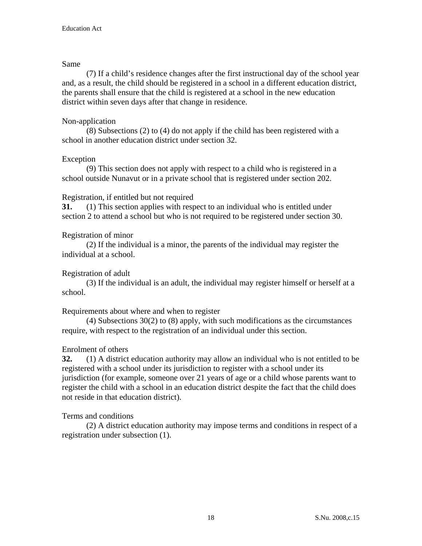#### Same

 (7) If a child's residence changes after the first instructional day of the school year and, as a result, the child should be registered in a school in a different education district, the parents shall ensure that the child is registered at a school in the new education district within seven days after that change in residence.

## Non-application

 (8) Subsections (2) to (4) do not apply if the child has been registered with a school in another education district under section 32.

## Exception

 (9) This section does not apply with respect to a child who is registered in a school outside Nunavut or in a private school that is registered under section 202.

## Registration, if entitled but not required

**31.** (1) This section applies with respect to an individual who is entitled under section 2 to attend a school but who is not required to be registered under section 30.

## Registration of minor

 (2) If the individual is a minor, the parents of the individual may register the individual at a school.

## Registration of adult

 (3) If the individual is an adult, the individual may register himself or herself at a school.

## Requirements about where and when to register

 (4) Subsections 30(2) to (8) apply, with such modifications as the circumstances require, with respect to the registration of an individual under this section.

## Enrolment of others

**32.** (1) A district education authority may allow an individual who is not entitled to be registered with a school under its jurisdiction to register with a school under its jurisdiction (for example, someone over 21 years of age or a child whose parents want to register the child with a school in an education district despite the fact that the child does not reside in that education district).

## Terms and conditions

 (2) A district education authority may impose terms and conditions in respect of a registration under subsection (1).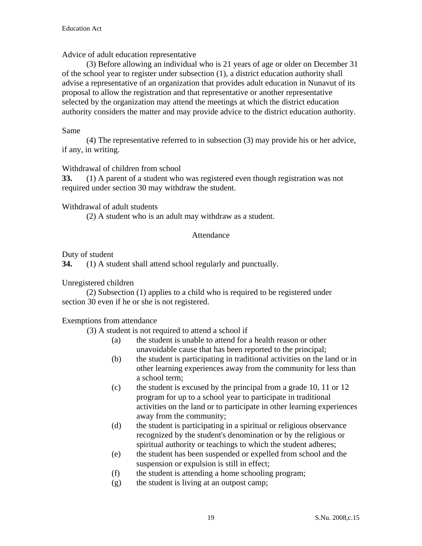Advice of adult education representative

 (3) Before allowing an individual who is 21 years of age or older on December 31 of the school year to register under subsection (1), a district education authority shall advise a representative of an organization that provides adult education in Nunavut of its proposal to allow the registration and that representative or another representative selected by the organization may attend the meetings at which the district education authority considers the matter and may provide advice to the district education authority.

#### Same

 (4) The representative referred to in subsection (3) may provide his or her advice, if any, in writing.

Withdrawal of children from school

**33.** (1) A parent of a student who was registered even though registration was not required under section 30 may withdraw the student.

#### Withdrawal of adult students

(2) A student who is an adult may withdraw as a student.

#### Attendance

Duty of student

**34.** (1) A student shall attend school regularly and punctually.

Unregistered children

 (2) Subsection (1) applies to a child who is required to be registered under section 30 even if he or she is not registered.

Exemptions from attendance

(3) A student is not required to attend a school if

- (a) the student is unable to attend for a health reason or other unavoidable cause that has been reported to the principal;
- (b) the student is participating in traditional activities on the land or in other learning experiences away from the community for less than a school term;
- (c) the student is excused by the principal from a grade 10, 11 or 12 program for up to a school year to participate in traditional activities on the land or to participate in other learning experiences away from the community;
- (d) the student is participating in a spiritual or religious observance recognized by the student's denomination or by the religious or spiritual authority or teachings to which the student adheres;
- (e) the student has been suspended or expelled from school and the suspension or expulsion is still in effect;
- (f) the student is attending a home schooling program;
- (g) the student is living at an outpost camp;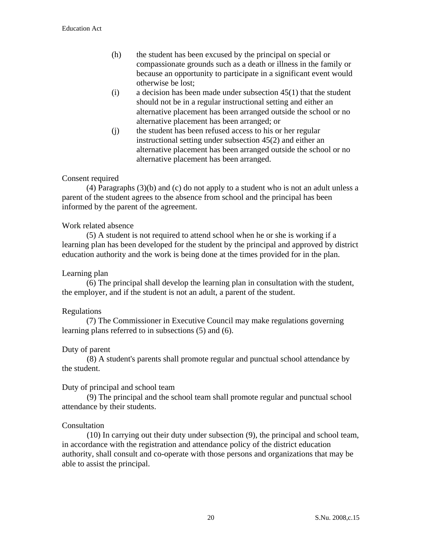- (h) the student has been excused by the principal on special or compassionate grounds such as a death or illness in the family or because an opportunity to participate in a significant event would otherwise be lost;
- (i) a decision has been made under subsection 45(1) that the student should not be in a regular instructional setting and either an alternative placement has been arranged outside the school or no alternative placement has been arranged; or
- (j) the student has been refused access to his or her regular instructional setting under subsection 45(2) and either an alternative placement has been arranged outside the school or no alternative placement has been arranged.

## Consent required

 (4) Paragraphs (3)(b) and (c) do not apply to a student who is not an adult unless a parent of the student agrees to the absence from school and the principal has been informed by the parent of the agreement.

## Work related absence

 (5) A student is not required to attend school when he or she is working if a learning plan has been developed for the student by the principal and approved by district education authority and the work is being done at the times provided for in the plan.

#### Learning plan

 (6) The principal shall develop the learning plan in consultation with the student, the employer, and if the student is not an adult, a parent of the student.

#### Regulations

 (7) The Commissioner in Executive Council may make regulations governing learning plans referred to in subsections (5) and (6).

#### Duty of parent

(8) A student's parents shall promote regular and punctual school attendance by the student.

#### Duty of principal and school team

(9) The principal and the school team shall promote regular and punctual school attendance by their students.

#### Consultation

(10) In carrying out their duty under subsection (9), the principal and school team, in accordance with the registration and attendance policy of the district education authority, shall consult and co-operate with those persons and organizations that may be able to assist the principal.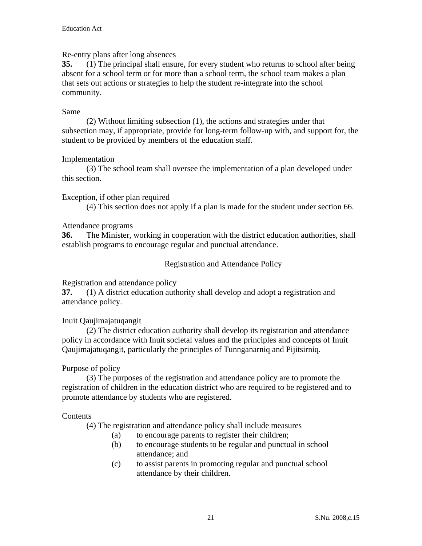#### Re-entry plans after long absences

**35.** (1) The principal shall ensure, for every student who returns to school after being absent for a school term or for more than a school term, the school team makes a plan that sets out actions or strategies to help the student re-integrate into the school community.

#### Same

 (2) Without limiting subsection (1), the actions and strategies under that subsection may, if appropriate, provide for long-term follow-up with, and support for, the student to be provided by members of the education staff.

#### Implementation

 (3) The school team shall oversee the implementation of a plan developed under this section.

#### Exception, if other plan required

(4) This section does not apply if a plan is made for the student under section 66.

#### Attendance programs

**36.** The Minister, working in cooperation with the district education authorities, shall establish programs to encourage regular and punctual attendance.

#### Registration and Attendance Policy

Registration and attendance policy

**37.** (1) A district education authority shall develop and adopt a registration and attendance policy.

## Inuit Qaujimajatuqangit

 (2) The district education authority shall develop its registration and attendance policy in accordance with Inuit societal values and the principles and concepts of Inuit Qaujimajatuqangit, particularly the principles of Tunnganarniq and Pijitsirniq.

## Purpose of policy

 (3) The purposes of the registration and attendance policy are to promote the registration of children in the education district who are required to be registered and to promote attendance by students who are registered.

#### Contents

(4) The registration and attendance policy shall include measures

- (a) to encourage parents to register their children;
- (b) to encourage students to be regular and punctual in school attendance; and
- (c) to assist parents in promoting regular and punctual school attendance by their children.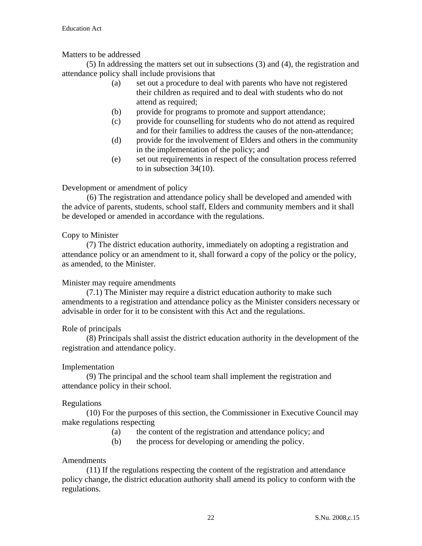## Matters to be addressed

 (5) In addressing the matters set out in subsections (3) and (4), the registration and attendance policy shall include provisions that

- (a) set out a procedure to deal with parents who have not registered their children as required and to deal with students who do not attend as required;
- (b) provide for programs to promote and support attendance;
- (c) provide for counselling for students who do not attend as required and for their families to address the causes of the non-attendance;
- (d) provide for the involvement of Elders and others in the community in the implementation of the policy; and
- (e) set out requirements in respect of the consultation process referred to in subsection 34(10).

## Development or amendment of policy

(6) The registration and attendance policy shall be developed and amended with the advice of parents, students, school staff, Elders and community members and it shall be developed or amended in accordance with the regulations.

## Copy to Minister

 (7) The district education authority, immediately on adopting a registration and attendance policy or an amendment to it, shall forward a copy of the policy or the policy, as amended, to the Minister.

## Minister may require amendments

 (7.1) The Minister may require a district education authority to make such amendments to a registration and attendance policy as the Minister considers necessary or advisable in order for it to be consistent with this Act and the regulations.

## Role of principals

 (8) Principals shall assist the district education authority in the development of the registration and attendance policy.

## Implementation

 (9) The principal and the school team shall implement the registration and attendance policy in their school.

## Regulations

 (10) For the purposes of this section, the Commissioner in Executive Council may make regulations respecting

- (a) the content of the registration and attendance policy; and
- (b) the process for developing or amending the policy.

## Amendments

 (11) If the regulations respecting the content of the registration and attendance policy change, the district education authority shall amend its policy to conform with the regulations.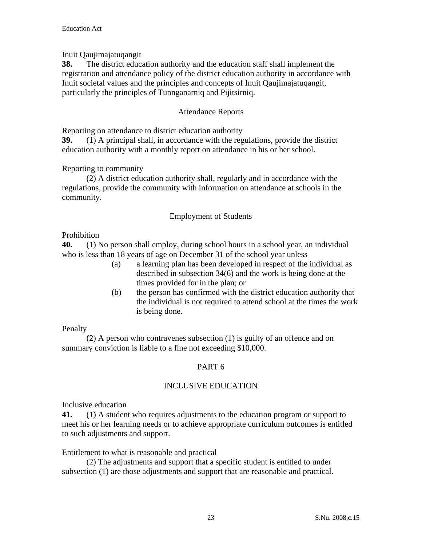Inuit Qaujimajatuqangit

**38.** The district education authority and the education staff shall implement the registration and attendance policy of the district education authority in accordance with Inuit societal values and the principles and concepts of Inuit Qaujimajatuqangit, particularly the principles of Tunnganarniq and Pijitsirniq.

# Attendance Reports

Reporting on attendance to district education authority

**39.** (1) A principal shall, in accordance with the regulations, provide the district education authority with a monthly report on attendance in his or her school.

# Reporting to community

 (2) A district education authority shall, regularly and in accordance with the regulations, provide the community with information on attendance at schools in the community.

# Employment of Students

# Prohibition

**40.** (1) No person shall employ, during school hours in a school year, an individual who is less than 18 years of age on December 31 of the school year unless

- (a) a learning plan has been developed in respect of the individual as described in subsection 34(6) and the work is being done at the times provided for in the plan; or
- (b) the person has confirmed with the district education authority that the individual is not required to attend school at the times the work is being done.

# Penalty

 (2) A person who contravenes subsection (1) is guilty of an offence and on summary conviction is liable to a fine not exceeding \$10,000.

# PART 6

# INCLUSIVE EDUCATION

Inclusive education

**41.** (1) A student who requires adjustments to the education program or support to meet his or her learning needs or to achieve appropriate curriculum outcomes is entitled to such adjustments and support.

## Entitlement to what is reasonable and practical

 (2) The adjustments and support that a specific student is entitled to under subsection (1) are those adjustments and support that are reasonable and practical.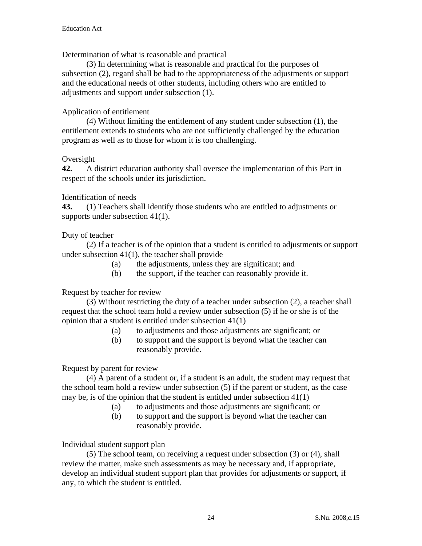Determination of what is reasonable and practical

 (3) In determining what is reasonable and practical for the purposes of subsection (2), regard shall be had to the appropriateness of the adjustments or support and the educational needs of other students, including others who are entitled to adjustments and support under subsection (1).

## Application of entitlement

 (4) Without limiting the entitlement of any student under subsection (1), the entitlement extends to students who are not sufficiently challenged by the education program as well as to those for whom it is too challenging.

## Oversight

**42.** A district education authority shall oversee the implementation of this Part in respect of the schools under its jurisdiction.

## Identification of needs

**43.** (1) Teachers shall identify those students who are entitled to adjustments or supports under subsection 41(1).

## Duty of teacher

 (2) If a teacher is of the opinion that a student is entitled to adjustments or support under subsection 41(1), the teacher shall provide

- (a) the adjustments, unless they are significant; and
- (b) the support, if the teacher can reasonably provide it.

## Request by teacher for review

(3) Without restricting the duty of a teacher under subsection (2), a teacher shall request that the school team hold a review under subsection (5) if he or she is of the opinion that a student is entitled under subsection 41(1)

- (a) to adjustments and those adjustments are significant; or
- (b) to support and the support is beyond what the teacher can reasonably provide.

## Request by parent for review

 (4) A parent of a student or, if a student is an adult, the student may request that the school team hold a review under subsection (5) if the parent or student, as the case may be, is of the opinion that the student is entitled under subsection 41(1)

- (a) to adjustments and those adjustments are significant; or
- (b) to support and the support is beyond what the teacher can reasonably provide.

Individual student support plan

(5) The school team, on receiving a request under subsection (3) or (4), shall review the matter, make such assessments as may be necessary and, if appropriate, develop an individual student support plan that provides for adjustments or support, if any, to which the student is entitled.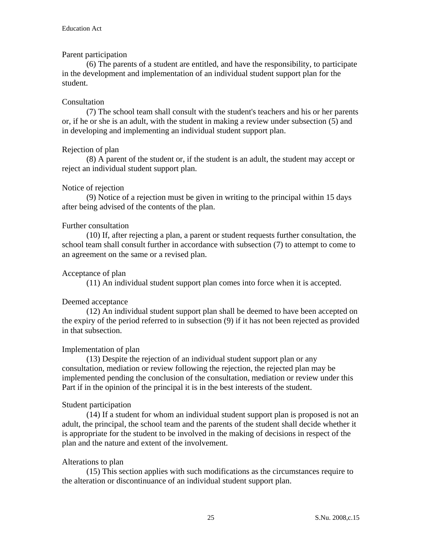## Parent participation

 (6) The parents of a student are entitled, and have the responsibility, to participate in the development and implementation of an individual student support plan for the student.

## Consultation

 (7) The school team shall consult with the student's teachers and his or her parents or, if he or she is an adult, with the student in making a review under subsection (5) and in developing and implementing an individual student support plan.

## Rejection of plan

 (8) A parent of the student or, if the student is an adult, the student may accept or reject an individual student support plan.

## Notice of rejection

 (9) Notice of a rejection must be given in writing to the principal within 15 days after being advised of the contents of the plan.

## Further consultation

 (10) If, after rejecting a plan, a parent or student requests further consultation, the school team shall consult further in accordance with subsection (7) to attempt to come to an agreement on the same or a revised plan.

## Acceptance of plan

(11) An individual student support plan comes into force when it is accepted.

# Deemed acceptance

 (12) An individual student support plan shall be deemed to have been accepted on the expiry of the period referred to in subsection (9) if it has not been rejected as provided in that subsection.

## Implementation of plan

 (13) Despite the rejection of an individual student support plan or any consultation, mediation or review following the rejection, the rejected plan may be implemented pending the conclusion of the consultation, mediation or review under this Part if in the opinion of the principal it is in the best interests of the student.

## Student participation

 (14) If a student for whom an individual student support plan is proposed is not an adult, the principal, the school team and the parents of the student shall decide whether it is appropriate for the student to be involved in the making of decisions in respect of the plan and the nature and extent of the involvement.

## Alterations to plan

 (15) This section applies with such modifications as the circumstances require to the alteration or discontinuance of an individual student support plan.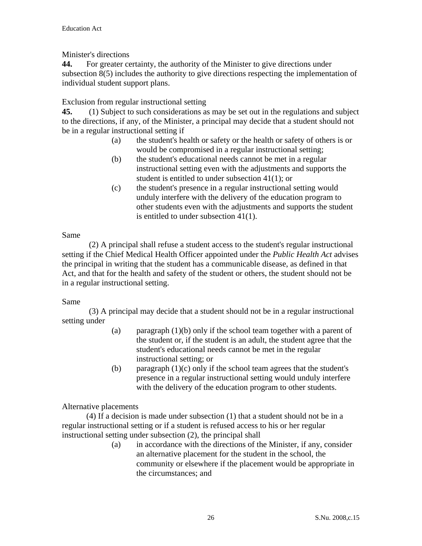Minister's directions

**44.** For greater certainty, the authority of the Minister to give directions under subsection 8(5) includes the authority to give directions respecting the implementation of individual student support plans.

Exclusion from regular instructional setting

**45.** (1) Subject to such considerations as may be set out in the regulations and subject to the directions, if any, of the Minister, a principal may decide that a student should not be in a regular instructional setting if

- (a)the student's health or safety or the health or safety of others is or would be compromised in a regular instructional setting;
- (b) the student's educational needs cannot be met in a regular instructional setting even with the adjustments and supports the student is entitled to under subsection 41(1); or
- (c) the student's presence in a regular instructional setting would unduly interfere with the delivery of the education program to other students even with the adjustments and supports the student is entitled to under subsection 41(1).

Same

 (2) A principal shall refuse a student access to the student's regular instructional setting if the Chief Medical Health Officer appointed under the *Public Health Act* advises the principal in writing that the student has a communicable disease, as defined in that Act, and that for the health and safety of the student or others, the student should not be in a regular instructional setting.

# Same

 (3) A principal may decide that a student should not be in a regular instructional setting under

- (a) paragraph  $(1)(b)$  only if the school team together with a parent of the student or, if the student is an adult, the student agree that the student's educational needs cannot be met in the regular instructional setting; or
- (b) paragraph  $(1)(c)$  only if the school team agrees that the student's presence in a regular instructional setting would unduly interfere with the delivery of the education program to other students.

# Alternative placements

 (4) If a decision is made under subsection (1) that a student should not be in a regular instructional setting or if a student is refused access to his or her regular instructional setting under subsection (2), the principal shall

(a) in accordance with the directions of the Minister, if any, consider an alternative placement for the student in the school, the community or elsewhere if the placement would be appropriate in the circumstances; and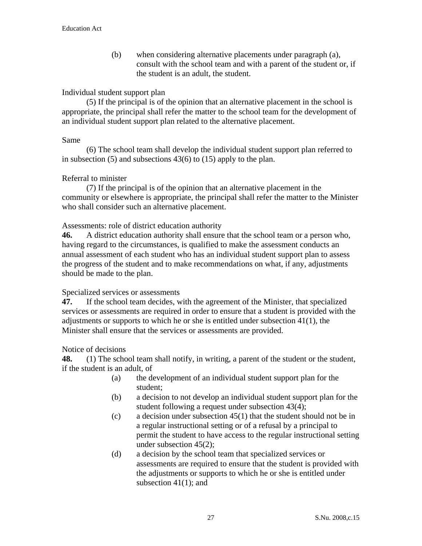(b) when considering alternative placements under paragraph (a), consult with the school team and with a parent of the student or, if the student is an adult, the student.

#### Individual student support plan

 (5) If the principal is of the opinion that an alternative placement in the school is appropriate, the principal shall refer the matter to the school team for the development of an individual student support plan related to the alternative placement.

#### Same

 (6) The school team shall develop the individual student support plan referred to in subsection (5) and subsections 43(6) to (15) apply to the plan.

#### Referral to minister

 (7) If the principal is of the opinion that an alternative placement in the community or elsewhere is appropriate, the principal shall refer the matter to the Minister who shall consider such an alternative placement.

Assessments: role of district education authority

**46.** A district education authority shall ensure that the school team or a person who, having regard to the circumstances, is qualified to make the assessment conducts an annual assessment of each student who has an individual student support plan to assess the progress of the student and to make recommendations on what, if any, adjustments should be made to the plan.

Specialized services or assessments

**47.** If the school team decides, with the agreement of the Minister, that specialized services or assessments are required in order to ensure that a student is provided with the adjustments or supports to which he or she is entitled under subsection 41(1), the Minister shall ensure that the services or assessments are provided.

Notice of decisions

**48.** (1) The school team shall notify, in writing, a parent of the student or the student, if the student is an adult, of

- (a) the development of an individual student support plan for the student;
- (b) a decision to not develop an individual student support plan for the student following a request under subsection 43(4);
- (c) a decision under subsection 45(1) that the student should not be in a regular instructional setting or of a refusal by a principal to permit the student to have access to the regular instructional setting under subsection 45(2);
- (d) a decision by the school team that specialized services or assessments are required to ensure that the student is provided with the adjustments or supports to which he or she is entitled under subsection 41(1); and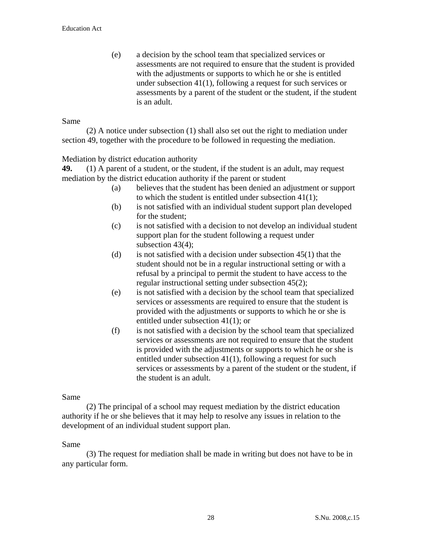(e) a decision by the school team that specialized services or assessments are not required to ensure that the student is provided with the adjustments or supports to which he or she is entitled under subsection 41(1), following a request for such services or assessments by a parent of the student or the student, if the student is an adult.

#### Same

 (2) A notice under subsection (1) shall also set out the right to mediation under section 49, together with the procedure to be followed in requesting the mediation.

#### Mediation by district education authority

**49.** (1) A parent of a student, or the student, if the student is an adult, may request mediation by the district education authority if the parent or student

- (a) believes that the student has been denied an adjustment or support to which the student is entitled under subsection 41(1);
- (b) is not satisfied with an individual student support plan developed for the student;
- (c) is not satisfied with a decision to not develop an individual student support plan for the student following a request under subsection 43(4);
- (d) is not satisfied with a decision under subsection  $45(1)$  that the student should not be in a regular instructional setting or with a refusal by a principal to permit the student to have access to the regular instructional setting under subsection 45(2);
- (e) is not satisfied with a decision by the school team that specialized services or assessments are required to ensure that the student is provided with the adjustments or supports to which he or she is entitled under subsection 41(1); or
- (f) is not satisfied with a decision by the school team that specialized services or assessments are not required to ensure that the student is provided with the adjustments or supports to which he or she is entitled under subsection 41(1), following a request for such services or assessments by a parent of the student or the student, if the student is an adult.

#### Same

 (2) The principal of a school may request mediation by the district education authority if he or she believes that it may help to resolve any issues in relation to the development of an individual student support plan.

#### Same

 (3) The request for mediation shall be made in writing but does not have to be in any particular form.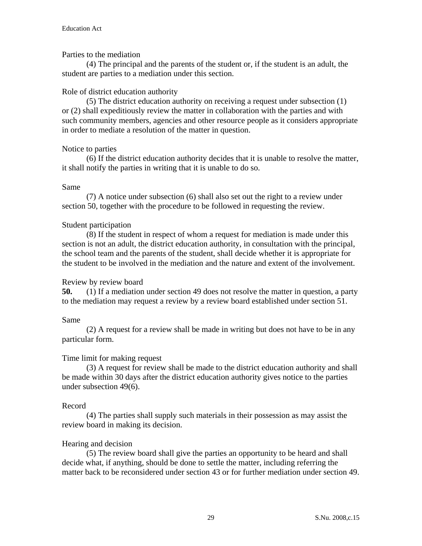## Parties to the mediation

 (4) The principal and the parents of the student or, if the student is an adult, the student are parties to a mediation under this section.

#### Role of district education authority

 (5) The district education authority on receiving a request under subsection (1) or (2) shall expeditiously review the matter in collaboration with the parties and with such community members, agencies and other resource people as it considers appropriate in order to mediate a resolution of the matter in question.

#### Notice to parties

 (6) If the district education authority decides that it is unable to resolve the matter, it shall notify the parties in writing that it is unable to do so.

#### Same

 (7) A notice under subsection (6) shall also set out the right to a review under section 50, together with the procedure to be followed in requesting the review.

#### Student participation

 (8) If the student in respect of whom a request for mediation is made under this section is not an adult, the district education authority, in consultation with the principal, the school team and the parents of the student, shall decide whether it is appropriate for the student to be involved in the mediation and the nature and extent of the involvement.

## Review by review board

**50.** (1) If a mediation under section 49 does not resolve the matter in question, a party to the mediation may request a review by a review board established under section 51.

#### Same

 (2) A request for a review shall be made in writing but does not have to be in any particular form.

## Time limit for making request

 (3) A request for review shall be made to the district education authority and shall be made within 30 days after the district education authority gives notice to the parties under subsection 49(6).

#### Record

 (4) The parties shall supply such materials in their possession as may assist the review board in making its decision.

## Hearing and decision

 (5) The review board shall give the parties an opportunity to be heard and shall decide what, if anything, should be done to settle the matter, including referring the matter back to be reconsidered under section 43 or for further mediation under section 49.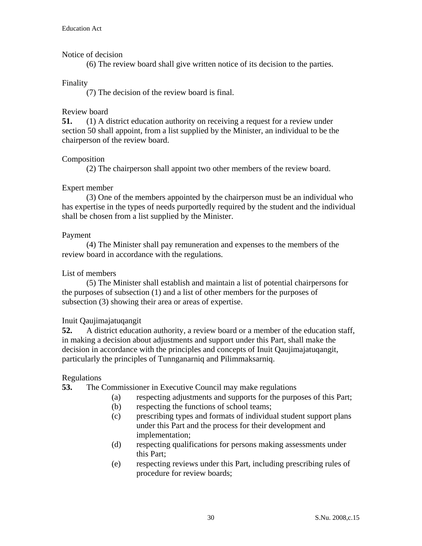#### Notice of decision

(6) The review board shall give written notice of its decision to the parties.

#### Finality

(7) The decision of the review board is final.

#### Review board

**51.** (1) A district education authority on receiving a request for a review under section 50 shall appoint, from a list supplied by the Minister, an individual to be the chairperson of the review board.

#### Composition

(2) The chairperson shall appoint two other members of the review board.

## Expert member

 (3) One of the members appointed by the chairperson must be an individual who has expertise in the types of needs purportedly required by the student and the individual shall be chosen from a list supplied by the Minister.

#### Payment

 (4) The Minister shall pay remuneration and expenses to the members of the review board in accordance with the regulations.

#### List of members

 (5) The Minister shall establish and maintain a list of potential chairpersons for the purposes of subsection (1) and a list of other members for the purposes of subsection (3) showing their area or areas of expertise.

#### Inuit Qaujimajatuqangit

**52.** A district education authority, a review board or a member of the education staff, in making a decision about adjustments and support under this Part, shall make the decision in accordance with the principles and concepts of Inuit Qaujimajatuqangit, particularly the principles of Tunnganarniq and Pilimmaksarniq.

#### Regulations

**53.** The Commissioner in Executive Council may make regulations

- (a) respecting adjustments and supports for the purposes of this Part;
- (b) respecting the functions of school teams;
- (c) prescribing types and formats of individual student support plans under this Part and the process for their development and implementation;
- (d) respecting qualifications for persons making assessments under this Part;
- (e) respecting reviews under this Part, including prescribing rules of procedure for review boards;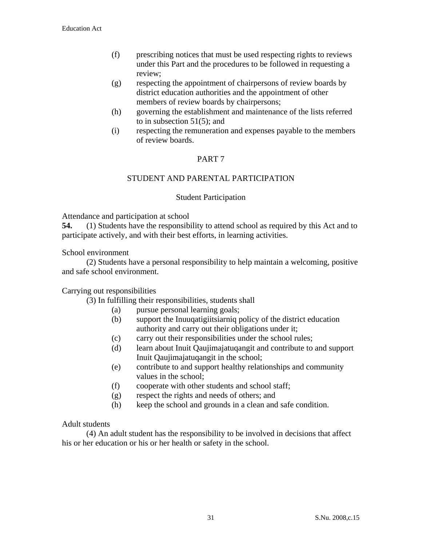- (f) prescribing notices that must be used respecting rights to reviews under this Part and the procedures to be followed in requesting a review;
- (g) respecting the appointment of chairpersons of review boards by district education authorities and the appointment of other members of review boards by chairpersons;
- (h) governing the establishment and maintenance of the lists referred to in subsection 51(5); and
- (i) respecting the remuneration and expenses payable to the members of review boards.

# PART 7

## STUDENT AND PARENTAL PARTICIPATION

#### Student Participation

Attendance and participation at school

**54.** (1) Students have the responsibility to attend school as required by this Act and to participate actively, and with their best efforts, in learning activities.

School environment

 (2) Students have a personal responsibility to help maintain a welcoming, positive and safe school environment.

#### Carrying out responsibilities

(3) In fulfilling their responsibilities, students shall

- (a) pursue personal learning goals;
- (b) support the Inuuqatigiitsiarniq policy of the district education authority and carry out their obligations under it;
- (c) carry out their responsibilities under the school rules;
- (d) learn about Inuit Qaujimajatuqangit and contribute to and support Inuit Qaujimajatuqangit in the school;
- (e) contribute to and support healthy relationships and community values in the school;
- (f) cooperate with other students and school staff;
- (g) respect the rights and needs of others; and
- (h) keep the school and grounds in a clean and safe condition.

#### Adult students

 (4) An adult student has the responsibility to be involved in decisions that affect his or her education or his or her health or safety in the school.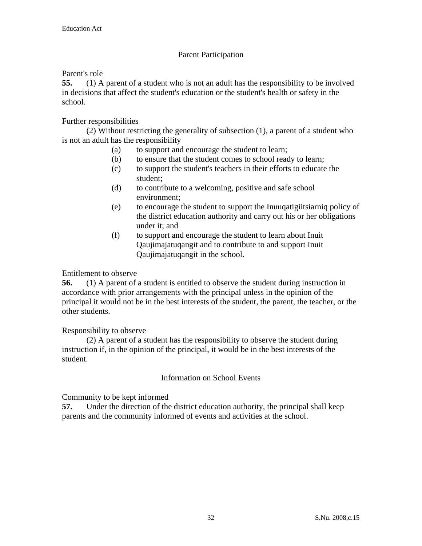# Parent Participation

## Parent's role

**55.** (1) A parent of a student who is not an adult has the responsibility to be involved in decisions that affect the student's education or the student's health or safety in the school.

# Further responsibilities

 (2) Without restricting the generality of subsection (1), a parent of a student who is not an adult has the responsibility

- (a) to support and encourage the student to learn;
- (b) to ensure that the student comes to school ready to learn;
- (c) to support the student's teachers in their efforts to educate the student;
- (d) to contribute to a welcoming, positive and safe school environment;
- (e) to encourage the student to support the Inuuqatigiitsiarniq policy of the district education authority and carry out his or her obligations under it; and
- (f) to support and encourage the student to learn about Inuit Qaujimajatuqangit and to contribute to and support Inuit Qaujimajatuqangit in the school.

## Entitlement to observe

**56.** (1) A parent of a student is entitled to observe the student during instruction in accordance with prior arrangements with the principal unless in the opinion of the principal it would not be in the best interests of the student, the parent, the teacher, or the other students.

## Responsibility to observe

 (2) A parent of a student has the responsibility to observe the student during instruction if, in the opinion of the principal, it would be in the best interests of the student.

## Information on School Events

Community to be kept informed

**57.** Under the direction of the district education authority, the principal shall keep parents and the community informed of events and activities at the school.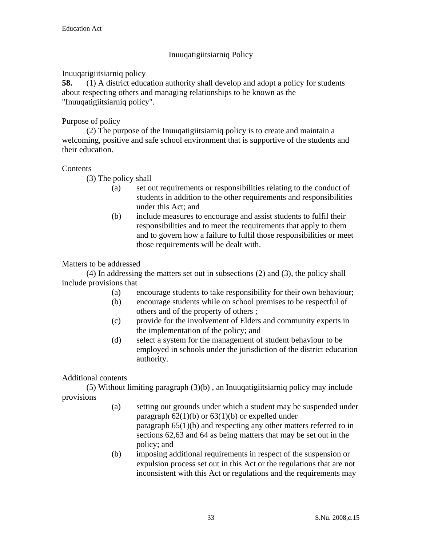# Inuuqatigiitsiarniq Policy

# Inuuqatigiitsiarniq policy

**58.** (1) A district education authority shall develop and adopt a policy for students about respecting others and managing relationships to be known as the "Inuuqatigiitsiarniq policy".

# Purpose of policy

 (2) The purpose of the Inuuqatigiitsiarniq policy is to create and maintain a welcoming, positive and safe school environment that is supportive of the students and their education.

## **Contents**

(3) The policy shall

- (a) set out requirements or responsibilities relating to the conduct of students in addition to the other requirements and responsibilities under this Act; and
- (b) include measures to encourage and assist students to fulfil their responsibilities and to meet the requirements that apply to them and to govern how a failure to fulfil those responsibilities or meet those requirements will be dealt with.

## Matters to be addressed

 (4) In addressing the matters set out in subsections (2) and (3), the policy shall include provisions that

- (a) encourage students to take responsibility for their own behaviour;
- (b) encourage students while on school premises to be respectful of others and of the property of others ;
- (c) provide for the involvement of Elders and community experts in the implementation of the policy; and
- (d) select a system for the management of student behaviour to be employed in schools under the jurisdiction of the district education authority.

# Additional contents

 (5) Without limiting paragraph (3)(b) , an Inuuqatigiitsiarniq policy may include provisions

- (a) setting out grounds under which a student may be suspended under paragraph  $62(1)(b)$  or  $63(1)(b)$  or expelled under paragraph 65(1)(b) and respecting any other matters referred to in sections 62,63 and 64 as being matters that may be set out in the policy; and
- (b) imposing additional requirements in respect of the suspension or expulsion process set out in this Act or the regulations that are not inconsistent with this Act or regulations and the requirements may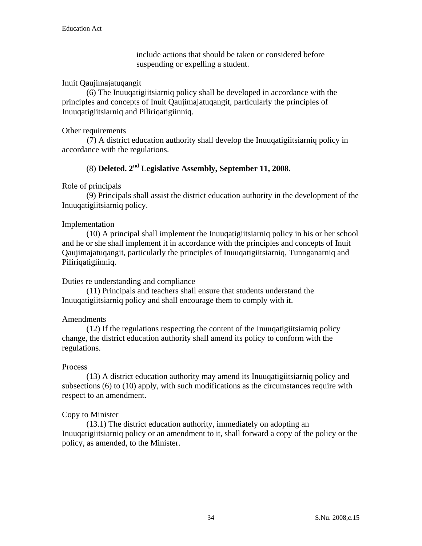include actions that should be taken or considered before suspending or expelling a student.

## Inuit Qaujimajatuqangit

 (6) The Inuuqatigiitsiarniq policy shall be developed in accordance with the principles and concepts of Inuit Qaujimajatuqangit, particularly the principles of Inuuqatigiitsiarniq and Piliriqatigiinniq.

## Other requirements

(7) A district education authority shall develop the Inuuqatigiitsiarniq policy in accordance with the regulations.

# (8) **Deleted. 2nd Legislative Assembly, September 11, 2008.**

# Role of principals

 (9) Principals shall assist the district education authority in the development of the Inuuqatigiitsiarniq policy.

## Implementation

 (10) A principal shall implement the Inuuqatigiitsiarniq policy in his or her school and he or she shall implement it in accordance with the principles and concepts of Inuit Qaujimajatuqangit, particularly the principles of Inuuqatigiitsiarniq, Tunnganarniq and Piliriqatigiinniq.

# Duties re understanding and compliance

 (11) Principals and teachers shall ensure that students understand the Inuuqatigiitsiarniq policy and shall encourage them to comply with it.

# Amendments

 (12) If the regulations respecting the content of the Inuuqatigiitsiarniq policy change, the district education authority shall amend its policy to conform with the regulations.

## **Process**

 (13) A district education authority may amend its Inuuqatigiitsiarniq policy and subsections (6) to (10) apply, with such modifications as the circumstances require with respect to an amendment.

# Copy to Minister

 (13.1) The district education authority, immediately on adopting an Inuuqatigiitsiarniq policy or an amendment to it, shall forward a copy of the policy or the policy, as amended, to the Minister.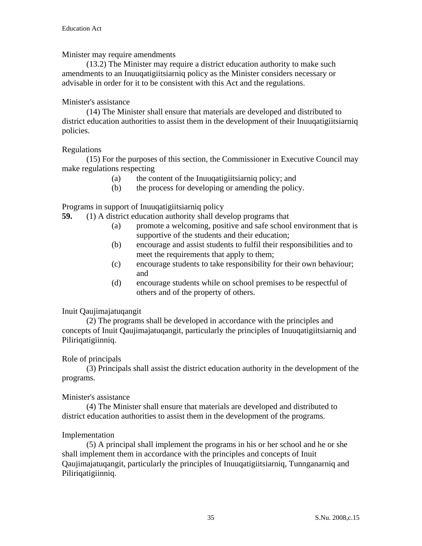#### Minister may require amendments

 (13.2) The Minister may require a district education authority to make such amendments to an Inuuqatigiitsiarniq policy as the Minister considers necessary or advisable in order for it to be consistent with this Act and the regulations.

#### Minister's assistance

 (14) The Minister shall ensure that materials are developed and distributed to district education authorities to assist them in the development of their Inuuqatigiitsiarniq policies.

#### Regulations

 (15) For the purposes of this section, the Commissioner in Executive Council may make regulations respecting

- (a) the content of the Inuuqatigiitsiarniq policy; and
- (b) the process for developing or amending the policy.

Programs in support of Inuuqatigiitsiarniq policy

- **59.** (1) A district education authority shall develop programs that
	- (a) promote a welcoming, positive and safe school environment that is supportive of the students and their education;
	- (b) encourage and assist students to fulfil their responsibilities and to meet the requirements that apply to them;
	- (c) encourage students to take responsibility for their own behaviour; and
	- (d) encourage students while on school premises to be respectful of others and of the property of others.

## Inuit Qaujimajatuqangit

 (2) The programs shall be developed in accordance with the principles and concepts of Inuit Qaujimajatuqangit, particularly the principles of Inuuqatigiitsiarniq and Piliriqatigiinniq.

## Role of principals

 (3) Principals shall assist the district education authority in the development of the programs.

#### Minister's assistance

 (4) The Minister shall ensure that materials are developed and distributed to district education authorities to assist them in the development of the programs.

#### Implementation

 (5) A principal shall implement the programs in his or her school and he or she shall implement them in accordance with the principles and concepts of Inuit Qaujimajatuqangit, particularly the principles of Inuuqatigiitsiarniq, Tunnganarniq and Piliriqatigiinniq.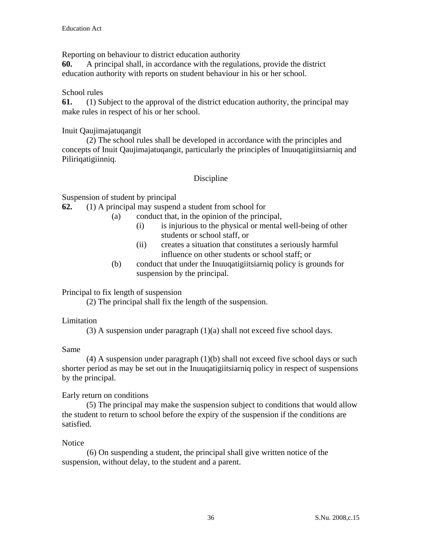Reporting on behaviour to district education authority

**60.** A principal shall, in accordance with the regulations, provide the district education authority with reports on student behaviour in his or her school.

#### School rules

**61.** (1) Subject to the approval of the district education authority, the principal may make rules in respect of his or her school.

#### Inuit Qaujimajatuqangit

 (2) The school rules shall be developed in accordance with the principles and concepts of Inuit Qaujimajatuqangit, particularly the principles of Inuuqatigiitsiarniq and Piliriqatigiinniq.

## Discipline

Suspension of student by principal

**62.** (1) A principal may suspend a student from school for

- (a) conduct that, in the opinion of the principal,
	- (i) is injurious to the physical or mental well-being of other students or school staff, or
	- (ii) creates a situation that constitutes a seriously harmful influence on other students or school staff; or
	- (b) conduct that under the Inuuqatigiitsiarniq policy is grounds for suspension by the principal.

## Principal to fix length of suspension

(2) The principal shall fix the length of the suspension.

## Limitation

(3) A suspension under paragraph (1)(a) shall not exceed five school days.

#### Same

 (4) A suspension under paragraph (1)(b) shall not exceed five school days or such shorter period as may be set out in the Inuuqatigiitsiarniq policy in respect of suspensions by the principal.

## Early return on conditions

 (5) The principal may make the suspension subject to conditions that would allow the student to return to school before the expiry of the suspension if the conditions are satisfied.

## **Notice**

(6) On suspending a student, the principal shall give written notice of the suspension, without delay, to the student and a parent.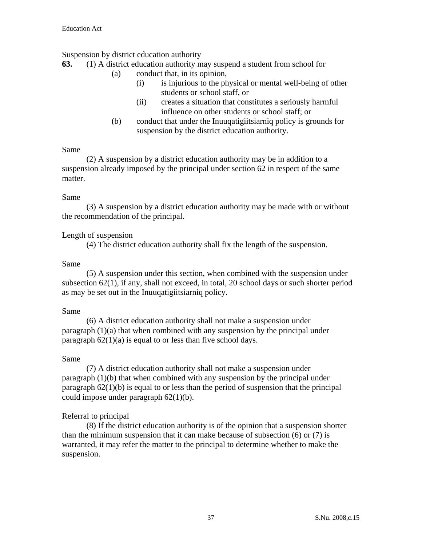## Suspension by district education authority

- **63.** (1) A district education authority may suspend a student from school for
	- (a) conduct that, in its opinion,
		- (i) is injurious to the physical or mental well-being of other students or school staff, or
		- (ii) creates a situation that constitutes a seriously harmful influence on other students or school staff; or
	- (b) conduct that under the Inuuqatigiitsiarniq policy is grounds for suspension by the district education authority.

## Same

 (2) A suspension by a district education authority may be in addition to a suspension already imposed by the principal under section 62 in respect of the same matter.

# Same

 (3) A suspension by a district education authority may be made with or without the recommendation of the principal.

# Length of suspension

(4) The district education authority shall fix the length of the suspension.

# Same

 (5) A suspension under this section, when combined with the suspension under subsection 62(1), if any, shall not exceed, in total, 20 school days or such shorter period as may be set out in the Inuuqatigiitsiarniq policy.

## Same

 (6) A district education authority shall not make a suspension under paragraph (1)(a) that when combined with any suspension by the principal under paragraph  $62(1)(a)$  is equal to or less than five school days.

## Same

 (7) A district education authority shall not make a suspension under paragraph (1)(b) that when combined with any suspension by the principal under paragraph 62(1)(b) is equal to or less than the period of suspension that the principal could impose under paragraph 62(1)(b).

# Referral to principal

 (8) If the district education authority is of the opinion that a suspension shorter than the minimum suspension that it can make because of subsection (6) or (7) is warranted, it may refer the matter to the principal to determine whether to make the suspension.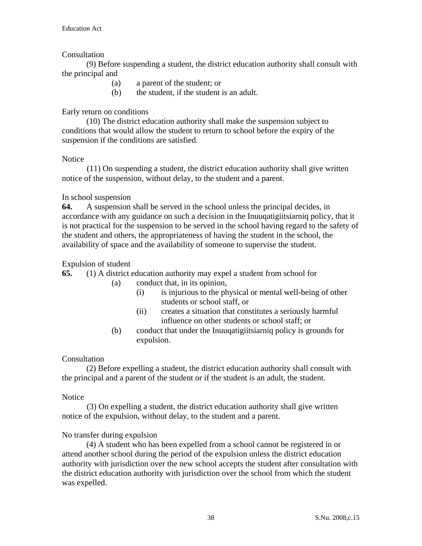## **Consultation**

 (9) Before suspending a student, the district education authority shall consult with the principal and

- (a) a parent of the student; or
- (b) the student, if the student is an adult.

# Early return on conditions

 (10) The district education authority shall make the suspension subject to conditions that would allow the student to return to school before the expiry of the suspension if the conditions are satisfied.

## **Notice**

(11) On suspending a student, the district education authority shall give written notice of the suspension, without delay, to the student and a parent.

## In school suspension

**64.** A suspension shall be served in the school unless the principal decides, in accordance with any guidance on such a decision in the Inuuqatigiitsiarniq policy, that it is not practical for the suspension to be served in the school having regard to the safety of the student and others, the appropriateness of having the student in the school, the availability of space and the availability of someone to supervise the student.

## Expulsion of student

**65.** (1) A district education authority may expel a student from school for

(a) conduct that, in its opinion,

- (i) is injurious to the physical or mental well-being of other students or school staff, or
- (ii) creates a situation that constitutes a seriously harmful influence on other students or school staff; or
- (b) conduct that under the Inuuqatigiitsiarniq policy is grounds for expulsion.

## **Consultation**

 (2) Before expelling a student, the district education authority shall consult with the principal and a parent of the student or if the student is an adult, the student.

## **Notice**

(3) On expelling a student, the district education authority shall give written notice of the expulsion, without delay, to the student and a parent.

## No transfer during expulsion

 (4) A student who has been expelled from a school cannot be registered in or attend another school during the period of the expulsion unless the district education authority with jurisdiction over the new school accepts the student after consultation with the district education authority with jurisdiction over the school from which the student was expelled.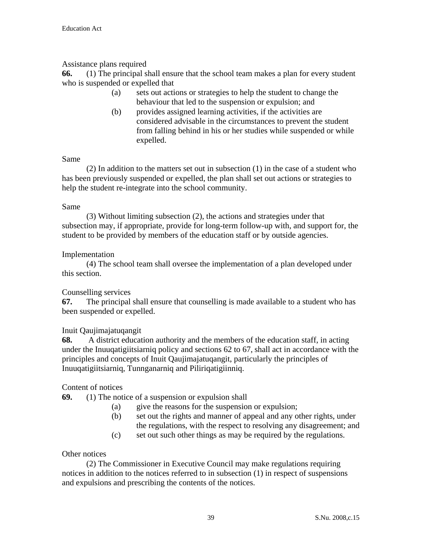# Assistance plans required

**66.** (1) The principal shall ensure that the school team makes a plan for every student who is suspended or expelled that

- (a) sets out actions or strategies to help the student to change the behaviour that led to the suspension or expulsion; and
- (b) provides assigned learning activities, if the activities are considered advisable in the circumstances to prevent the student from falling behind in his or her studies while suspended or while expelled.

#### Same

 (2) In addition to the matters set out in subsection (1) in the case of a student who has been previously suspended or expelled, the plan shall set out actions or strategies to help the student re-integrate into the school community.

#### Same

 (3) Without limiting subsection (2), the actions and strategies under that subsection may, if appropriate, provide for long-term follow-up with, and support for, the student to be provided by members of the education staff or by outside agencies.

## Implementation

 (4) The school team shall oversee the implementation of a plan developed under this section.

## Counselling services

**67.** The principal shall ensure that counselling is made available to a student who has been suspended or expelled.

## Inuit Qaujimajatuqangit

**68.** A district education authority and the members of the education staff, in acting under the Inuuqatigiitsiarniq policy and sections 62 to 67, shall act in accordance with the principles and concepts of Inuit Qaujimajatuqangit, particularly the principles of Inuuqatigiitsiarniq, Tunnganarniq and Piliriqatigiinniq.

## Content of notices

**69.** (1) The notice of a suspension or expulsion shall

- (a) give the reasons for the suspension or expulsion;
- (b) set out the rights and manner of appeal and any other rights, under the regulations, with the respect to resolving any disagreement; and
- (c) set out such other things as may be required by the regulations.

#### Other notices

 (2) The Commissioner in Executive Council may make regulations requiring notices in addition to the notices referred to in subsection (1) in respect of suspensions and expulsions and prescribing the contents of the notices.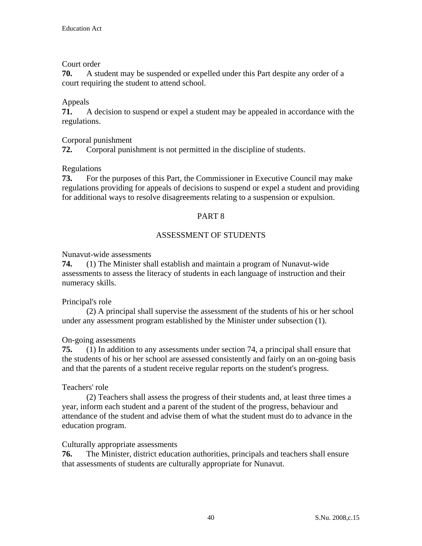## Court order

**70.** A student may be suspended or expelled under this Part despite any order of a court requiring the student to attend school.

# Appeals

**71.** A decision to suspend or expel a student may be appealed in accordance with the regulations.

# Corporal punishment

**72.** Corporal punishment is not permitted in the discipline of students.

# Regulations

**73.** For the purposes of this Part, the Commissioner in Executive Council may make regulations providing for appeals of decisions to suspend or expel a student and providing for additional ways to resolve disagreements relating to a suspension or expulsion.

# PART 8

# ASSESSMENT OF STUDENTS

## Nunavut-wide assessments

**74.** (1) The Minister shall establish and maintain a program of Nunavut-wide assessments to assess the literacy of students in each language of instruction and their numeracy skills.

## Principal's role

 (2) A principal shall supervise the assessment of the students of his or her school under any assessment program established by the Minister under subsection (1).

## On-going assessments

**75.** (1) In addition to any assessments under section 74, a principal shall ensure that the students of his or her school are assessed consistently and fairly on an on-going basis and that the parents of a student receive regular reports on the student's progress.

## Teachers' role

 (2) Teachers shall assess the progress of their students and, at least three times a year, inform each student and a parent of the student of the progress, behaviour and attendance of the student and advise them of what the student must do to advance in the education program.

## Culturally appropriate assessments

**76.** The Minister, district education authorities, principals and teachers shall ensure that assessments of students are culturally appropriate for Nunavut.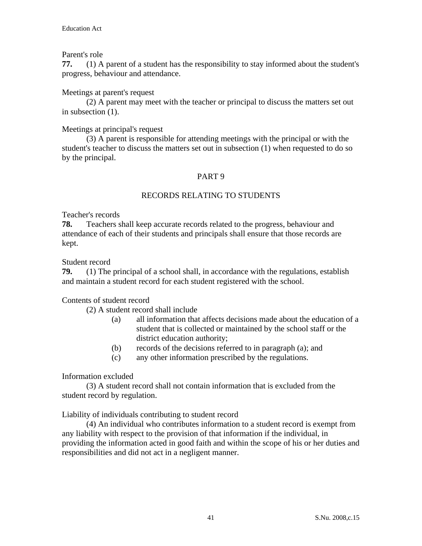## Parent's role

**77.** (1) A parent of a student has the responsibility to stay informed about the student's progress, behaviour and attendance.

#### Meetings at parent's request

 (2) A parent may meet with the teacher or principal to discuss the matters set out in subsection (1).

#### Meetings at principal's request

 (3) A parent is responsible for attending meetings with the principal or with the student's teacher to discuss the matters set out in subsection (1) when requested to do so by the principal.

## PART 9

## RECORDS RELATING TO STUDENTS

#### Teacher's records

**78.** Teachers shall keep accurate records related to the progress, behaviour and attendance of each of their students and principals shall ensure that those records are kept.

#### Student record

**79.** (1) The principal of a school shall, in accordance with the regulations, establish and maintain a student record for each student registered with the school.

#### Contents of student record

(2) A student record shall include

- (a) all information that affects decisions made about the education of a student that is collected or maintained by the school staff or the district education authority;
- (b) records of the decisions referred to in paragraph (a); and
- (c) any other information prescribed by the regulations.

#### Information excluded

 (3) A student record shall not contain information that is excluded from the student record by regulation.

#### Liability of individuals contributing to student record

 (4) An individual who contributes information to a student record is exempt from any liability with respect to the provision of that information if the individual, in providing the information acted in good faith and within the scope of his or her duties and responsibilities and did not act in a negligent manner.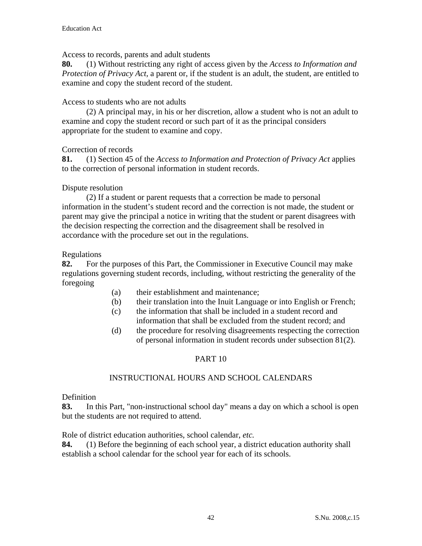Access to records, parents and adult students

**80.** (1) Without restricting any right of access given by the *Access to Information and Protection of Privacy Act,* a parent or, if the student is an adult, the student, are entitled to examine and copy the student record of the student.

## Access to students who are not adults

 (2) A principal may, in his or her discretion, allow a student who is not an adult to examine and copy the student record or such part of it as the principal considers appropriate for the student to examine and copy.

# Correction of records

**81.** (1) Section 45 of the *Access to Information and Protection of Privacy Act* applies to the correction of personal information in student records.

# Dispute resolution

 (2) If a student or parent requests that a correction be made to personal information in the student's student record and the correction is not made, the student or parent may give the principal a notice in writing that the student or parent disagrees with the decision respecting the correction and the disagreement shall be resolved in accordance with the procedure set out in the regulations.

Regulations

**82.** For the purposes of this Part, the Commissioner in Executive Council may make regulations governing student records, including, without restricting the generality of the foregoing

- (a) their establishment and maintenance;
- (b) their translation into the Inuit Language or into English or French;
- (c) the information that shall be included in a student record and information that shall be excluded from the student record; and
- (d) the procedure for resolving disagreements respecting the correction of personal information in student records under subsection 81(2).

# PART 10

# INSTRUCTIONAL HOURS AND SCHOOL CALENDARS

Definition

**83.** In this Part, "non-instructional school day" means a day on which a school is open but the students are not required to attend.

Role of district education authorities, school calendar, *etc.* 

**84.** (1) Before the beginning of each school year, a district education authority shall establish a school calendar for the school year for each of its schools.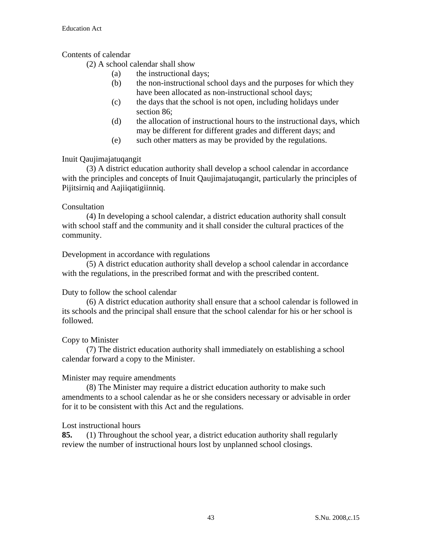# Contents of calendar

(2) A school calendar shall show

- (a) the instructional days;
- (b) the non-instructional school days and the purposes for which they have been allocated as non-instructional school days;
- (c) the days that the school is not open, including holidays under section 86;
- (d) the allocation of instructional hours to the instructional days, which may be different for different grades and different days; and
- (e) such other matters as may be provided by the regulations.

## Inuit Qaujimajatuqangit

 (3) A district education authority shall develop a school calendar in accordance with the principles and concepts of Inuit Qaujimajatuqangit, particularly the principles of Pijitsirniq and Aajiiqatigiinniq.

## Consultation

 (4) In developing a school calendar, a district education authority shall consult with school staff and the community and it shall consider the cultural practices of the community.

## Development in accordance with regulations

 (5) A district education authority shall develop a school calendar in accordance with the regulations, in the prescribed format and with the prescribed content.

## Duty to follow the school calendar

 (6) A district education authority shall ensure that a school calendar is followed in its schools and the principal shall ensure that the school calendar for his or her school is followed.

## Copy to Minister

 (7) The district education authority shall immediately on establishing a school calendar forward a copy to the Minister.

## Minister may require amendments

 (8) The Minister may require a district education authority to make such amendments to a school calendar as he or she considers necessary or advisable in order for it to be consistent with this Act and the regulations.

## Lost instructional hours

**85.** (1) Throughout the school year, a district education authority shall regularly review the number of instructional hours lost by unplanned school closings.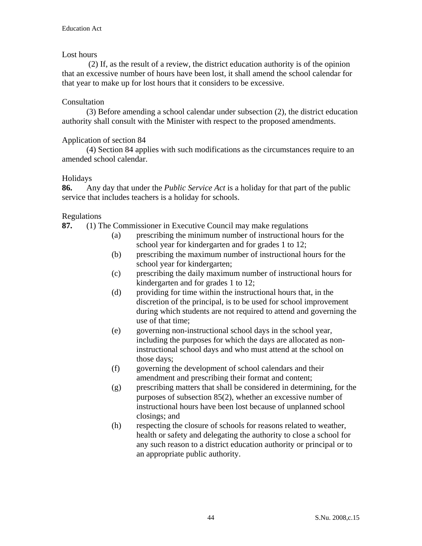## Lost hours

 (2) If, as the result of a review, the district education authority is of the opinion that an excessive number of hours have been lost, it shall amend the school calendar for that year to make up for lost hours that it considers to be excessive.

#### Consultation

 (3) Before amending a school calendar under subsection (2), the district education authority shall consult with the Minister with respect to the proposed amendments.

#### Application of section 84

 (4) Section 84 applies with such modifications as the circumstances require to an amended school calendar.

#### Holidays

**86.** Any day that under the *Public Service Act* is a holiday for that part of the public service that includes teachers is a holiday for schools.

#### Regulations

**87.** (1) The Commissioner in Executive Council may make regulations

- (a) prescribing the minimum number of instructional hours for the school year for kindergarten and for grades 1 to 12;
	- (b) prescribing the maximum number of instructional hours for the school year for kindergarten;
	- (c) prescribing the daily maximum number of instructional hours for kindergarten and for grades 1 to 12;
	- (d) providing for time within the instructional hours that, in the discretion of the principal, is to be used for school improvement during which students are not required to attend and governing the use of that time;
	- (e) governing non-instructional school days in the school year, including the purposes for which the days are allocated as noninstructional school days and who must attend at the school on those days;
	- (f) governing the development of school calendars and their amendment and prescribing their format and content;
	- (g) prescribing matters that shall be considered in determining, for the purposes of subsection 85(2), whether an excessive number of instructional hours have been lost because of unplanned school closings; and
	- (h) respecting the closure of schools for reasons related to weather, health or safety and delegating the authority to close a school for any such reason to a district education authority or principal or to an appropriate public authority.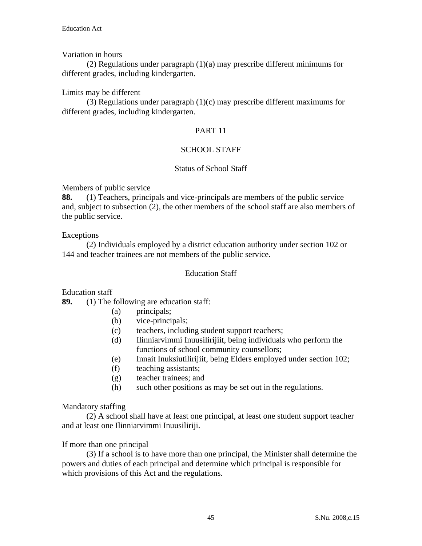## Variation in hours

(2) Regulations under paragraph (1)(a) may prescribe different minimums for different grades, including kindergarten.

#### Limits may be different

(3) Regulations under paragraph (1)(c) may prescribe different maximums for different grades, including kindergarten.

## PART 11

## SCHOOL STAFF

#### Status of School Staff

Members of public service

**88.** (1) Teachers, principals and vice-principals are members of the public service and, subject to subsection (2), the other members of the school staff are also members of the public service.

#### Exceptions

 (2) Individuals employed by a district education authority under section 102 or 144 and teacher trainees are not members of the public service.

#### Education Staff

Education staff

- **89.** (1) The following are education staff:
	- (a) principals;
	- (b) vice-principals;
	- (c) teachers, including student support teachers;
	- (d) Ilinniarvimmi Inuusilirijiit, being individuals who perform the functions of school community counsellors;
	- (e) Innait Inuksiutilirijiit, being Elders employed under section 102;
	- (f) teaching assistants;
	- (g) teacher trainees; and
	- (h) such other positions as may be set out in the regulations.

#### Mandatory staffing

 (2) A school shall have at least one principal, at least one student support teacher and at least one Ilinniarvimmi Inuusiliriji.

If more than one principal

 (3) If a school is to have more than one principal, the Minister shall determine the powers and duties of each principal and determine which principal is responsible for which provisions of this Act and the regulations.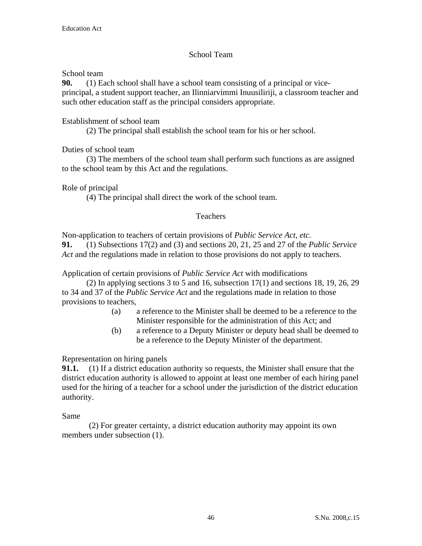# School Team

School team

**90.** (1) Each school shall have a school team consisting of a principal or viceprincipal, a student support teacher, an Ilinniarvimmi Inuusiliriji, a classroom teacher and such other education staff as the principal considers appropriate.

# Establishment of school team

(2) The principal shall establish the school team for his or her school.

Duties of school team

 (3) The members of the school team shall perform such functions as are assigned to the school team by this Act and the regulations.

Role of principal

(4) The principal shall direct the work of the school team.

# Teachers

Non-application to teachers of certain provisions of *Public Service Act*, *etc.*

**91.** (1) Subsections 17(2) and (3) and sections 20, 21, 25 and 27 of the *Public Service Act* and the regulations made in relation to those provisions do not apply to teachers.

Application of certain provisions of *Public Service Act* with modifications

(2) In applying sections 3 to 5 and 16, subsection  $17(1)$  and sections 18, 19, 26, 29 to 34 and 37 of the *Public Service Act* and the regulations made in relation to those provisions to teachers,

- (a) a reference to the Minister shall be deemed to be a reference to the Minister responsible for the administration of this Act; and
- (b) a reference to a Deputy Minister or deputy head shall be deemed to be a reference to the Deputy Minister of the department.

Representation on hiring panels

**91.1.** (1) If a district education authority so requests, the Minister shall ensure that the district education authority is allowed to appoint at least one member of each hiring panel used for the hiring of a teacher for a school under the jurisdiction of the district education authority.

Same

 (2) For greater certainty, a district education authority may appoint its own members under subsection  $(1)$ .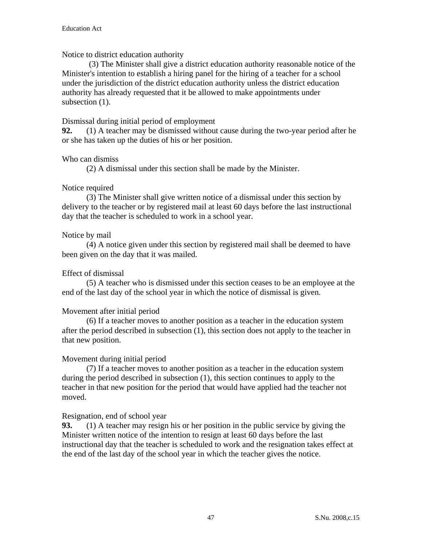#### Notice to district education authority

 (3) The Minister shall give a district education authority reasonable notice of the Minister's intention to establish a hiring panel for the hiring of a teacher for a school under the jurisdiction of the district education authority unless the district education authority has already requested that it be allowed to make appointments under subsection  $(1)$ .

#### Dismissal during initial period of employment

**92.** (1) A teacher may be dismissed without cause during the two-year period after he or she has taken up the duties of his or her position.

#### Who can dismiss

(2) A dismissal under this section shall be made by the Minister.

## Notice required

 (3) The Minister shall give written notice of a dismissal under this section by delivery to the teacher or by registered mail at least 60 days before the last instructional day that the teacher is scheduled to work in a school year.

## Notice by mail

 (4) A notice given under this section by registered mail shall be deemed to have been given on the day that it was mailed.

## Effect of dismissal

 (5) A teacher who is dismissed under this section ceases to be an employee at the end of the last day of the school year in which the notice of dismissal is given.

## Movement after initial period

 (6) If a teacher moves to another position as a teacher in the education system after the period described in subsection (1), this section does not apply to the teacher in that new position.

#### Movement during initial period

 (7) If a teacher moves to another position as a teacher in the education system during the period described in subsection (1), this section continues to apply to the teacher in that new position for the period that would have applied had the teacher not moved.

#### Resignation, end of school year

**93.** (1) A teacher may resign his or her position in the public service by giving the Minister written notice of the intention to resign at least 60 days before the last instructional day that the teacher is scheduled to work and the resignation takes effect at the end of the last day of the school year in which the teacher gives the notice.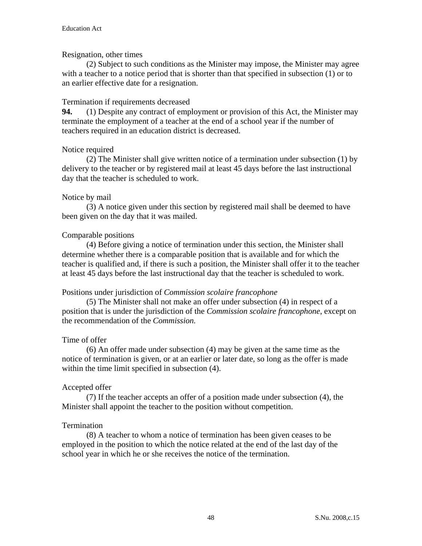#### Resignation, other times

 (2) Subject to such conditions as the Minister may impose, the Minister may agree with a teacher to a notice period that is shorter than that specified in subsection (1) or to an earlier effective date for a resignation.

#### Termination if requirements decreased

**94.** (1) Despite any contract of employment or provision of this Act, the Minister may terminate the employment of a teacher at the end of a school year if the number of teachers required in an education district is decreased.

#### Notice required

 (2) The Minister shall give written notice of a termination under subsection (1) by delivery to the teacher or by registered mail at least 45 days before the last instructional day that the teacher is scheduled to work.

#### Notice by mail

 (3) A notice given under this section by registered mail shall be deemed to have been given on the day that it was mailed.

## Comparable positions

 (4) Before giving a notice of termination under this section, the Minister shall determine whether there is a comparable position that is available and for which the teacher is qualified and, if there is such a position, the Minister shall offer it to the teacher at least 45 days before the last instructional day that the teacher is scheduled to work.

#### Positions under jurisdiction of *Commission scolaire francophone*

 (5) The Minister shall not make an offer under subsection (4) in respect of a position that is under the jurisdiction of the *Commission scolaire francophone*, except on the recommendation of the *Commission.* 

#### Time of offer

 (6) An offer made under subsection (4) may be given at the same time as the notice of termination is given, or at an earlier or later date, so long as the offer is made within the time limit specified in subsection (4).

#### Accepted offer

 (7) If the teacher accepts an offer of a position made under subsection (4), the Minister shall appoint the teacher to the position without competition.

#### Termination

 (8) A teacher to whom a notice of termination has been given ceases to be employed in the position to which the notice related at the end of the last day of the school year in which he or she receives the notice of the termination.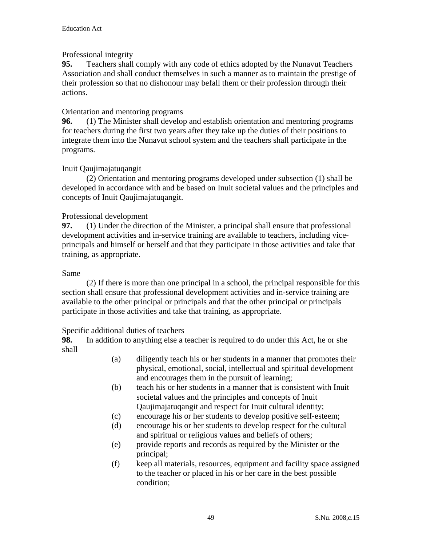# Professional integrity

**95.** Teachers shall comply with any code of ethics adopted by the Nunavut Teachers Association and shall conduct themselves in such a manner as to maintain the prestige of their profession so that no dishonour may befall them or their profession through their actions.

# Orientation and mentoring programs

**96.** (1) The Minister shall develop and establish orientation and mentoring programs for teachers during the first two years after they take up the duties of their positions to integrate them into the Nunavut school system and the teachers shall participate in the programs.

# Inuit Qaujimajatuqangit

 (2) Orientation and mentoring programs developed under subsection (1) shall be developed in accordance with and be based on Inuit societal values and the principles and concepts of Inuit Qaujimajatuqangit.

# Professional development

**97.** (1) Under the direction of the Minister, a principal shall ensure that professional development activities and in-service training are available to teachers, including viceprincipals and himself or herself and that they participate in those activities and take that training, as appropriate.

## Same

 (2) If there is more than one principal in a school, the principal responsible for this section shall ensure that professional development activities and in-service training are available to the other principal or principals and that the other principal or principals participate in those activities and take that training, as appropriate.

## Specific additional duties of teachers

**98.** In addition to anything else a teacher is required to do under this Act, he or she shall

- (a) diligently teach his or her students in a manner that promotes their physical, emotional, social, intellectual and spiritual development and encourages them in the pursuit of learning;
- (b) teach his or her students in a manner that is consistent with Inuit societal values and the principles and concepts of Inuit Qaujimajatuqangit and respect for Inuit cultural identity;
- (c) encourage his or her students to develop positive self-esteem;
- (d) encourage his or her students to develop respect for the cultural and spiritual or religious values and beliefs of others;
- (e) provide reports and records as required by the Minister or the principal;
- (f) keep all materials, resources, equipment and facility space assigned to the teacher or placed in his or her care in the best possible condition;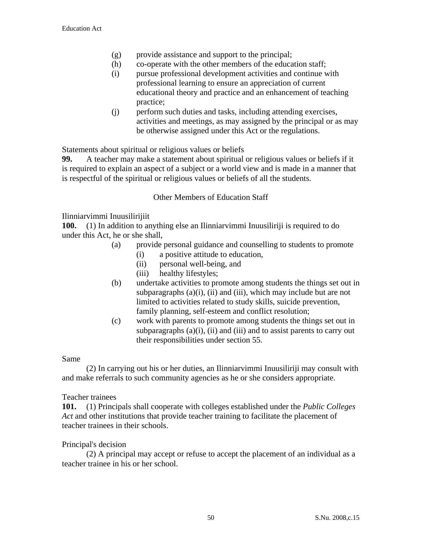- (g) provide assistance and support to the principal;
- (h) co-operate with the other members of the education staff;
- (i) pursue professional development activities and continue with professional learning to ensure an appreciation of current educational theory and practice and an enhancement of teaching practice;
- (j) perform such duties and tasks, including attending exercises, activities and meetings, as may assigned by the principal or as may be otherwise assigned under this Act or the regulations.

Statements about spiritual or religious values or beliefs

**99.** A teacher may make a statement about spiritual or religious values or beliefs if it is required to explain an aspect of a subject or a world view and is made in a manner that is respectful of the spiritual or religious values or beliefs of all the students.

#### Other Members of Education Staff

Ilinniarvimmi Inuusilirijiit

**100.** (1) In addition to anything else an Ilinniarvimmi Inuusiliriji is required to do under this Act, he or she shall,

- (a) provide personal guidance and counselling to students to promote
	- (i) a positive attitude to education,
	- (ii) personal well-being, and
	- (iii) healthy lifestyles;
- (b) undertake activities to promote among students the things set out in subparagraphs  $(a)(i)$ ,  $(ii)$  and  $(iii)$ , which may include but are not limited to activities related to study skills, suicide prevention, family planning, self-esteem and conflict resolution;
- (c) work with parents to promote among students the things set out in subparagraphs  $(a)(i)$ ,  $(ii)$  and  $(iii)$  and to assist parents to carry out their responsibilities under section 55.

#### Same

 (2) In carrying out his or her duties, an Ilinniarvimmi Inuusiliriji may consult with and make referrals to such community agencies as he or she considers appropriate.

#### Teacher trainees

**101.** (1) Principals shall cooperate with colleges established under the *Public Colleges Act* and other institutions that provide teacher training to facilitate the placement of teacher trainees in their schools.

#### Principal's decision

 (2) A principal may accept or refuse to accept the placement of an individual as a teacher trainee in his or her school.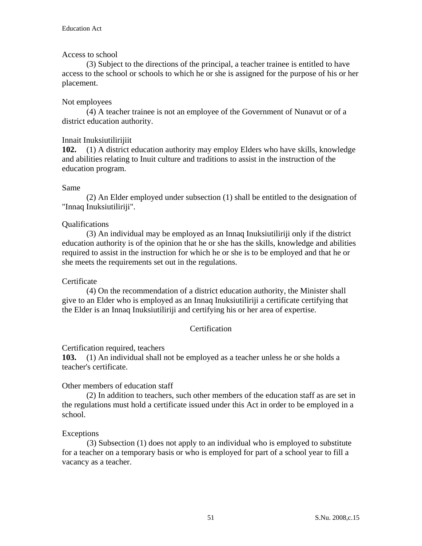## Access to school

 (3) Subject to the directions of the principal, a teacher trainee is entitled to have access to the school or schools to which he or she is assigned for the purpose of his or her placement.

## Not employees

(4) A teacher trainee is not an employee of the Government of Nunavut or of a district education authority.

# Innait Inuksiutilirijiit

**102.** (1) A district education authority may employ Elders who have skills, knowledge and abilities relating to Inuit culture and traditions to assist in the instruction of the education program.

## Same

 (2) An Elder employed under subsection (1) shall be entitled to the designation of "Innaq Inuksiutiliriji".

# Qualifications

 (3) An individual may be employed as an Innaq Inuksiutiliriji only if the district education authority is of the opinion that he or she has the skills, knowledge and abilities required to assist in the instruction for which he or she is to be employed and that he or she meets the requirements set out in the regulations.

## **Certificate**

 (4) On the recommendation of a district education authority, the Minister shall give to an Elder who is employed as an Innaq Inuksiutiliriji a certificate certifying that the Elder is an Innaq Inuksiutiliriji and certifying his or her area of expertise.

# **Certification**

## Certification required, teachers

**103.** (1) An individual shall not be employed as a teacher unless he or she holds a teacher's certificate.

Other members of education staff

(2) In addition to teachers, such other members of the education staff as are set in the regulations must hold a certificate issued under this Act in order to be employed in a school.

## Exceptions

(3) Subsection (1) does not apply to an individual who is employed to substitute for a teacher on a temporary basis or who is employed for part of a school year to fill a vacancy as a teacher.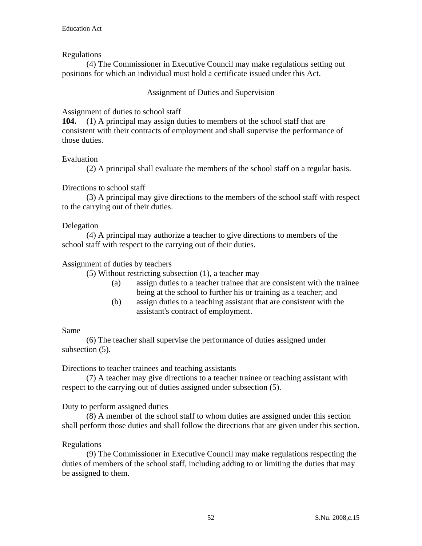## Regulations

 (4) The Commissioner in Executive Council may make regulations setting out positions for which an individual must hold a certificate issued under this Act.

#### Assignment of Duties and Supervision

#### Assignment of duties to school staff

**104.** (1) A principal may assign duties to members of the school staff that are consistent with their contracts of employment and shall supervise the performance of those duties.

#### Evaluation

(2) A principal shall evaluate the members of the school staff on a regular basis.

#### Directions to school staff

 (3) A principal may give directions to the members of the school staff with respect to the carrying out of their duties.

#### Delegation

 (4) A principal may authorize a teacher to give directions to members of the school staff with respect to the carrying out of their duties.

#### Assignment of duties by teachers

(5) Without restricting subsection (1), a teacher may

- (a) assign duties to a teacher trainee that are consistent with the trainee being at the school to further his or training as a teacher; and
- (b) assign duties to a teaching assistant that are consistent with the assistant's contract of employment.

#### Same

 (6) The teacher shall supervise the performance of duties assigned under subsection  $(5)$ .

#### Directions to teacher trainees and teaching assistants

 (7) A teacher may give directions to a teacher trainee or teaching assistant with respect to the carrying out of duties assigned under subsection (5).

#### Duty to perform assigned duties

 (8) A member of the school staff to whom duties are assigned under this section shall perform those duties and shall follow the directions that are given under this section.

## Regulations

(9) The Commissioner in Executive Council may make regulations respecting the duties of members of the school staff, including adding to or limiting the duties that may be assigned to them.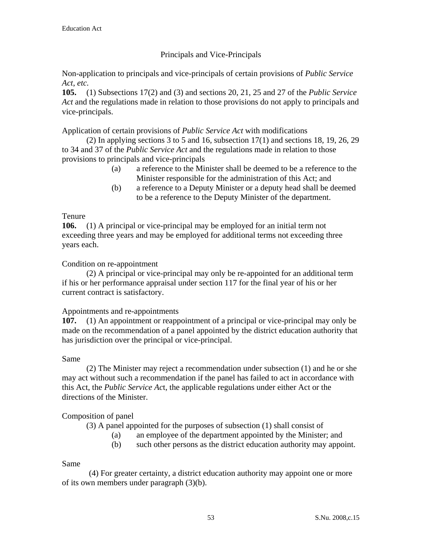# Principals and Vice-Principals

Non-application to principals and vice-principals of certain provisions of *Public Service Act*, *etc.*

**105.** (1) Subsections 17(2) and (3) and sections 20, 21, 25 and 27 of the *Public Service Act* and the regulations made in relation to those provisions do not apply to principals and vice-principals.

Application of certain provisions of *Public Service Act* with modifications

(2) In applying sections 3 to 5 and 16, subsection  $17(1)$  and sections 18, 19, 26, 29 to 34 and 37 of the *Public Service Act* and the regulations made in relation to those provisions to principals and vice-principals

- (a) a reference to the Minister shall be deemed to be a reference to the Minister responsible for the administration of this Act; and
- (b) a reference to a Deputy Minister or a deputy head shall be deemed to be a reference to the Deputy Minister of the department.

# Tenure

**106.** (1) A principal or vice-principal may be employed for an initial term not exceeding three years and may be employed for additional terms not exceeding three years each.

# Condition on re-appointment

 (2) A principal or vice-principal may only be re-appointed for an additional term if his or her performance appraisal under section 117 for the final year of his or her current contract is satisfactory.

## Appointments and re-appointments

**107.** (1) An appointment or reappointment of a principal or vice-principal may only be made on the recommendation of a panel appointed by the district education authority that has jurisdiction over the principal or vice-principal.

## Same

 (2) The Minister may reject a recommendation under subsection (1) and he or she may act without such a recommendation if the panel has failed to act in accordance with this Act, the *Public Service Ac*t, the applicable regulations under either Act or the directions of the Minister.

# Composition of panel

(3) A panel appointed for the purposes of subsection (1) shall consist of

- (a) an employee of the department appointed by the Minister; and
- (b) such other persons as the district education authority may appoint.

## Same

 (4) For greater certainty, a district education authority may appoint one or more of its own members under paragraph (3)(b).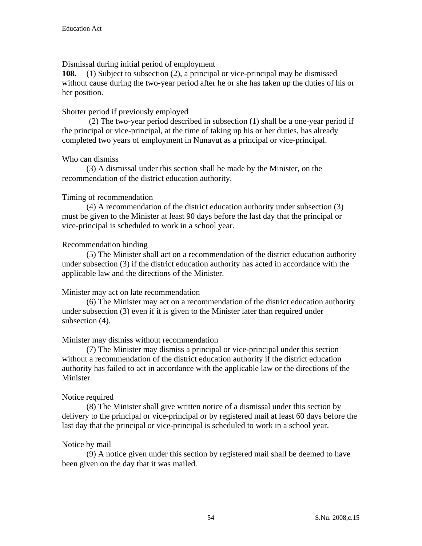## Dismissal during initial period of employment

**108.** (1) Subject to subsection (2), a principal or vice-principal may be dismissed without cause during the two-year period after he or she has taken up the duties of his or her position.

## Shorter period if previously employed

 (2) The two-year period described in subsection (1) shall be a one-year period if the principal or vice-principal, at the time of taking up his or her duties, has already completed two years of employment in Nunavut as a principal or vice-principal.

## Who can dismiss

 (3) A dismissal under this section shall be made by the Minister, on the recommendation of the district education authority.

# Timing of recommendation

 (4) A recommendation of the district education authority under subsection (3) must be given to the Minister at least 90 days before the last day that the principal or vice-principal is scheduled to work in a school year.

# Recommendation binding

 (5) The Minister shall act on a recommendation of the district education authority under subsection (3) if the district education authority has acted in accordance with the applicable law and the directions of the Minister.

## Minister may act on late recommendation

 (6) The Minister may act on a recommendation of the district education authority under subsection (3) even if it is given to the Minister later than required under subsection  $(4)$ .

## Minister may dismiss without recommendation

 (7) The Minister may dismiss a principal or vice-principal under this section without a recommendation of the district education authority if the district education authority has failed to act in accordance with the applicable law or the directions of the Minister.

## Notice required

 (8) The Minister shall give written notice of a dismissal under this section by delivery to the principal or vice-principal or by registered mail at least 60 days before the last day that the principal or vice-principal is scheduled to work in a school year.

## Notice by mail

 (9) A notice given under this section by registered mail shall be deemed to have been given on the day that it was mailed.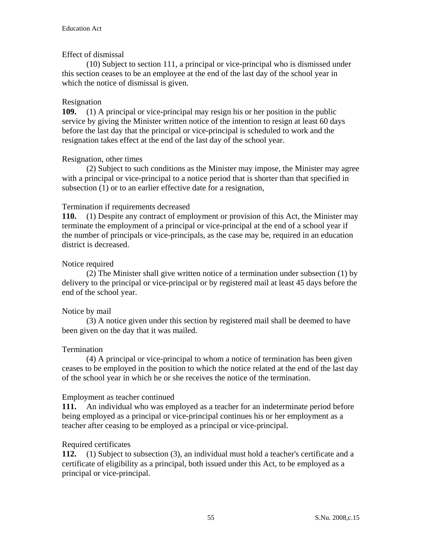## Effect of dismissal

 (10) Subject to section 111, a principal or vice-principal who is dismissed under this section ceases to be an employee at the end of the last day of the school year in which the notice of dismissal is given.

#### Resignation

**109.** (1) A principal or vice-principal may resign his or her position in the public service by giving the Minister written notice of the intention to resign at least 60 days before the last day that the principal or vice-principal is scheduled to work and the resignation takes effect at the end of the last day of the school year.

#### Resignation, other times

 (2) Subject to such conditions as the Minister may impose, the Minister may agree with a principal or vice-principal to a notice period that is shorter than that specified in subsection (1) or to an earlier effective date for a resignation,

#### Termination if requirements decreased

**110.** (1) Despite any contract of employment or provision of this Act, the Minister may terminate the employment of a principal or vice-principal at the end of a school year if the number of principals or vice-principals, as the case may be, required in an education district is decreased.

#### Notice required

 (2) The Minister shall give written notice of a termination under subsection (1) by delivery to the principal or vice-principal or by registered mail at least 45 days before the end of the school year.

#### Notice by mail

 (3) A notice given under this section by registered mail shall be deemed to have been given on the day that it was mailed.

#### Termination

 (4) A principal or vice-principal to whom a notice of termination has been given ceases to be employed in the position to which the notice related at the end of the last day of the school year in which he or she receives the notice of the termination.

#### Employment as teacher continued

**111.** An individual who was employed as a teacher for an indeterminate period before being employed as a principal or vice-principal continues his or her employment as a teacher after ceasing to be employed as a principal or vice-principal.

#### Required certificates

**112.** (1) Subject to subsection (3), an individual must hold a teacher's certificate and a certificate of eligibility as a principal, both issued under this Act, to be employed as a principal or vice-principal.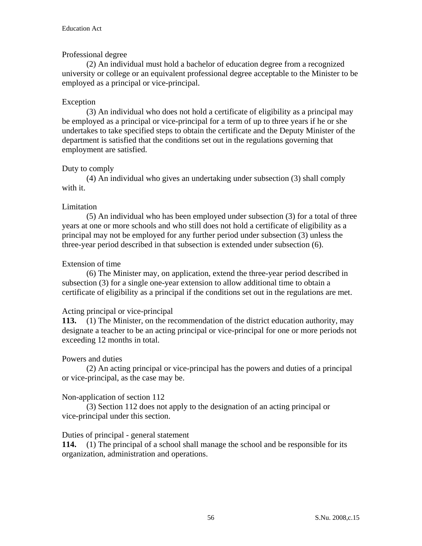## Professional degree

 (2) An individual must hold a bachelor of education degree from a recognized university or college or an equivalent professional degree acceptable to the Minister to be employed as a principal or vice-principal.

# Exception

 (3) An individual who does not hold a certificate of eligibility as a principal may be employed as a principal or vice-principal for a term of up to three years if he or she undertakes to take specified steps to obtain the certificate and the Deputy Minister of the department is satisfied that the conditions set out in the regulations governing that employment are satisfied.

# Duty to comply

(4) An individual who gives an undertaking under subsection (3) shall comply with it.

## Limitation

 (5) An individual who has been employed under subsection (3) for a total of three years at one or more schools and who still does not hold a certificate of eligibility as a principal may not be employed for any further period under subsection (3) unless the three-year period described in that subsection is extended under subsection (6).

## Extension of time

 (6) The Minister may, on application, extend the three-year period described in subsection (3) for a single one-year extension to allow additional time to obtain a certificate of eligibility as a principal if the conditions set out in the regulations are met.

## Acting principal or vice-principal

**113.** (1) The Minister, on the recommendation of the district education authority, may designate a teacher to be an acting principal or vice-principal for one or more periods not exceeding 12 months in total.

## Powers and duties

 (2) An acting principal or vice-principal has the powers and duties of a principal or vice-principal, as the case may be.

## Non-application of section 112

 (3) Section 112 does not apply to the designation of an acting principal or vice-principal under this section.

## Duties of principal - general statement

**114.** (1) The principal of a school shall manage the school and be responsible for its organization, administration and operations.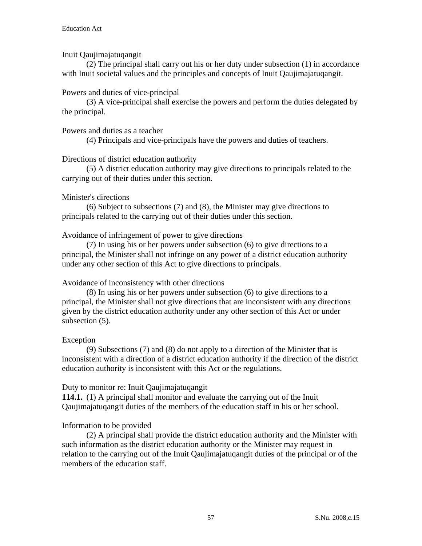## Inuit Qaujimajatuqangit

 (2) The principal shall carry out his or her duty under subsection (1) in accordance with Inuit societal values and the principles and concepts of Inuit Qaujimajatuqangit.

## Powers and duties of vice-principal

 (3) A vice-principal shall exercise the powers and perform the duties delegated by the principal.

## Powers and duties as a teacher

(4) Principals and vice-principals have the powers and duties of teachers.

# Directions of district education authority

 (5) A district education authority may give directions to principals related to the carrying out of their duties under this section.

## Minister's directions

 (6) Subject to subsections (7) and (8), the Minister may give directions to principals related to the carrying out of their duties under this section.

# Avoidance of infringement of power to give directions

 (7) In using his or her powers under subsection (6) to give directions to a principal, the Minister shall not infringe on any power of a district education authority under any other section of this Act to give directions to principals.

## Avoidance of inconsistency with other directions

 (8) In using his or her powers under subsection (6) to give directions to a principal, the Minister shall not give directions that are inconsistent with any directions given by the district education authority under any other section of this Act or under subsection  $(5)$ .

## Exception

 (9) Subsections (7) and (8) do not apply to a direction of the Minister that is inconsistent with a direction of a district education authority if the direction of the district education authority is inconsistent with this Act or the regulations.

## Duty to monitor re: Inuit Qaujimajatuqangit

**114.1.** (1) A principal shall monitor and evaluate the carrying out of the Inuit Qaujimajatuqangit duties of the members of the education staff in his or her school.

## Information to be provided

 (2) A principal shall provide the district education authority and the Minister with such information as the district education authority or the Minister may request in relation to the carrying out of the Inuit Qaujimajatuqangit duties of the principal or of the members of the education staff.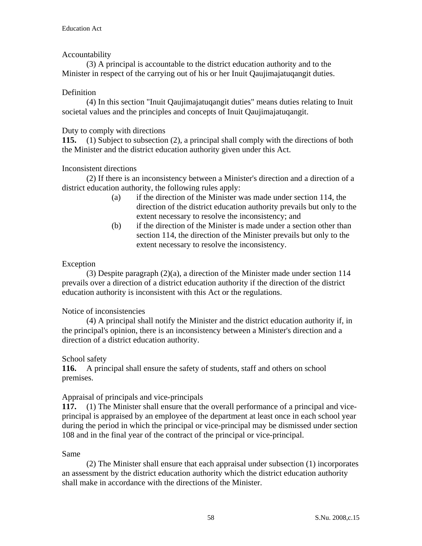## Accountability

 (3) A principal is accountable to the district education authority and to the Minister in respect of the carrying out of his or her Inuit Qaujimajatuqangit duties.

## Definition

 (4) In this section "Inuit Qaujimajatuqangit duties" means duties relating to Inuit societal values and the principles and concepts of Inuit Qaujimajatuqangit.

## Duty to comply with directions

**115.** (1) Subject to subsection (2), a principal shall comply with the directions of both the Minister and the district education authority given under this Act.

# Inconsistent directions

 (2) If there is an inconsistency between a Minister's direction and a direction of a district education authority, the following rules apply:

- (a) if the direction of the Minister was made under section 114, the direction of the district education authority prevails but only to the extent necessary to resolve the inconsistency; and
- (b) if the direction of the Minister is made under a section other than section 114, the direction of the Minister prevails but only to the extent necessary to resolve the inconsistency.

# Exception

 (3) Despite paragraph (2)(a), a direction of the Minister made under section 114 prevails over a direction of a district education authority if the direction of the district education authority is inconsistent with this Act or the regulations.

## Notice of inconsistencies

 (4) A principal shall notify the Minister and the district education authority if, in the principal's opinion, there is an inconsistency between a Minister's direction and a direction of a district education authority.

## School safety

**116.** A principal shall ensure the safety of students, staff and others on school premises.

## Appraisal of principals and vice-principals

**117.** (1) The Minister shall ensure that the overall performance of a principal and viceprincipal is appraised by an employee of the department at least once in each school year during the period in which the principal or vice-principal may be dismissed under section 108 and in the final year of the contract of the principal or vice-principal.

## Same

 (2) The Minister shall ensure that each appraisal under subsection (1) incorporates an assessment by the district education authority which the district education authority shall make in accordance with the directions of the Minister.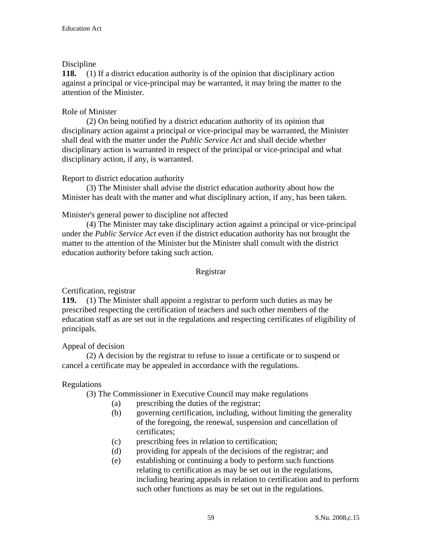# Discipline

**118.** (1) If a district education authority is of the opinion that disciplinary action against a principal or vice-principal may be warranted, it may bring the matter to the attention of the Minister.

# Role of Minister

 (2) On being notified by a district education authority of its opinion that disciplinary action against a principal or vice-principal may be warranted, the Minister shall deal with the matter under the *Public Service Act* and shall decide whether disciplinary action is warranted in respect of the principal or vice-principal and what disciplinary action, if any, is warranted.

## Report to district education authority

 (3) The Minister shall advise the district education authority about how the Minister has dealt with the matter and what disciplinary action, if any, has been taken.

# Minister's general power to discipline not affected

 (4) The Minister may take disciplinary action against a principal or vice-principal under the *Public Service Act* even if the district education authority has not brought the matter to the attention of the Minister but the Minister shall consult with the district education authority before taking such action.

## Registrar

# Certification, registrar

**119.** (1) The Minister shall appoint a registrar to perform such duties as may be prescribed respecting the certification of teachers and such other members of the education staff as are set out in the regulations and respecting certificates of eligibility of principals.

## Appeal of decision

(2) A decision by the registrar to refuse to issue a certificate or to suspend or cancel a certificate may be appealed in accordance with the regulations.

# Regulations

(3) The Commissioner in Executive Council may make regulations

- (a) prescribing the duties of the registrar;
- (b) governing certification, including, without limiting the generality of the foregoing, the renewal, suspension and cancellation of certificates;
- (c) prescribing fees in relation to certification;
- (d) providing for appeals of the decisions of the registrar; and
- (e) establishing or continuing a body to perform such functions relating to certification as may be set out in the regulations, including hearing appeals in relation to certification and to perform such other functions as may be set out in the regulations.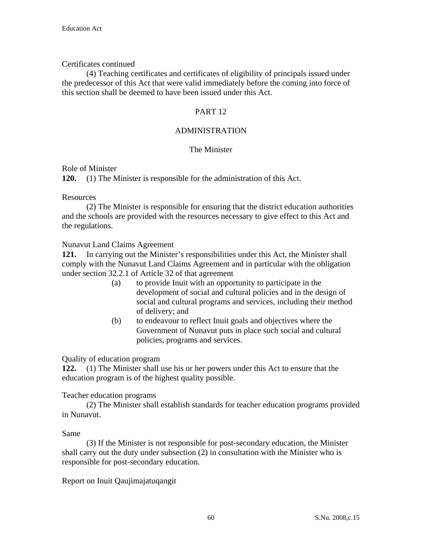## Certificates continued

 (4) Teaching certificates and certificates of eligibility of principals issued under the predecessor of this Act that were valid immediately before the coming into force of this section shall be deemed to have been issued under this Act.

#### PART 12

#### ADMINISTRATION

#### The Minister

#### Role of Minister

**120.** (1) The Minister is responsible for the administration of this Act.

#### Resources

 (2) The Minister is responsible for ensuring that the district education authorities and the schools are provided with the resources necessary to give effect to this Act and the regulations.

#### Nunavut Land Claims Agreement

**121.** In carrying out the Minister's responsibilities under this Act, the Minister shall comply with the Nunavut Land Claims Agreement and in particular with the obligation under section 32.2.1 of Article 32 of that agreement

- (a) to provide Inuit with an opportunity to participate in the development of social and cultural policies and in the design of social and cultural programs and services, including their method of delivery; and
- (b) to endeavour to reflect Inuit goals and objectives where the Government of Nunavut puts in place such social and cultural policies, programs and services.

## Quality of education program

**122.** (1) The Minister shall use his or her powers under this Act to ensure that the education program is of the highest quality possible.

#### Teacher education programs

 (2) The Minister shall establish standards for teacher education programs provided in Nunavut.

#### Same

 (3) If the Minister is not responsible for post-secondary education, the Minister shall carry out the duty under subsection (2) in consultation with the Minister who is responsible for post-secondary education.

Report on Inuit Qaujimajatuqangit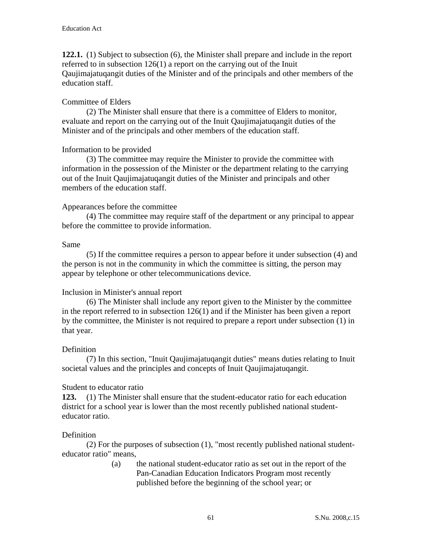**122.1.** (1) Subject to subsection (6), the Minister shall prepare and include in the report referred to in subsection 126(1) a report on the carrying out of the Inuit Qaujimajatuqangit duties of the Minister and of the principals and other members of the education staff.

## Committee of Elders

 (2) The Minister shall ensure that there is a committee of Elders to monitor, evaluate and report on the carrying out of the Inuit Qaujimajatuqangit duties of the Minister and of the principals and other members of the education staff.

#### Information to be provided

 (3) The committee may require the Minister to provide the committee with information in the possession of the Minister or the department relating to the carrying out of the Inuit Qaujimajatuqangit duties of the Minister and principals and other members of the education staff.

#### Appearances before the committee

 (4) The committee may require staff of the department or any principal to appear before the committee to provide information.

#### Same

 (5) If the committee requires a person to appear before it under subsection (4) and the person is not in the community in which the committee is sitting, the person may appear by telephone or other telecommunications device.

#### Inclusion in Minister's annual report

 (6) The Minister shall include any report given to the Minister by the committee in the report referred to in subsection 126(1) and if the Minister has been given a report by the committee, the Minister is not required to prepare a report under subsection (1) in that year.

#### Definition

 (7) In this section, "Inuit Qaujimajatuqangit duties" means duties relating to Inuit societal values and the principles and concepts of Inuit Qaujimajatuqangit.

#### Student to educator ratio

**123.** (1) The Minister shall ensure that the student-educator ratio for each education district for a school year is lower than the most recently published national studenteducator ratio.

#### Definition

 (2) For the purposes of subsection (1), "most recently published national studenteducator ratio" means,

> (a) the national student-educator ratio as set out in the report of the Pan-Canadian Education Indicators Program most recently published before the beginning of the school year; or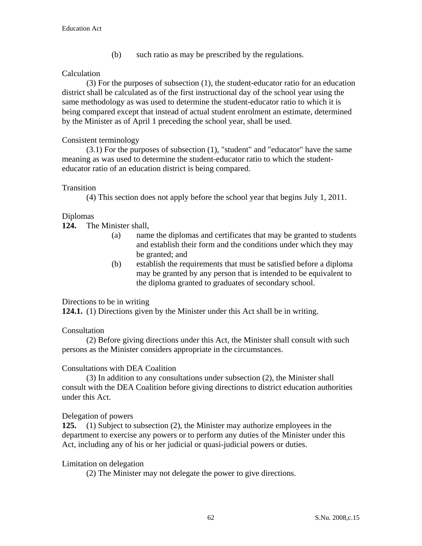(b) such ratio as may be prescribed by the regulations.

## Calculation

 (3) For the purposes of subsection (1), the student-educator ratio for an education district shall be calculated as of the first instructional day of the school year using the same methodology as was used to determine the student-educator ratio to which it is being compared except that instead of actual student enrolment an estimate, determined by the Minister as of April 1 preceding the school year, shall be used.

#### Consistent terminology

 (3.1) For the purposes of subsection (1), "student" and "educator" have the same meaning as was used to determine the student-educator ratio to which the studenteducator ratio of an education district is being compared.

#### **Transition**

(4) This section does not apply before the school year that begins July 1, 2011.

#### Diplomas

**124.** The Minister shall,

- (a) name the diplomas and certificates that may be granted to students and establish their form and the conditions under which they may be granted; and
- (b) establish the requirements that must be satisfied before a diploma may be granted by any person that is intended to be equivalent to the diploma granted to graduates of secondary school.

#### Directions to be in writing

**124.1.** (1) Directions given by the Minister under this Act shall be in writing.

## Consultation

 (2) Before giving directions under this Act, the Minister shall consult with such persons as the Minister considers appropriate in the circumstances.

#### Consultations with DEA Coalition

 (3) In addition to any consultations under subsection (2), the Minister shall consult with the DEA Coalition before giving directions to district education authorities under this Act.

## Delegation of powers

**125.** (1) Subject to subsection (2), the Minister may authorize employees in the department to exercise any powers or to perform any duties of the Minister under this Act, including any of his or her judicial or quasi-judicial powers or duties.

## Limitation on delegation

(2) The Minister may not delegate the power to give directions.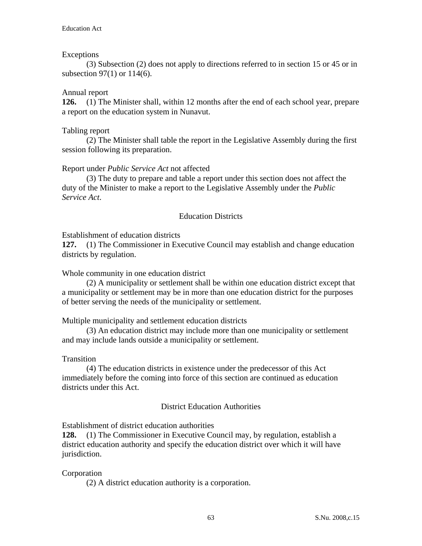#### Exceptions

 (3) Subsection (2) does not apply to directions referred to in section 15 or 45 or in subsection 97(1) or 114(6).

#### Annual report

**126.** (1) The Minister shall, within 12 months after the end of each school year, prepare a report on the education system in Nunavut.

#### Tabling report

 (2) The Minister shall table the report in the Legislative Assembly during the first session following its preparation.

#### Report under *Public Service Act* not affected

 (3) The duty to prepare and table a report under this section does not affect the duty of the Minister to make a report to the Legislative Assembly under the *Public Service Act*.

#### Education Districts

Establishment of education districts

**127.** (1) The Commissioner in Executive Council may establish and change education districts by regulation.

Whole community in one education district

 (2) A municipality or settlement shall be within one education district except that a municipality or settlement may be in more than one education district for the purposes of better serving the needs of the municipality or settlement.

Multiple municipality and settlement education districts

 (3) An education district may include more than one municipality or settlement and may include lands outside a municipality or settlement.

**Transition** 

(4) The education districts in existence under the predecessor of this Act immediately before the coming into force of this section are continued as education districts under this Act.

## District Education Authorities

Establishment of district education authorities

**128.** (1) The Commissioner in Executive Council may, by regulation, establish a district education authority and specify the education district over which it will have jurisdiction.

## Corporation

(2) A district education authority is a corporation.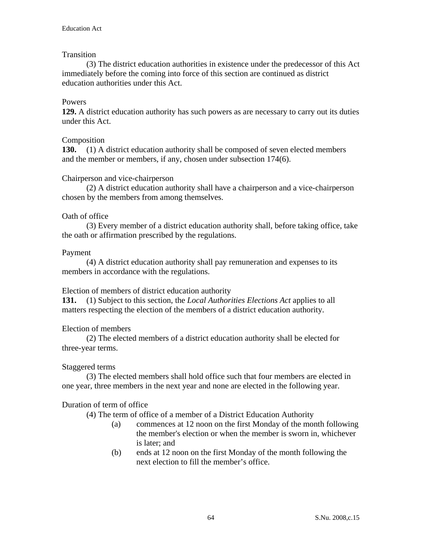## **Transition**

 (3) The district education authorities in existence under the predecessor of this Act immediately before the coming into force of this section are continued as district education authorities under this Act.

#### Powers

**129.** A district education authority has such powers as are necessary to carry out its duties under this Act.

#### Composition

**130.** (1) A district education authority shall be composed of seven elected members and the member or members, if any, chosen under subsection 174(6).

#### Chairperson and vice-chairperson

 (2) A district education authority shall have a chairperson and a vice-chairperson chosen by the members from among themselves.

#### Oath of office

 (3) Every member of a district education authority shall, before taking office, take the oath or affirmation prescribed by the regulations.

#### Payment

 (4) A district education authority shall pay remuneration and expenses to its members in accordance with the regulations.

#### Election of members of district education authority

**131.** (1) Subject to this section, the *Local Authorities Elections Act* applies to all matters respecting the election of the members of a district education authority.

#### Election of members

 (2) The elected members of a district education authority shall be elected for three-year terms.

#### Staggered terms

 (3) The elected members shall hold office such that four members are elected in one year, three members in the next year and none are elected in the following year.

#### Duration of term of office

(4) The term of office of a member of a District Education Authority

- (a) commences at 12 noon on the first Monday of the month following the member's election or when the member is sworn in, whichever is later; and
- (b) ends at 12 noon on the first Monday of the month following the next election to fill the member's office.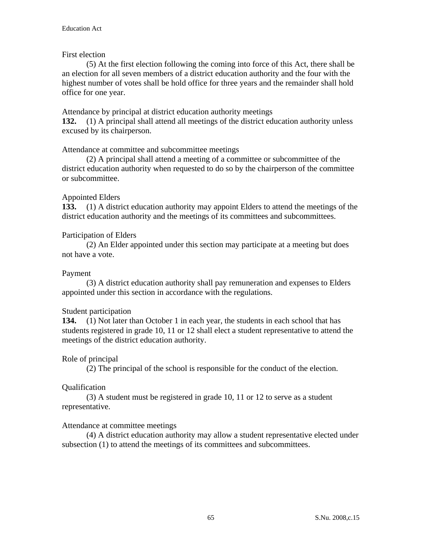#### First election

 (5) At the first election following the coming into force of this Act, there shall be an election for all seven members of a district education authority and the four with the highest number of votes shall be hold office for three years and the remainder shall hold office for one year.

#### Attendance by principal at district education authority meetings

**132.** (1) A principal shall attend all meetings of the district education authority unless excused by its chairperson.

#### Attendance at committee and subcommittee meetings

 (2) A principal shall attend a meeting of a committee or subcommittee of the district education authority when requested to do so by the chairperson of the committee or subcommittee.

#### Appointed Elders

**133.** (1) A district education authority may appoint Elders to attend the meetings of the district education authority and the meetings of its committees and subcommittees.

#### Participation of Elders

 (2) An Elder appointed under this section may participate at a meeting but does not have a vote.

#### Payment

 (3) A district education authority shall pay remuneration and expenses to Elders appointed under this section in accordance with the regulations.

#### Student participation

**134.** (1) Not later than October 1 in each year, the students in each school that has students registered in grade 10, 11 or 12 shall elect a student representative to attend the meetings of the district education authority.

#### Role of principal

(2) The principal of the school is responsible for the conduct of the election.

#### **Oualification**

 (3) A student must be registered in grade 10, 11 or 12 to serve as a student representative.

#### Attendance at committee meetings

 (4) A district education authority may allow a student representative elected under subsection (1) to attend the meetings of its committees and subcommittees.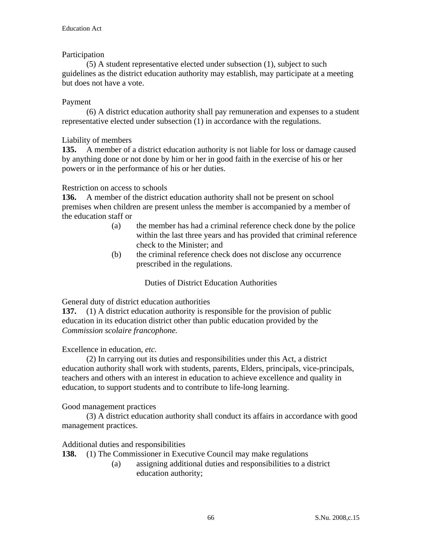## Participation

 (5) A student representative elected under subsection (1), subject to such guidelines as the district education authority may establish, may participate at a meeting but does not have a vote.

## Payment

 (6) A district education authority shall pay remuneration and expenses to a student representative elected under subsection (1) in accordance with the regulations.

## Liability of members

**135.** A member of a district education authority is not liable for loss or damage caused by anything done or not done by him or her in good faith in the exercise of his or her powers or in the performance of his or her duties.

## Restriction on access to schools

**136.** A member of the district education authority shall not be present on school premises when children are present unless the member is accompanied by a member of the education staff or

- (a) the member has had a criminal reference check done by the police within the last three years and has provided that criminal reference check to the Minister; and
- (b) the criminal reference check does not disclose any occurrence prescribed in the regulations.

Duties of District Education Authorities

General duty of district education authorities

**137.** (1) A district education authority is responsible for the provision of public education in its education district other than public education provided by the *Commission scolaire francophone.* 

# Excellence in education, *etc.*

 (2) In carrying out its duties and responsibilities under this Act, a district education authority shall work with students, parents, Elders, principals, vice-principals, teachers and others with an interest in education to achieve excellence and quality in education, to support students and to contribute to life-long learning.

## Good management practices

 (3) A district education authority shall conduct its affairs in accordance with good management practices.

## Additional duties and responsibilities

- **138.** (1) The Commissioner in Executive Council may make regulations
	- (a) assigning additional duties and responsibilities to a district education authority;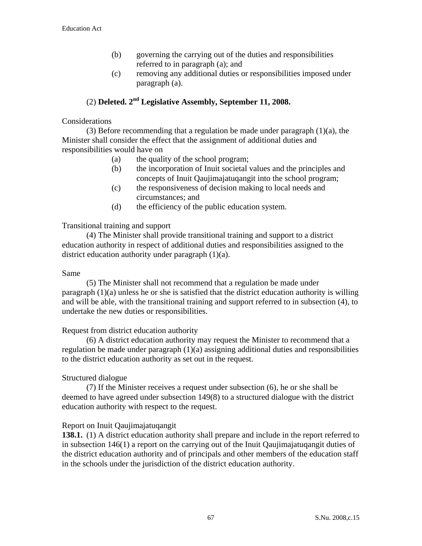- (b) governing the carrying out of the duties and responsibilities referred to in paragraph (a); and
- (c) removing any additional duties or responsibilities imposed under paragraph (a).

# (2) **Deleted. 2nd Legislative Assembly, September 11, 2008.**

#### **Considerations**

 (3) Before recommending that a regulation be made under paragraph (1)(a), the Minister shall consider the effect that the assignment of additional duties and responsibilities would have on

- (a) the quality of the school program;
- (b) the incorporation of Inuit societal values and the principles and concepts of Inuit Qaujimajatuqangit into the school program;
- (c) the responsiveness of decision making to local needs and circumstances; and
- (d) the efficiency of the public education system.

#### Transitional training and support

 (4) The Minister shall provide transitional training and support to a district education authority in respect of additional duties and responsibilities assigned to the district education authority under paragraph (1)(a).

#### Same

 (5) The Minister shall not recommend that a regulation be made under paragraph (1)(a) unless he or she is satisfied that the district education authority is willing and will be able, with the transitional training and support referred to in subsection (4), to undertake the new duties or responsibilities.

#### Request from district education authority

 (6) A district education authority may request the Minister to recommend that a regulation be made under paragraph (1)(a) assigning additional duties and responsibilities to the district education authority as set out in the request.

## Structured dialogue

 (7) If the Minister receives a request under subsection (6), he or she shall be deemed to have agreed under subsection 149(8) to a structured dialogue with the district education authority with respect to the request.

## Report on Inuit Qaujimajatuqangit

**138.1.** (1) A district education authority shall prepare and include in the report referred to in subsection 146(1) a report on the carrying out of the Inuit Qaujimajatuqangit duties of the district education authority and of principals and other members of the education staff in the schools under the jurisdiction of the district education authority.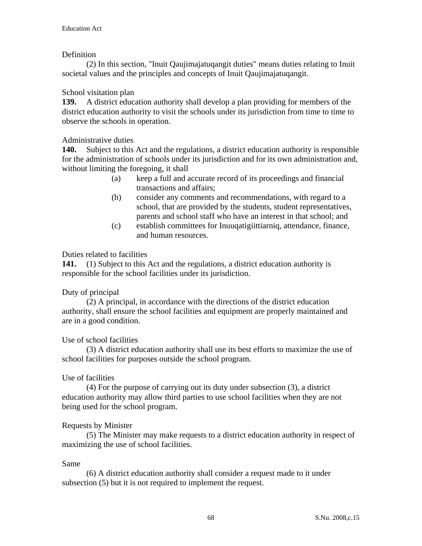## Definition

 (2) In this section, "Inuit Qaujimajatuqangit duties" means duties relating to Inuit societal values and the principles and concepts of Inuit Qaujimajatuqangit.

# School visitation plan

**139.** A district education authority shall develop a plan providing for members of the district education authority to visit the schools under its jurisdiction from time to time to observe the schools in operation.

# Administrative duties

**140.** Subject to this Act and the regulations, a district education authority is responsible for the administration of schools under its jurisdiction and for its own administration and, without limiting the foregoing, it shall

- (a) keep a full and accurate record of its proceedings and financial transactions and affairs;
- (b) consider any comments and recommendations, with regard to a school, that are provided by the students, student representatives, parents and school staff who have an interest in that school; and
- (c) establish committees for Inuuqatigiittiarniq, attendance, finance, and human resources.

## Duties related to facilities

**141.** (1) Subject to this Act and the regulations, a district education authority is responsible for the school facilities under its jurisdiction.

## Duty of principal

 (2) A principal, in accordance with the directions of the district education authority, shall ensure the school facilities and equipment are properly maintained and are in a good condition.

## Use of school facilities

 (3) A district education authority shall use its best efforts to maximize the use of school facilities for purposes outside the school program.

## Use of facilities

 (4) For the purpose of carrying out its duty under subsection (3), a district education authority may allow third parties to use school facilities when they are not being used for the school program.

## Requests by Minister

 (5) The Minister may make requests to a district education authority in respect of maximizing the use of school facilities.

## Same

 (6) A district education authority shall consider a request made to it under subsection (5) but it is not required to implement the request.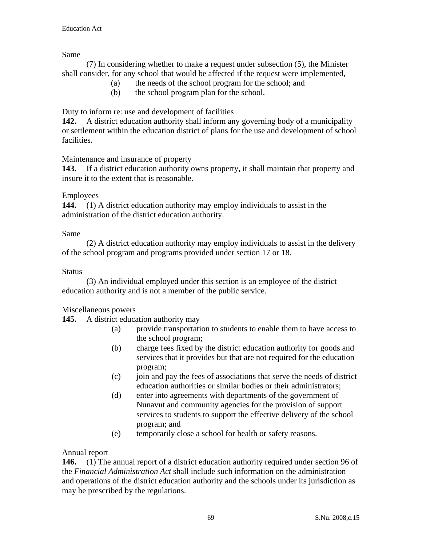Same

 (7) In considering whether to make a request under subsection (5), the Minister shall consider, for any school that would be affected if the request were implemented,

- (a) the needs of the school program for the school; and
- (b) the school program plan for the school.

Duty to inform re: use and development of facilities

**142.** A district education authority shall inform any governing body of a municipality or settlement within the education district of plans for the use and development of school facilities.

Maintenance and insurance of property

**143.** If a district education authority owns property, it shall maintain that property and insure it to the extent that is reasonable.

# Employees

**144.** (1) A district education authority may employ individuals to assist in the administration of the district education authority.

# Same

 (2) A district education authority may employ individuals to assist in the delivery of the school program and programs provided under section 17 or 18.

# **Status**

 (3) An individual employed under this section is an employee of the district education authority and is not a member of the public service.

# Miscellaneous powers

**145.** A district education authority may

- (a) provide transportation to students to enable them to have access to the school program;
- (b) charge fees fixed by the district education authority for goods and services that it provides but that are not required for the education program;
- (c) join and pay the fees of associations that serve the needs of district education authorities or similar bodies or their administrators;
- (d) enter into agreements with departments of the government of Nunavut and community agencies for the provision of support services to students to support the effective delivery of the school program; and
- (e) temporarily close a school for health or safety reasons.

# Annual report

**146.** (1) The annual report of a district education authority required under section 96 of the *Financial Administration Act* shall include such information on the administration and operations of the district education authority and the schools under its jurisdiction as may be prescribed by the regulations.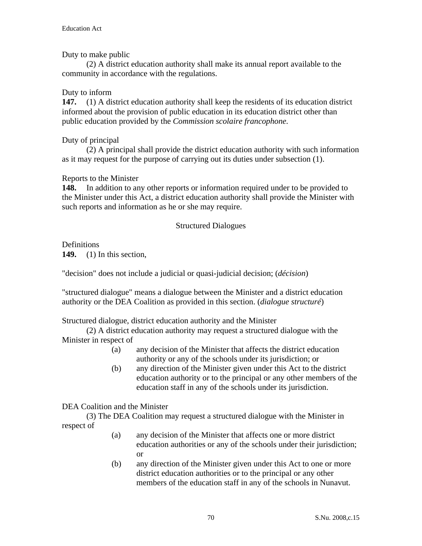Duty to make public

 (2) A district education authority shall make its annual report available to the community in accordance with the regulations.

## Duty to inform

**147.** (1) A district education authority shall keep the residents of its education district informed about the provision of public education in its education district other than public education provided by the *Commission scolaire francophone.*

# Duty of principal

 (2) A principal shall provide the district education authority with such information as it may request for the purpose of carrying out its duties under subsection (1).

# Reports to the Minister

**148.** In addition to any other reports or information required under to be provided to the Minister under this Act, a district education authority shall provide the Minister with such reports and information as he or she may require.

# Structured Dialogues

Definitions

**149.** (1) In this section,

"decision" does not include a judicial or quasi-judicial decision; (*décision*)

"structured dialogue" means a dialogue between the Minister and a district education authority or the DEA Coalition as provided in this section. (*dialogue structuré*)

## Structured dialogue, district education authority and the Minister

 (2) A district education authority may request a structured dialogue with the Minister in respect of

- (a) any decision of the Minister that affects the district education authority or any of the schools under its jurisdiction; or
- (b) any direction of the Minister given under this Act to the district education authority or to the principal or any other members of the education staff in any of the schools under its jurisdiction.

# DEA Coalition and the Minister

 (3) The DEA Coalition may request a structured dialogue with the Minister in respect of

- (a) any decision of the Minister that affects one or more district education authorities or any of the schools under their jurisdiction; or
- (b) any direction of the Minister given under this Act to one or more district education authorities or to the principal or any other members of the education staff in any of the schools in Nunavut.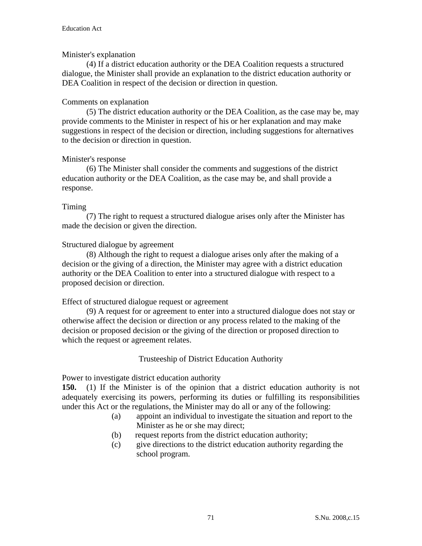#### Minister's explanation

 (4) If a district education authority or the DEA Coalition requests a structured dialogue, the Minister shall provide an explanation to the district education authority or DEA Coalition in respect of the decision or direction in question.

#### Comments on explanation

 (5) The district education authority or the DEA Coalition, as the case may be, may provide comments to the Minister in respect of his or her explanation and may make suggestions in respect of the decision or direction, including suggestions for alternatives to the decision or direction in question.

#### Minister's response

 (6) The Minister shall consider the comments and suggestions of the district education authority or the DEA Coalition, as the case may be, and shall provide a response.

#### Timing

 (7) The right to request a structured dialogue arises only after the Minister has made the decision or given the direction.

#### Structured dialogue by agreement

 (8) Although the right to request a dialogue arises only after the making of a decision or the giving of a direction, the Minister may agree with a district education authority or the DEA Coalition to enter into a structured dialogue with respect to a proposed decision or direction.

## Effect of structured dialogue request or agreement

 (9) A request for or agreement to enter into a structured dialogue does not stay or otherwise affect the decision or direction or any process related to the making of the decision or proposed decision or the giving of the direction or proposed direction to which the request or agreement relates.

## Trusteeship of District Education Authority

Power to investigate district education authority

**150.** (1) If the Minister is of the opinion that a district education authority is not adequately exercising its powers, performing its duties or fulfilling its responsibilities under this Act or the regulations, the Minister may do all or any of the following:

- (a) appoint an individual to investigate the situation and report to the Minister as he or she may direct;
- (b) request reports from the district education authority;
- (c) give directions to the district education authority regarding the school program.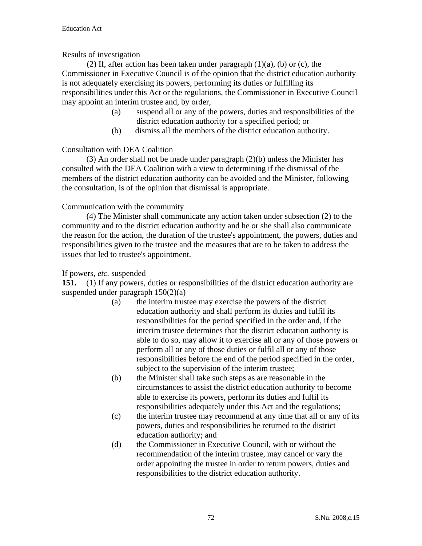## Results of investigation

(2) If, after action has been taken under paragraph  $(1)(a)$ ,  $(b)$  or  $(c)$ , the Commissioner in Executive Council is of the opinion that the district education authority is not adequately exercising its powers, performing its duties or fulfilling its responsibilities under this Act or the regulations, the Commissioner in Executive Council may appoint an interim trustee and, by order,

- (a) suspend all or any of the powers, duties and responsibilities of the district education authority for a specified period; or
- (b) dismiss all the members of the district education authority.

# Consultation with DEA Coalition

 (3) An order shall not be made under paragraph (2)(b) unless the Minister has consulted with the DEA Coalition with a view to determining if the dismissal of the members of the district education authority can be avoided and the Minister, following the consultation, is of the opinion that dismissal is appropriate.

# Communication with the community

 (4) The Minister shall communicate any action taken under subsection (2) to the community and to the district education authority and he or she shall also communicate the reason for the action, the duration of the trustee's appointment, the powers, duties and responsibilities given to the trustee and the measures that are to be taken to address the issues that led to trustee's appointment.

## If powers, *etc.* suspended

**151.** (1) If any powers, duties or responsibilities of the district education authority are suspended under paragraph 150(2)(a)

- (a) the interim trustee may exercise the powers of the district education authority and shall perform its duties and fulfil its responsibilities for the period specified in the order and, if the interim trustee determines that the district education authority is able to do so, may allow it to exercise all or any of those powers or perform all or any of those duties or fulfil all or any of those responsibilities before the end of the period specified in the order, subject to the supervision of the interim trustee;
- (b) the Minister shall take such steps as are reasonable in the circumstances to assist the district education authority to become able to exercise its powers, perform its duties and fulfil its responsibilities adequately under this Act and the regulations;
- (c) the interim trustee may recommend at any time that all or any of its powers, duties and responsibilities be returned to the district education authority; and
- (d) the Commissioner in Executive Council, with or without the recommendation of the interim trustee, may cancel or vary the order appointing the trustee in order to return powers, duties and responsibilities to the district education authority.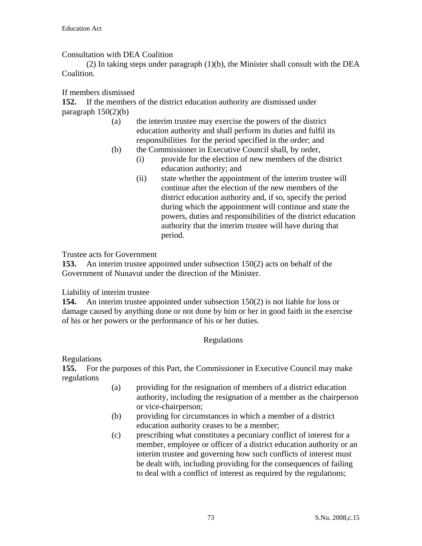Consultation with DEA Coalition

 (2) In taking steps under paragraph (1)(b), the Minister shall consult with the DEA Coalition.

If members dismissed

**152.** If the members of the district education authority are dismissed under paragraph  $150(2)(b)$ 

- (a) the interim trustee may exercise the powers of the district education authority and shall perform its duties and fulfil its responsibilities for the period specified in the order; and
- (b) the Commissioner in Executive Council shall, by order,
	- (i) provide for the election of new members of the district education authority; and
	- (ii) state whether the appointment of the interim trustee will continue after the election of the new members of the district education authority and, if so, specify the period during which the appointment will continue and state the powers, duties and responsibilities of the district education authority that the interim trustee will have during that period.

Trustee acts for Government

**153.** An interim trustee appointed under subsection 150(2) acts on behalf of the Government of Nunavut under the direction of the Minister.

# Liability of interim trustee

**154.** An interim trustee appointed under subsection 150(2) is not liable for loss or damage caused by anything done or not done by him or her in good faith in the exercise of his or her powers or the performance of his or her duties.

# Regulations

Regulations

**155.** For the purposes of this Part, the Commissioner in Executive Council may make regulations

- (a) providing for the resignation of members of a district education authority, including the resignation of a member as the chairperson or vice-chairperson;
- (b) providing for circumstances in which a member of a district education authority ceases to be a member;
- (c) prescribing what constitutes a pecuniary conflict of interest for a member, employee or officer of a district education authority or an interim trustee and governing how such conflicts of interest must be dealt with, including providing for the consequences of failing to deal with a conflict of interest as required by the regulations;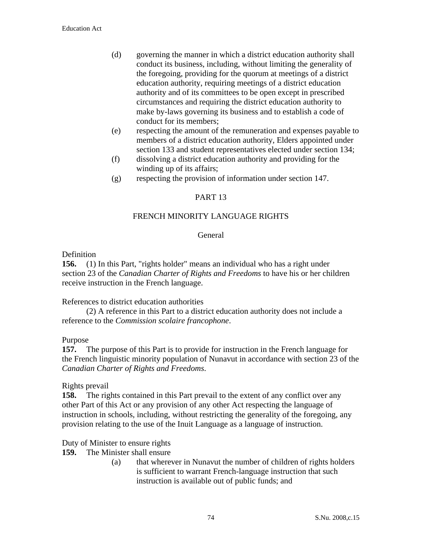- (d) governing the manner in which a district education authority shall conduct its business, including, without limiting the generality of the foregoing, providing for the quorum at meetings of a district education authority, requiring meetings of a district education authority and of its committees to be open except in prescribed circumstances and requiring the district education authority to make by-laws governing its business and to establish a code of conduct for its members;
- (e) respecting the amount of the remuneration and expenses payable to members of a district education authority, Elders appointed under section 133 and student representatives elected under section 134;
- (f) dissolving a district education authority and providing for the winding up of its affairs;
- (g) respecting the provision of information under section 147.

## PART 13

## FRENCH MINORITY LANGUAGE RIGHTS

### General

### Definition

**156.** (1) In this Part, "rights holder" means an individual who has a right under section 23 of the *Canadian Charter of Rights and Freedoms* to have his or her children receive instruction in the French language.

### References to district education authorities

 (2) A reference in this Part to a district education authority does not include a reference to the *Commission scolaire francophone*.

### Purpose

**157.** The purpose of this Part is to provide for instruction in the French language for the French linguistic minority population of Nunavut in accordance with section 23 of the *Canadian Charter of Rights and Freedoms*.

### Rights prevail

**158.** The rights contained in this Part prevail to the extent of any conflict over any other Part of this Act or any provision of any other Act respecting the language of instruction in schools*,* including, without restricting the generality of the foregoing, any provision relating to the use of the Inuit Language as a language of instruction.

### Duty of Minister to ensure rights

- **159.** The Minister shall ensure
	- (a) that wherever in Nunavut the number of children of rights holders is sufficient to warrant French-language instruction that such instruction is available out of public funds; and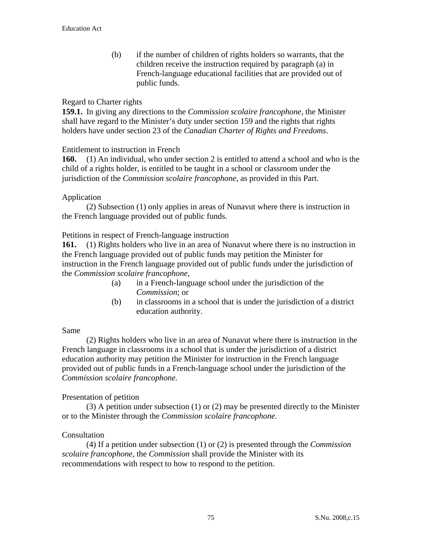(b) if the number of children of rights holders so warrants, that the children receive the instruction required by paragraph (a) in French-language educational facilities that are provided out of public funds.

### Regard to Charter rights

**159.1.** In giving any directions to the *Commission scolaire francophone*, the Minister shall have regard to the Minister's duty under section 159 and the rights that rights holders have under section 23 of the *Canadian Charter of Rights and Freedoms*.

### Entitlement to instruction in French

**160.** (1) An individual, who under section 2 is entitled to attend a school and who is the child of a rights holder, is entitled to be taught in a school or classroom under the jurisdiction of the *Commission scolaire francophone*, as provided in this Part.

### Application

 (2) Subsection (1) only applies in areas of Nunavut where there is instruction in the French language provided out of public funds.

### Petitions in respect of French-language instruction

**161.** (1) Rights holders who live in an area of Nunavut where there is no instruction in the French language provided out of public funds may petition the Minister for instruction in the French language provided out of public funds under the jurisdiction of the *Commission scolaire francophone*,

- (a) in a French-language school under the jurisdiction of the *Commission*; or
- (b) in classrooms in a school that is under the jurisdiction of a district education authority.

### Same

(2) Rights holders who live in an area of Nunavut where there is instruction in the French language in classrooms in a school that is under the jurisdiction of a district education authority may petition the Minister for instruction in the French language provided out of public funds in a French-language school under the jurisdiction of the *Commission scolaire francophone.*

### Presentation of petition

 (3) A petition under subsection (1) or (2) may be presented directly to the Minister or to the Minister through the *Commission scolaire francophone.* 

### **Consultation**

 (4) If a petition under subsection (1) or (2) is presented through the *Commission scolaire francophone*, the *Commission* shall provide the Minister with its recommendations with respect to how to respond to the petition.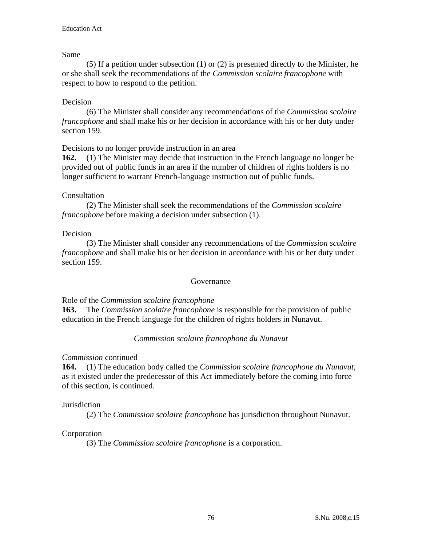## Same

 (5) If a petition under subsection (1) or (2) is presented directly to the Minister, he or she shall seek the recommendations of the *Commission scolaire francophone* with respect to how to respond to the petition.

# Decision

 (6) The Minister shall consider any recommendations of the *Commission scolaire francophone* and shall make his or her decision in accordance with his or her duty under section 159.

Decisions to no longer provide instruction in an area

**162.** (1) The Minister may decide that instruction in the French language no longer be provided out of public funds in an area if the number of children of rights holders is no longer sufficient to warrant French-language instruction out of public funds.

# Consultation

 (2) The Minister shall seek the recommendations of the *Commission scolaire francophone* before making a decision under subsection (1).

# Decision

 (3) The Minister shall consider any recommendations of the *Commission scolaire francophone* and shall make his or her decision in accordance with his or her duty under section 159.

# Governance

Role of the *Commission scolaire francophone*

**163.** The *Commission scolaire francophone* is responsible for the provision of public education in the French language for the children of rights holders in Nunavut.

# *Commission scolaire francophone du Nunavut*

# *Commission* continued

**164.** (1) The education body called the *Commission scolaire francophone du Nunavut,* as it existed under the predecessor of this Act immediately before the coming into force of this section, is continued.

# Jurisdiction

(2) The *Commission scolaire francophone* has jurisdiction throughout Nunavut.

# Corporation

(3) The *Commission scolaire francophone* is a corporation.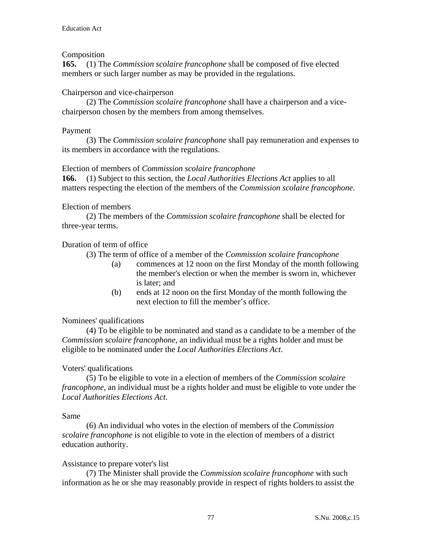## Composition

**165.** (1) The *Commission scolaire francophone* shall be composed of five elected members or such larger number as may be provided in the regulations.

## Chairperson and vice-chairperson

 (2) The *Commission scolaire francophone* shall have a chairperson and a vicechairperson chosen by the members from among themselves.

### Payment

 (3) The *Commission scolaire francophone* shall pay remuneration and expenses to its members in accordance with the regulations.

### Election of members of *Commission scolaire francophone*

**166.** (1) Subject to this section, the *Local Authorities Elections Act* applies to all matters respecting the election of the members of the *Commission scolaire francophone*.

## Election of members

 (2) The members of the *Commission scolaire francophone* shall be elected for three-year terms.

## Duration of term of office

(3) The term of office of a member of the *Commission scolaire francophone*

- (a) commences at 12 noon on the first Monday of the month following the member's election or when the member is sworn in, whichever is later; and
- (b) ends at 12 noon on the first Monday of the month following the next election to fill the member's office.

# Nominees' qualifications

 (4) To be eligible to be nominated and stand as a candidate to be a member of the *Commission scolaire francophone*, an individual must be a rights holder and must be eligible to be nominated under the *Local Authorities Elections Act*.

# Voters' qualifications

 (5) To be eligible to vote in a election of members of the *Commission scolaire francophone*, an individual must be a rights holder and must be eligible to vote under the *Local Authorities Elections Act*.

### Same

 (6) An individual who votes in the election of members of the *Commission scolaire francophone* is not eligible to vote in the election of members of a district education authority.

### Assistance to prepare voter's list

 (7) The Minister shall provide the *Commission scolaire francophone* with such information as he or she may reasonably provide in respect of rights holders to assist the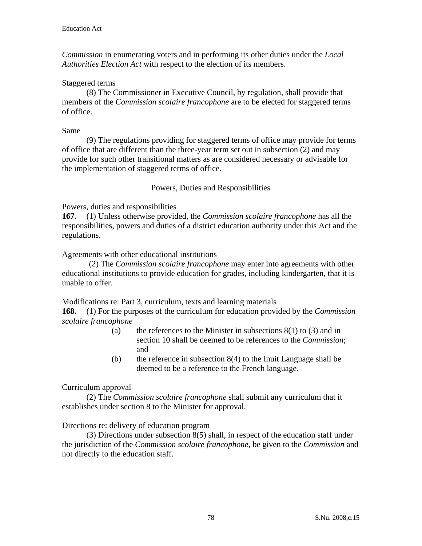*Commission* in enumerating voters and in performing its other duties under the *Local Authorities Election Act* with respect to the election of its members.

## Staggered terms

 (8) The Commissioner in Executive Council, by regulation, shall provide that members of the *Commission scolaire francophone* are to be elected for staggered terms of office.

#### Same

 (9) The regulations providing for staggered terms of office may provide for terms of office that are different than the three-year term set out in subsection (2) and may provide for such other transitional matters as are considered necessary or advisable for the implementation of staggered terms of office.

## Powers, Duties and Responsibilities

Powers, duties and responsibilities

**167.** (1) Unless otherwise provided, the *Commission scolaire francophone* has all the responsibilities, powers and duties of a district education authority under this Act and the regulations.

Agreements with other educational institutions

 (2) The *Commission scolaire francophone* may enter into agreements with other educational institutions to provide education for grades, including kindergarten, that it is unable to offer.

Modifications re: Part 3, curriculum, texts and learning materials

**168.** (1) For the purposes of the curriculum for education provided by the *Commission scolaire francophone*

- (a) the references to the Minister in subsections  $8(1)$  to (3) and in section 10 shall be deemed to be references to the *Commission*; and
- (b) the reference in subsection  $8(4)$  to the Inuit Language shall be deemed to be a reference to the French language.

### Curriculum approval

 (2) The *Commission scolaire francophone* shall submit any curriculum that it establishes under section 8 to the Minister for approval.

Directions re: delivery of education program

 (3) Directions under subsection 8(5) shall, in respect of the education staff under the jurisdiction of the *Commission scolaire francophone*, be given to the *Commission* and not directly to the education staff.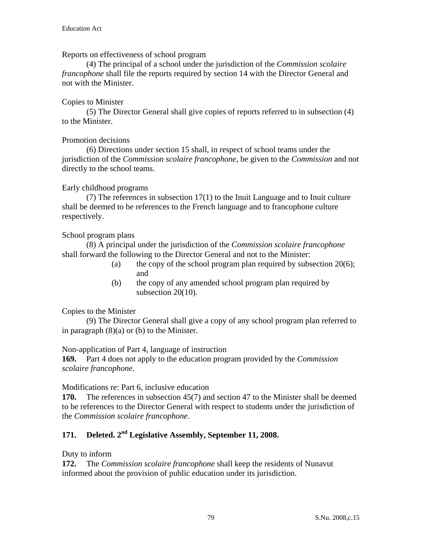Reports on effectiveness of school program

(4) The principal of a school under the jurisdiction of the *Commission scolaire francophone* shall file the reports required by section 14 with the Director General and not with the Minister.

# Copies to Minister

 (5) The Director General shall give copies of reports referred to in subsection (4) to the Minister.

# Promotion decisions

 (6) Directions under section 15 shall, in respect of school teams under the jurisdiction of the *Commission scolaire francophone*, be given to the *Commission* and not directly to the school teams.

# Early childhood programs

 (7) The references in subsection 17(1) to the Inuit Language and to Inuit culture shall be deemed to be references to the French language and to francophone culture respectively.

# School program plans

 (8) A principal under the jurisdiction of the *Commission scolaire francophone* shall forward the following to the Director General and not to the Minister:

- (a) the copy of the school program plan required by subsection  $20(6)$ ; and
- (b) the copy of any amended school program plan required by subsection 20(10).

# Copies to the Minister

 (9) The Director General shall give a copy of any school program plan referred to in paragraph  $(8)(a)$  or  $(b)$  to the Minister.

Non-application of Part 4, language of instruction

**169.** Part 4 does not apply to the education program provided by the *Commission scolaire francophone.*

# Modifications re: Part 6, inclusive education

**170.** The references in subsection 45(7) and section 47 to the Minister shall be deemed to be references to the Director General with respect to students under the jurisdiction of the *Commission scolaire francophone*.

# **171. Deleted. 2nd Legislative Assembly, September 11, 2008.**

# Duty to inform

**172.** The *Commission scolaire francophone* shall keep the residents of Nunavut informed about the provision of public education under its jurisdiction.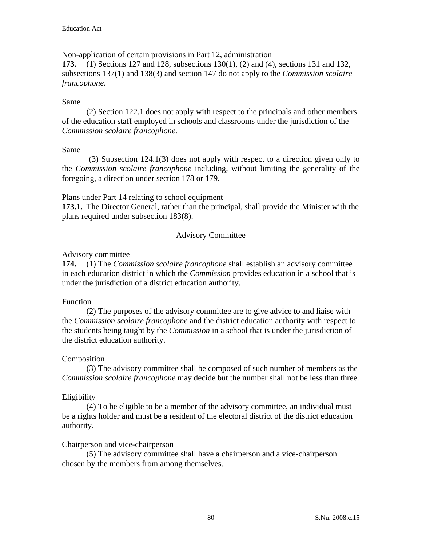Non-application of certain provisions in Part 12, administration

**173.** (1) Sections 127 and 128, subsections 130(1), (2) and (4), sections 131 and 132, subsections 137(1) and 138(3) and section 147 do not apply to the *Commission scolaire francophone*.

# Same

 (2) Section 122.1 does not apply with respect to the principals and other members of the education staff employed in schools and classrooms under the jurisdiction of the *Commission scolaire francophone.* 

# Same

 (3) Subsection 124.1(3) does not apply with respect to a direction given only to the *Commission scolaire francophone* including, without limiting the generality of the foregoing, a direction under section 178 or 179.

Plans under Part 14 relating to school equipment

**173.1.** The Director General, rather than the principal, shall provide the Minister with the plans required under subsection 183(8).

# Advisory Committee

# Advisory committee

**174.** (1) The *Commission scolaire francophone* shall establish an advisory committee in each education district in which the *Commission* provides education in a school that is under the jurisdiction of a district education authority.

# Function

 (2) The purposes of the advisory committee are to give advice to and liaise with the *Commission scolaire francophone* and the district education authority with respect to the students being taught by the *Commission* in a school that is under the jurisdiction of the district education authority.

# Composition

 (3) The advisory committee shall be composed of such number of members as the *Commission scolaire francophone* may decide but the number shall not be less than three.

# Eligibility

 (4) To be eligible to be a member of the advisory committee, an individual must be a rights holder and must be a resident of the electoral district of the district education authority.

# Chairperson and vice-chairperson

 (5) The advisory committee shall have a chairperson and a vice-chairperson chosen by the members from among themselves.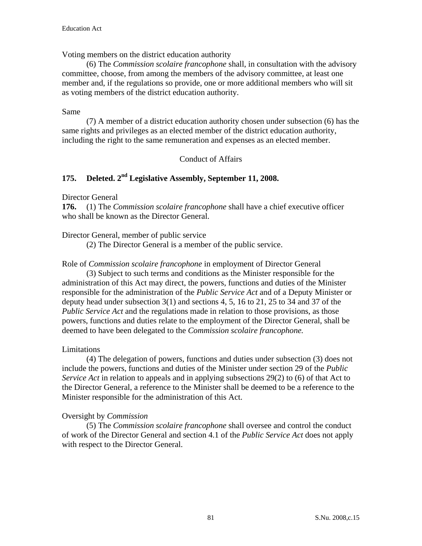Voting members on the district education authority

 (6) The *Commission scolaire francophone* shall, in consultation with the advisory committee, choose, from among the members of the advisory committee, at least one member and, if the regulations so provide, one or more additional members who will sit as voting members of the district education authority.

## Same

 (7) A member of a district education authority chosen under subsection (6) has the same rights and privileges as an elected member of the district education authority, including the right to the same remuneration and expenses as an elected member.

## Conduct of Affairs

# **175. Deleted. 2nd Legislative Assembly, September 11, 2008.**

Director General

**176.** (1) The *Commission scolaire francophone* shall have a chief executive officer who shall be known as the Director General.

Director General, member of public service

(2) The Director General is a member of the public service.

Role of *Commission scolaire francophone* in employment of Director General

(3) Subject to such terms and conditions as the Minister responsible for the administration of this Act may direct, the powers, functions and duties of the Minister responsible for the administration of the *Public Service Act* and of a Deputy Minister or deputy head under subsection 3(1) and sections 4, 5, 16 to 21, 25 to 34 and 37 of the *Public Service Act* and the regulations made in relation to those provisions, as those powers, functions and duties relate to the employment of the Director General, shall be deemed to have been delegated to the *Commission scolaire francophone.* 

### Limitations

 (4) The delegation of powers, functions and duties under subsection (3) does not include the powers, functions and duties of the Minister under section 29 of the *Public Service Act* in relation to appeals and in applying subsections 29(2) to (6) of that Act to the Director General, a reference to the Minister shall be deemed to be a reference to the Minister responsible for the administration of this Act.

# Oversight by *Commission*

 (5) The *Commission scolaire francophone* shall oversee and control the conduct of work of the Director General and section 4.1 of the *Public Service Act* does not apply with respect to the Director General.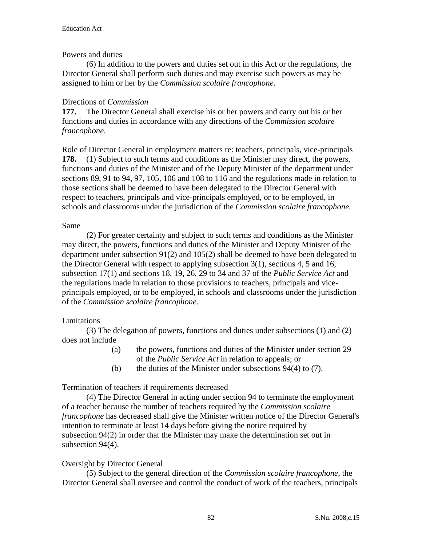## Powers and duties

 (6) In addition to the powers and duties set out in this Act or the regulations, the Director General shall perform such duties and may exercise such powers as may be assigned to him or her by the *Commission scolaire francophone*.

## Directions of *Commission*

**177.** The Director General shall exercise his or her powers and carry out his or her functions and duties in accordance with any directions of the *Commission scolaire francophone*.

Role of Director General in employment matters re: teachers, principals, vice-principals **178.** (1) Subject to such terms and conditions as the Minister may direct, the powers, functions and duties of the Minister and of the Deputy Minister of the department under sections 89, 91 to 94, 97, 105, 106 and 108 to 116 and the regulations made in relation to those sections shall be deemed to have been delegated to the Director General with respect to teachers, principals and vice-principals employed, or to be employed, in schools and classrooms under the jurisdiction of the *Commission scolaire francophone.*

## Same

 (2) For greater certainty and subject to such terms and conditions as the Minister may direct, the powers, functions and duties of the Minister and Deputy Minister of the department under subsection 91(2) and 105(2) shall be deemed to have been delegated to the Director General with respect to applying subsection  $3(1)$ , sections 4, 5 and 16, subsection 17(1) and sections 18, 19, 26, 29 to 34 and 37 of the *Public Service Act* and the regulations made in relation to those provisions to teachers, principals and viceprincipals employed, or to be employed, in schools and classrooms under the jurisdiction of the *Commission scolaire francophone.*

# Limitations

 (3) The delegation of powers, functions and duties under subsections (1) and (2) does not include

- (a) the powers, functions and duties of the Minister under section 29 of the *Public Service Act* in relation to appeals; or
- (b) the duties of the Minister under subsections  $94(4)$  to (7).

# Termination of teachers if requirements decreased

 (4) The Director General in acting under section 94 to terminate the employment of a teacher because the number of teachers required by the *Commission scolaire francophone* has decreased shall give the Minister written notice of the Director General's intention to terminate at least 14 days before giving the notice required by subsection 94(2) in order that the Minister may make the determination set out in subsection 94(4).

# Oversight by Director General

 (5) Subject to the general direction of the *Commission scolaire francophone*, the Director General shall oversee and control the conduct of work of the teachers, principals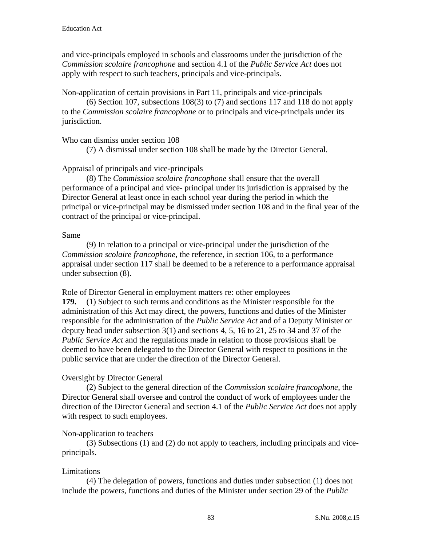and vice-principals employed in schools and classrooms under the jurisdiction of the *Commission scolaire francophone* and section 4.1 of the *Public Service Act* does not apply with respect to such teachers, principals and vice-principals.

Non-application of certain provisions in Part 11, principals and vice-principals

 (6) Section 107, subsections 108(3) to (7) and sections 117 and 118 do not apply to the *Commission scolaire francophone* or to principals and vice-principals under its jurisdiction.

# Who can dismiss under section 108

(7) A dismissal under section 108 shall be made by the Director General.

# Appraisal of principals and vice-principals

 (8) The *Commission scolaire francophone* shall ensure that the overall performance of a principal and vice- principal under its jurisdiction is appraised by the Director General at least once in each school year during the period in which the principal or vice-principal may be dismissed under section 108 and in the final year of the contract of the principal or vice-principal.

# Same

 (9) In relation to a principal or vice-principal under the jurisdiction of the *Commission scolaire francophone*, the reference, in section 106, to a performance appraisal under section 117 shall be deemed to be a reference to a performance appraisal under subsection (8).

Role of Director General in employment matters re: other employees

**179.** (1) Subject to such terms and conditions as the Minister responsible for the administration of this Act may direct, the powers, functions and duties of the Minister responsible for the administration of the *Public Service Act* and of a Deputy Minister or deputy head under subsection 3(1) and sections 4, 5, 16 to 21, 25 to 34 and 37 of the *Public Service Act* and the regulations made in relation to those provisions shall be deemed to have been delegated to the Director General with respect to positions in the public service that are under the direction of the Director General.

# Oversight by Director General

 (2) Subject to the general direction of the *Commission scolaire francophone*, the Director General shall oversee and control the conduct of work of employees under the direction of the Director General and section 4.1 of the *Public Service Act* does not apply with respect to such employees.

# Non-application to teachers

 (3) Subsections (1) and (2) do not apply to teachers, including principals and viceprincipals.

# Limitations

 (4) The delegation of powers, functions and duties under subsection (1) does not include the powers, functions and duties of the Minister under section 29 of the *Public*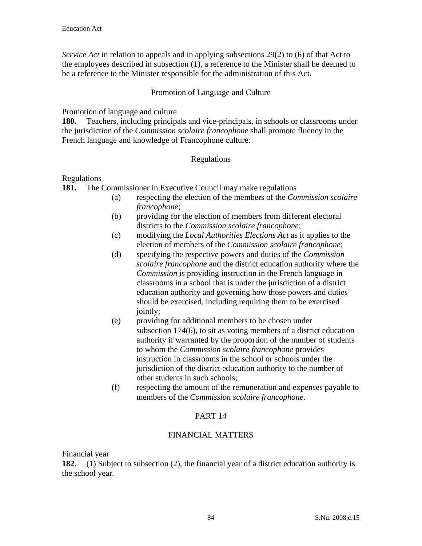*Service Act* in relation to appeals and in applying subsections 29(2) to (6) of that Act to the employees described in subsection (1), a reference to the Minister shall be deemed to be a reference to the Minister responsible for the administration of this Act.

## Promotion of Language and Culture

Promotion of language and culture

**180.** Teachers, including principals and vice-principals, in schools or classrooms under the jurisdiction of the *Commission scolaire francophone* shall promote fluency in the French language and knowledge of Francophone culture.

## Regulations

## Regulations

**181.** The Commissioner in Executive Council may make regulations

- (a) respecting the election of the members of the *Commission scolaire francophone*;
- (b) providing for the election of members from different electoral districts to the *Commission scolaire francophone*;
- (c) modifying the *Local Authorities Elections Act* as it applies to the election of members of the *Commission scolaire francophone*;
- (d) specifying the respective powers and duties of the *Commission scolaire francophone* and the district education authority where the *Commission* is providing instruction in the French language in classrooms in a school that is under the jurisdiction of a district education authority and governing how those powers and duties should be exercised, including requiring them to be exercised jointly;
- (e) providing for additional members to be chosen under subsection 174(6), to sit as voting members of a district education authority if warranted by the proportion of the number of students to whom the *Commission scolaire francophone* provides instruction in classrooms in the school or schools under the jurisdiction of the district education authority to the number of other students in such schools;
- (f) respecting the amount of the remuneration and expenses payable to members of the *Commission scolaire francophone*.

# PART 14

# FINANCIAL MATTERS

Financial year

**182.** (1) Subject to subsection (2), the financial year of a district education authority is the school year.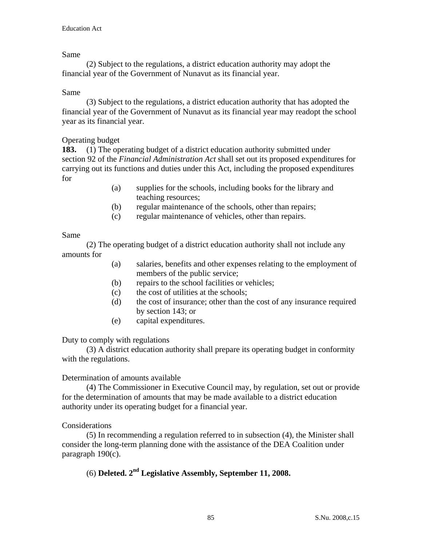## Same

 (2) Subject to the regulations, a district education authority may adopt the financial year of the Government of Nunavut as its financial year.

## Same

 (3) Subject to the regulations, a district education authority that has adopted the financial year of the Government of Nunavut as its financial year may readopt the school year as its financial year.

# Operating budget

**183.** (1) The operating budget of a district education authority submitted under section 92 of the *Financial Administration Act* shall set out its proposed expenditures for carrying out its functions and duties under this Act, including the proposed expenditures for

- (a) supplies for the schools, including books for the library and teaching resources;
- (b) regular maintenance of the schools, other than repairs;
- (c) regular maintenance of vehicles, other than repairs.

### Same

 (2) The operating budget of a district education authority shall not include any amounts for

- (a) salaries, benefits and other expenses relating to the employment of members of the public service;
- (b) repairs to the school facilities or vehicles;
- (c) the cost of utilities at the schools;
- (d) the cost of insurance; other than the cost of any insurance required by section 143; or
- (e) capital expenditures.

# Duty to comply with regulations

 (3) A district education authority shall prepare its operating budget in conformity with the regulations.

### Determination of amounts available

 (4) The Commissioner in Executive Council may, by regulation, set out or provide for the determination of amounts that may be made available to a district education authority under its operating budget for a financial year.

### Considerations

 (5) In recommending a regulation referred to in subsection (4), the Minister shall consider the long-term planning done with the assistance of the DEA Coalition under paragraph 190(c).

# (6) **Deleted. 2nd Legislative Assembly, September 11, 2008.**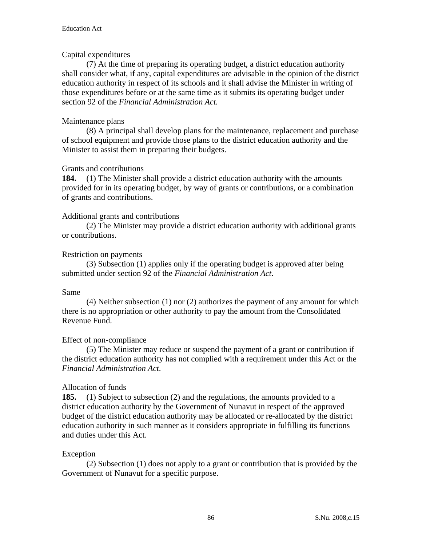# Capital expenditures

 (7) At the time of preparing its operating budget, a district education authority shall consider what, if any, capital expenditures are advisable in the opinion of the district education authority in respect of its schools and it shall advise the Minister in writing of those expenditures before or at the same time as it submits its operating budget under section 92 of the *Financial Administration Act.* 

# Maintenance plans

 (8) A principal shall develop plans for the maintenance, replacement and purchase of school equipment and provide those plans to the district education authority and the Minister to assist them in preparing their budgets.

# Grants and contributions

**184.** (1) The Minister shall provide a district education authority with the amounts provided for in its operating budget, by way of grants or contributions, or a combination of grants and contributions.

# Additional grants and contributions

 (2) The Minister may provide a district education authority with additional grants or contributions.

# Restriction on payments

 (3) Subsection (1) applies only if the operating budget is approved after being submitted under section 92 of the *Financial Administration Act*.

# Same

 (4) Neither subsection (1) nor (2) authorizes the payment of any amount for which there is no appropriation or other authority to pay the amount from the Consolidated Revenue Fund.

# Effect of non-compliance

 (5) The Minister may reduce or suspend the payment of a grant or contribution if the district education authority has not complied with a requirement under this Act or the *Financial Administration Act*.

# Allocation of funds

**185.** (1) Subject to subsection (2) and the regulations, the amounts provided to a district education authority by the Government of Nunavut in respect of the approved budget of the district education authority may be allocated or re-allocated by the district education authority in such manner as it considers appropriate in fulfilling its functions and duties under this Act.

# Exception

 (2) Subsection (1) does not apply to a grant or contribution that is provided by the Government of Nunavut for a specific purpose.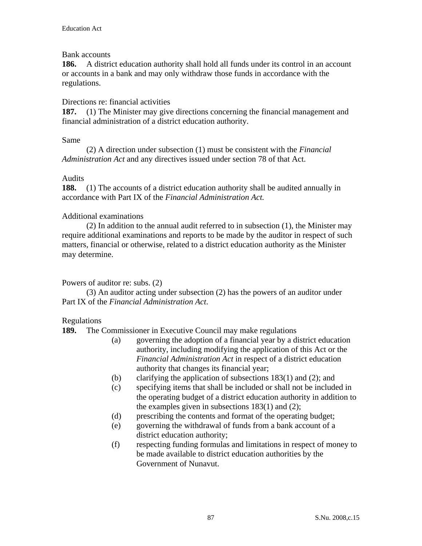## Bank accounts

**186.** A district education authority shall hold all funds under its control in an account or accounts in a bank and may only withdraw those funds in accordance with the regulations.

# Directions re: financial activities

**187.** (1) The Minister may give directions concerning the financial management and financial administration of a district education authority.

## Same

 (2) A direction under subsection (1) must be consistent with the *Financial Administration Act* and any directives issued under section 78 of that Act.

## Audits

**188.** (1) The accounts of a district education authority shall be audited annually in accordance with Part IX of the *Financial Administration Act.*

# Additional examinations

 (2) In addition to the annual audit referred to in subsection (1), the Minister may require additional examinations and reports to be made by the auditor in respect of such matters, financial or otherwise, related to a district education authority as the Minister may determine.

# Powers of auditor re: subs. (2)

 (3) An auditor acting under subsection (2) has the powers of an auditor under Part IX of the *Financial Administration Act*.

# Regulations

**189.** The Commissioner in Executive Council may make regulations

- (a) governing the adoption of a financial year by a district education authority, including modifying the application of this Act or the *Financial Administration Act* in respect of a district education authority that changes its financial year;
- (b) clarifying the application of subsections 183(1) and (2); and
- (c) specifying items that shall be included or shall not be included in the operating budget of a district education authority in addition to the examples given in subsections 183(1) and (2);
- (d) prescribing the contents and format of the operating budget;
- (e) governing the withdrawal of funds from a bank account of a district education authority;
- (f) respecting funding formulas and limitations in respect of money to be made available to district education authorities by the Government of Nunavut.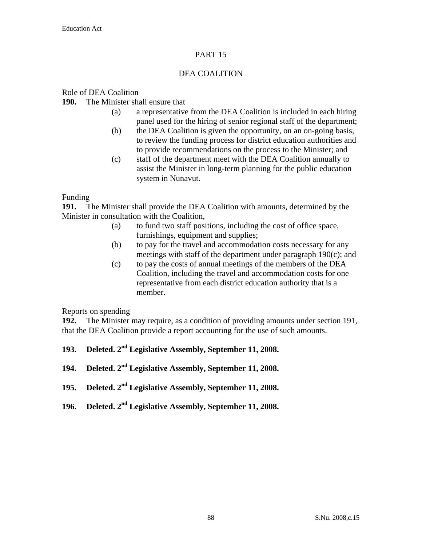# PART 15

# DEA COALITION

### Role of DEA Coalition

**190.** The Minister shall ensure that

- (a) a representative from the DEA Coalition is included in each hiring panel used for the hiring of senior regional staff of the department;
- (b) the DEA Coalition is given the opportunity, on an on-going basis, to review the funding process for district education authorities and to provide recommendations on the process to the Minister; and
- (c) staff of the department meet with the DEA Coalition annually to assist the Minister in long-term planning for the public education system in Nunavut.

Funding

**191.** The Minister shall provide the DEA Coalition with amounts, determined by the Minister in consultation with the Coalition,

- (a) to fund two staff positions, including the cost of office space, furnishings, equipment and supplies;
- (b) to pay for the travel and accommodation costs necessary for any meetings with staff of the department under paragraph 190(c); and
- (c) to pay the costs of annual meetings of the members of the DEA Coalition, including the travel and accommodation costs for one representative from each district education authority that is a member.

Reports on spending

**192.** The Minister may require, as a condition of providing amounts under section 191, that the DEA Coalition provide a report accounting for the use of such amounts.

- **193. Deleted. 2nd Legislative Assembly, September 11, 2008.**
- **194. Deleted. 2nd Legislative Assembly, September 11, 2008.**
- **195. Deleted. 2nd Legislative Assembly, September 11, 2008.**
- **196. Deleted. 2nd Legislative Assembly, September 11, 2008.**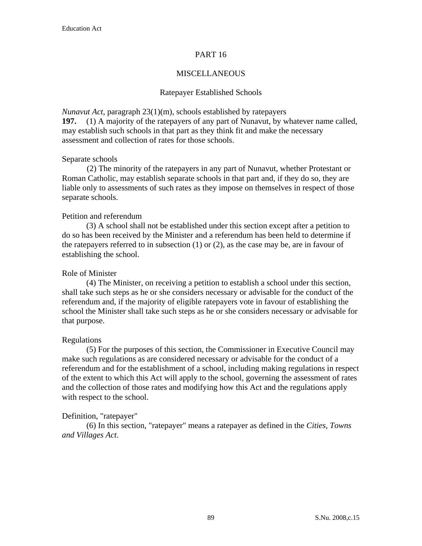## PART 16

## MISCELLANEOUS

### Ratepayer Established Schools

*Nunavut Act*, paragraph 23(1)(m), schools established by ratepayers

**197.** (1) A majority of the ratepayers of any part of Nunavut, by whatever name called, may establish such schools in that part as they think fit and make the necessary assessment and collection of rates for those schools.

### Separate schools

(2) The minority of the ratepayers in any part of Nunavut, whether Protestant or Roman Catholic, may establish separate schools in that part and, if they do so, they are liable only to assessments of such rates as they impose on themselves in respect of those separate schools.

## Petition and referendum

 (3) A school shall not be established under this section except after a petition to do so has been received by the Minister and a referendum has been held to determine if the ratepayers referred to in subsection  $(1)$  or  $(2)$ , as the case may be, are in favour of establishing the school.

### Role of Minister

 (4) The Minister, on receiving a petition to establish a school under this section, shall take such steps as he or she considers necessary or advisable for the conduct of the referendum and, if the majority of eligible ratepayers vote in favour of establishing the school the Minister shall take such steps as he or she considers necessary or advisable for that purpose.

### Regulations

 (5) For the purposes of this section, the Commissioner in Executive Council may make such regulations as are considered necessary or advisable for the conduct of a referendum and for the establishment of a school, including making regulations in respect of the extent to which this Act will apply to the school, governing the assessment of rates and the collection of those rates and modifying how this Act and the regulations apply with respect to the school.

### Definition, "ratepayer"

 (6) In this section, "ratepayer" means a ratepayer as defined in the *Cities, Towns and Villages Act*.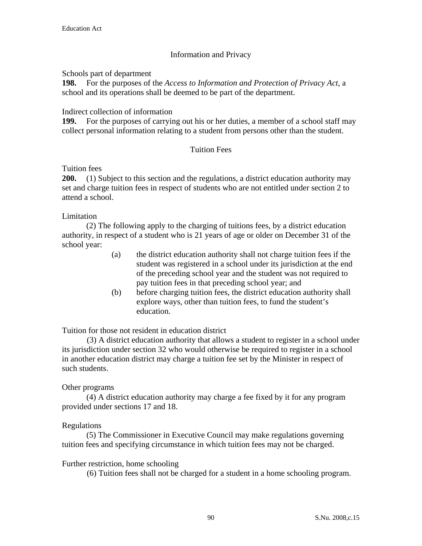# Information and Privacy

Schools part of department

**198.** For the purposes of the *Access to Information and Protection of Privacy Act,* a school and its operations shall be deemed to be part of the department.

Indirect collection of information

**199.** For the purposes of carrying out his or her duties, a member of a school staff may collect personal information relating to a student from persons other than the student.

# Tuition Fees

Tuition fees

**200.** (1) Subject to this section and the regulations, a district education authority may set and charge tuition fees in respect of students who are not entitled under section 2 to attend a school.

Limitation

 (2) The following apply to the charging of tuitions fees, by a district education authority, in respect of a student who is 21 years of age or older on December 31 of the school year:

- (a) the district education authority shall not charge tuition fees if the student was registered in a school under its jurisdiction at the end of the preceding school year and the student was not required to pay tuition fees in that preceding school year; and
- (b) before charging tuition fees, the district education authority shall explore ways, other than tuition fees, to fund the student's education.

Tuition for those not resident in education district

(3) A district education authority that allows a student to register in a school under its jurisdiction under section 32 who would otherwise be required to register in a school in another education district may charge a tuition fee set by the Minister in respect of such students.

# Other programs

 (4) A district education authority may charge a fee fixed by it for any program provided under sections 17 and 18.

# Regulations

 (5) The Commissioner in Executive Council may make regulations governing tuition fees and specifying circumstance in which tuition fees may not be charged.

# Further restriction, home schooling

(6) Tuition fees shall not be charged for a student in a home schooling program.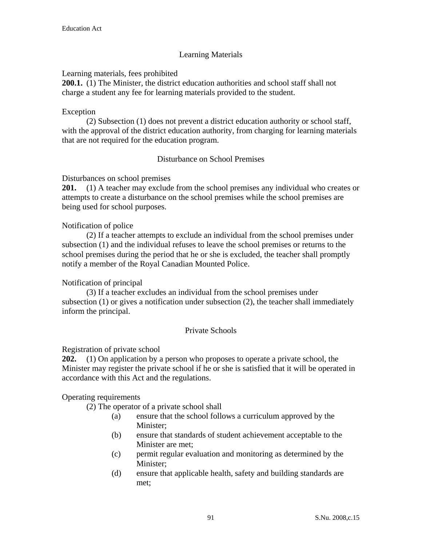# Learning Materials

Learning materials, fees prohibited

**200.1.** (1) The Minister, the district education authorities and school staff shall not charge a student any fee for learning materials provided to the student.

## Exception

 (2) Subsection (1) does not prevent a district education authority or school staff, with the approval of the district education authority, from charging for learning materials that are not required for the education program.

# Disturbance on School Premises

Disturbances on school premises

**201.** (1) A teacher may exclude from the school premises any individual who creates or attempts to create a disturbance on the school premises while the school premises are being used for school purposes.

## Notification of police

 (2) If a teacher attempts to exclude an individual from the school premises under subsection (1) and the individual refuses to leave the school premises or returns to the school premises during the period that he or she is excluded, the teacher shall promptly notify a member of the Royal Canadian Mounted Police.

# Notification of principal

 (3) If a teacher excludes an individual from the school premises under subsection (1) or gives a notification under subsection (2), the teacher shall immediately inform the principal.

# Private Schools

### Registration of private school

**202.** (1) On application by a person who proposes to operate a private school, the Minister may register the private school if he or she is satisfied that it will be operated in accordance with this Act and the regulations.

# Operating requirements

(2) The operator of a private school shall

- (a) ensure that the school follows a curriculum approved by the Minister;
- (b) ensure that standards of student achievement acceptable to the Minister are met;
- (c) permit regular evaluation and monitoring as determined by the Minister;
- (d) ensure that applicable health, safety and building standards are met;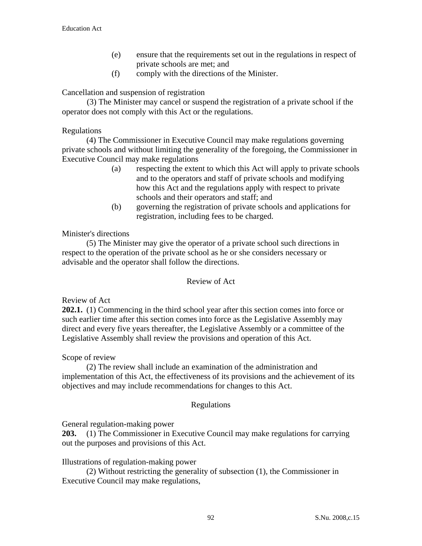- (e) ensure that the requirements set out in the regulations in respect of private schools are met; and
- (f) comply with the directions of the Minister.

Cancellation and suspension of registration

(3) The Minister may cancel or suspend the registration of a private school if the operator does not comply with this Act or the regulations.

### Regulations

 (4) The Commissioner in Executive Council may make regulations governing private schools and without limiting the generality of the foregoing, the Commissioner in Executive Council may make regulations

- (a) respecting the extent to which this Act will apply to private schools and to the operators and staff of private schools and modifying how this Act and the regulations apply with respect to private schools and their operators and staff; and
- (b) governing the registration of private schools and applications for registration, including fees to be charged.

## Minister's directions

 (5) The Minister may give the operator of a private school such directions in respect to the operation of the private school as he or she considers necessary or advisable and the operator shall follow the directions.

### Review of Act

### Review of Act

**202.1.** (1) Commencing in the third school year after this section comes into force or such earlier time after this section comes into force as the Legislative Assembly may direct and every five years thereafter, the Legislative Assembly or a committee of the Legislative Assembly shall review the provisions and operation of this Act.

### Scope of review

 (2) The review shall include an examination of the administration and implementation of this Act, the effectiveness of its provisions and the achievement of its objectives and may include recommendations for changes to this Act.

### Regulations

General regulation-making power

**203.** (1) The Commissioner in Executive Council may make regulations for carrying out the purposes and provisions of this Act.

# Illustrations of regulation-making power

 (2) Without restricting the generality of subsection (1), the Commissioner in Executive Council may make regulations,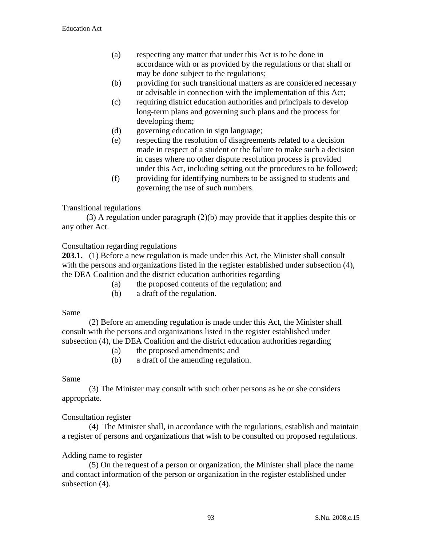- (a) respecting any matter that under this Act is to be done in accordance with or as provided by the regulations or that shall or may be done subject to the regulations;
- (b) providing for such transitional matters as are considered necessary or advisable in connection with the implementation of this Act;
- (c) requiring district education authorities and principals to develop long-term plans and governing such plans and the process for developing them;
- (d) governing education in sign language;
- (e) respecting the resolution of disagreements related to a decision made in respect of a student or the failure to make such a decision in cases where no other dispute resolution process is provided under this Act, including setting out the procedures to be followed;
- (f) providing for identifying numbers to be assigned to students and governing the use of such numbers.

# Transitional regulations

 (3) A regulation under paragraph (2)(b) may provide that it applies despite this or any other Act.

# Consultation regarding regulations

**203.1.** (1) Before a new regulation is made under this Act, the Minister shall consult with the persons and organizations listed in the register established under subsection (4), the DEA Coalition and the district education authorities regarding

- (a) the proposed contents of the regulation; and
- (b) a draft of the regulation.

Same

 (2) Before an amending regulation is made under this Act, the Minister shall consult with the persons and organizations listed in the register established under subsection (4), the DEA Coalition and the district education authorities regarding

- (a) the proposed amendments; and
- (b) a draft of the amending regulation.

# Same

 (3) The Minister may consult with such other persons as he or she considers appropriate.

# Consultation register

 (4) The Minister shall, in accordance with the regulations, establish and maintain a register of persons and organizations that wish to be consulted on proposed regulations.

# Adding name to register

 (5) On the request of a person or organization, the Minister shall place the name and contact information of the person or organization in the register established under subsection  $(4)$ .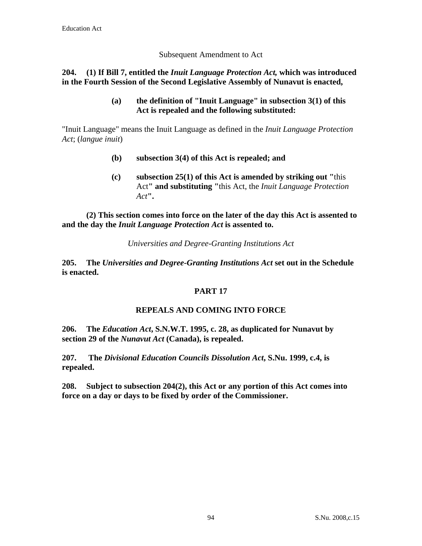## Subsequent Amendment to Act

# **204. (1) If Bill 7, entitled the** *Inuit Language Protection Act,* **which was introduced in the Fourth Session of the Second Legislative Assembly of Nunavut is enacted,**

**(a) the definition of "Inuit Language" in subsection 3(1) of this Act is repealed and the following substituted:** 

"Inuit Language" means the Inuit Language as defined in the *Inuit Language Protection Act*; (*langue inuit*)

- **(b) subsection 3(4) of this Act is repealed; and**
- **(c) subsection 25(1) of this Act is amended by striking out "**this Act**" and substituting "**this Act, the *Inuit Language Protection Act***".**

 **(2) This section comes into force on the later of the day this Act is assented to and the day the** *Inuit Language Protection Act* **is assented to.** 

*Universities and Degree-Granting Institutions Act*

**205. The** *Universities and Degree-Granting Institutions Act* **set out in the Schedule is enacted.**

# **PART 17**

# **REPEALS AND COMING INTO FORCE**

**206. The** *Education Act***, S.N.W.T. 1995, c. 28, as duplicated for Nunavut by section 29 of the** *Nunavut Act* **(Canada), is repealed.** 

**207. The** *Divisional Education Councils Dissolution Act***, S.Nu. 1999, c.4, is repealed.** 

**208. Subject to subsection 204(2), this Act or any portion of this Act comes into force on a day or days to be fixed by order of the Commissioner.**